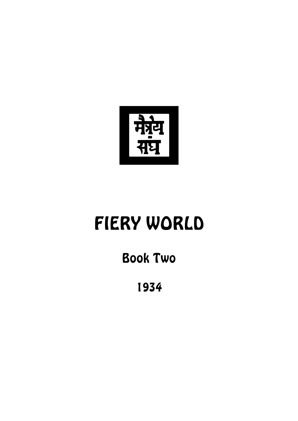

## FIERY WORLD<br>Book Two

1934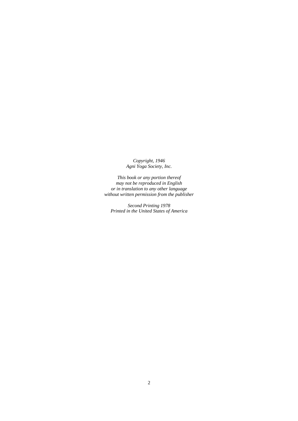*Copyright, 1946 Agni Yoga Society, Inc.*

*This book or any portion thereof may not be reproduced in English or in translation to any other language without written permission from the publisher*

*Second Printing 1978 Printed in the United States of America*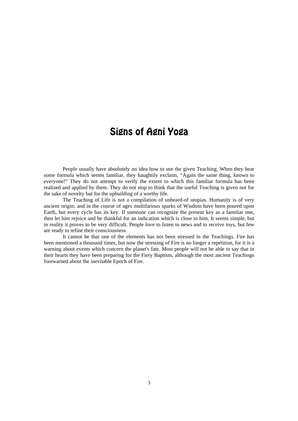## Signs of Agni Yoga

 People usually have absolutely no idea how to use the given Teaching. When they hear some formula which seems familiar, they haughtily exclaim, "Again the same thing, known to everyone!" They do not attempt to verify the extent to which this familiar formula has been realized and applied by them. They do not stop to think that the useful Teaching is given not for the sake of novelty but for the upbuilding of a worthy life.

 The Teaching of Life is not a compilation of unheard-of utopias. Humanity is of very ancient origin; and in the course of ages multifarious sparks of Wisdom have been poured upon Earth, but every cycle has its key. If someone can recognize the present key as a familiar one, then let him rejoice and be thankful for an indication which is close to him. It seems simple, but in reality it proves to be very difficult. People love to listen to news and to receive toys, but few are ready to refine their consciousness.

 It cannot be that one of the elements has not been stressed in the Teachings. Fire has been mentioned a thousand times, but now the stressing of Fire is no longer a repetition, for it is a warning about events which concern the planet's fate. Most people will not be able to say that in their hearts they have been preparing for the Fiery Baptism, although the most ancient Teachings forewarned about the inevitable Epoch of Fire.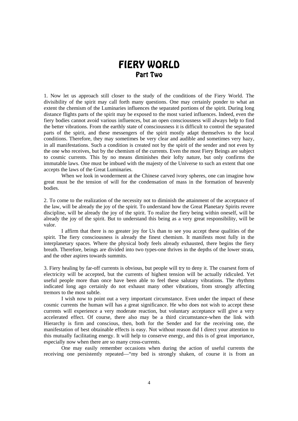## FIERY WORLD Part Two

1. Now let us approach still closer to the study of the conditions of the Fiery World. The divisibility of the spirit may call forth many questions. One may certainly ponder to what an extent the chemism of the Luminaries influences the separated portions of the spirit. During long distance flights parts of the spirit may be exposed to the most varied influences. Indeed, even the fiery bodies cannot avoid various influences, but an open consciousness will always help to find the better vibrations. From the earthly state of consciousness it is difficult to control the separated parts of the spirit, and these messengers of the spirit mostly adapt themselves to the local conditions. Therefore, they may sometimes be very clear and audible and sometimes very hazy, in all manifestations. Such a condition is created not by the spirit of the sender and not even by the one who receives, but by the chemism of the currents. Even the most Fiery Beings are subject to cosmic currents. This by no means diminishes their lofty nature, but only confirms the immutable laws. One must be imbued with the majesty of the Universe to such an extent that one accepts the laws of the Great Luminaries.

 When we look in wonderment at the Chinese carved ivory spheres, one can imagine how great must be the tension of will for the condensation of mass in the formation of heavenly bodies.

2. To come to the realization of the necessity not to diminish the attainment of the acceptance of the law, will be already the joy of the spirit. To understand how the Great Planetary Spirits revere discipline, will be already the joy of the spirit. To realize the fiery being within oneself, will be already the joy of the spirit. But to understand this being as a very great responsibility, will be valor.

 I affirm that there is no greater joy for Us than to see you accept these qualities of the spirit. The fiery consciousness is already the finest chemism. It manifests most fully in the interplanetary spaces. Where the physical body feels already exhausted, there begins the fiery breath. Therefore, beings are divided into two types-one thrives in the depths of the lower strata, and the other aspires towards summits.

3. Fiery healing by far-off currents is obvious, but people will try to deny it. The coarsest form of electricity will be accepted, but the currents of highest tension will be actually ridiculed. Yet useful people more than once have been able to feel these salutary vibrations. The rhythms indicated long ago certainly do not exhaust many other vibrations, from strongly affecting tremors to the most subtle.

 I wish now to point out a very important circumstance. Even under the impact of these cosmic currents the human will has a great significance. He who does not wish to accept these currents will experience a very moderate reaction, but voluntary acceptance will give a very accelerated effect. Of course, there also may be a third circumstance-when the link with Hierarchy is firm and conscious, then, both for the Sender and for the receiving one, the manifestation of best obtainable effects is easy. Not without reason did I direct your attention to this mutually facilitating energy. It will help to conserve energy, and this is of great importance, especially now when there are so many cross-currents.

 One may easily remember occasions when during the action of useful currents the receiving one persistently repeated—"my bed is strongly shaken, of course it is from an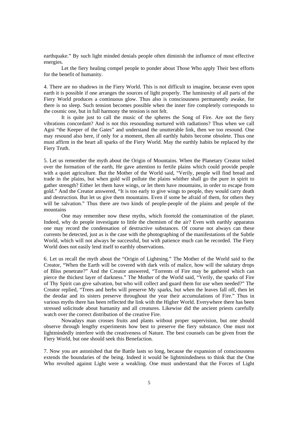earthquake." By such light minded denials people often diminish the influence of most effective energies.

 Let the fiery healing compel people to ponder about Those Who apply Their best efforts for the benefit of humanity.

4. There are no shadows in the Fiery World. This is not difficult to imagine, because even upon earth it is possible if one arranges the sources of light properly. The luminosity of all parts of the Fiery World produces a continuous glow. Thus also is consciousness permanently awake, for there is no sleep. Such tension becomes possible when the inner fire completely corresponds to the cosmic one, but in full harmony the tension is not felt.

 It is quite just to call the music of the spheres the Song of Fire. Are not the fiery vibrations concordant? And is not this resounding nurtured with radiations? Thus when we call Agni "the Keeper of the Gates" and understand the unutterable link, then we too resound. One may resound also here, if only for a moment, then all earthly habits become obsolete. Thus one must affirm in the heart all sparks of the Fiery World. May the earthly habits be replaced by the Fiery Truth.

5. Let us remember the myth about the Origin of Mountains. When the Planetary Creator toiled over the formation of the earth, He gave attention to fertile plains which could provide people with a quiet agriculture. But the Mother of the World said, "Verily, people will find bread and trade in the plains, but when gold will pollute the plains whither shall go the pure in spirit to gather strength? Either let them have wings, or let them have mountains, in order to escape from gold." And the Creator answered, "It is too early to give wings to people, they would carry death and destruction. But let us give them mountains. Even if some be afraid of them, for others they will be salvation." Thus there are two kinds of people-people of the plains and people of the mountains

 One may remember now these myths, which foretold the contamination of the planet. Indeed, why do people investigate to little the chemism of the air? Even with earthly apparatus one may record the condensation of destructive substances. Of course not always can these currents be detected, just as is the case with the photographing of the manifestations of the Subtle World, which will not always be successful, but with patience much can be recorded. The Fiery World does not easily lend itself to earthly observations.

6. Let us recall the myth about the "Origin of Lightning." The Mother of the World said to the Creator, "When the Earth will be covered with dark veils of malice, how will the salutary drops of Bliss penetrate?" And the Creator answered, "Torrents of Fire may be gathered which can pierce the thickest layer of darkness." The Mother of the World said, "Verily, the sparks of Fire of Thy Spirit can give salvation, but who will collect and guard them for use when needed?" The Creator replied, "Trees and herbs will preserve My sparks, but when the leaves fall off, then let the deodar and its sisters preserve throughout the year their accumulations of Fire." Thus in various myths there has been reflected the link with the Higher World. Everywhere there has been stressed solicitude about humanity and all creatures. Likewise did the ancient priests carefully watch over the correct distribution of the creative Fire.

 Nowadays man crosses fruits and plants without proper supervision, but one should observe through lengthy experiments how best to preserve the fiery substance. One must not lightmindedly interfere with the creativeness of Nature. The best counsels can be given from the Fiery World, but one should seek this Benefaction.

7. Now you are astonished that the Battle lasts so long, because the expansion of consciousness extends the boundaries of the being. Indeed it would be lightmindedness to think that the One Who revolted against Light were a weakling. One must understand that the Forces of Light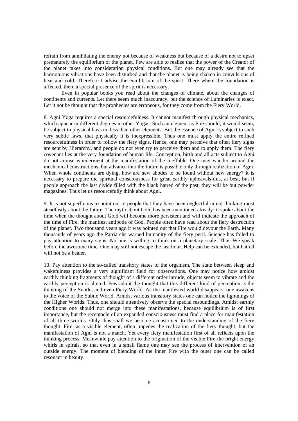refrain from annihilating the enemy not because of weakness but because of a desire not to upset prematurely the equilibrium of the planet. Few are able to realize that the power of the Creator of the planet takes into consideration physical conditions. But one may already see that the harmonious vibrations have been disturbed and that the planet is being shaken in convulsions of heat and cold. Therefore I advise the equilibrium of the spirit. There where the foundation is affected, there a special presence of the spirit is necessary.

 Even in popular books you read about the changes of climate, about the changes of continents and currents. Let there seem much inaccuracy, but the science of Luminaries is exact. Let it not be thought that the prophecies are erroneous, for they come from the Fiery World.

8. Agni Yoga requires a special resourcefulness. It cannot manifest through physical mechanics, which appear in different degrees in other Yogas. Such an element as Fire should, it would seem, be subject to physical laws no less than other elements. But the essence of Agni is subject to such very subtle laws, that physically it is inexpressible. Thus one must apply the entire refined resourcefulness in order to follow the fiery signs. Hence, one may perceive that often fiery signs are sent by Hierarchy, and people do not even try to perceive them and to apply them. The fiery covenant lies at the very foundation of human life. Conception, birth and all acts subject to Agni do not arouse wonderment at the manifestation of the Ineffable. One may wander around the mechanical constructions, but advance into the future is possible only through realization of Agni. When whole continents are dying, how are new abodes to be found without new energy? It is necessary to prepare the spiritual consciousness for great earthly upheavals-this, at best, but if people approach the last divide filled with the black hatred of the past, they will be but powder magazines. Thus let us resourcefully think about Agni.

9. It is not superfluous to point out to people that they have been neglectful in not thinking most steadfastly about the future. The myth about Gold has been mentioned already; it spoke about the time when the thought about Gold will become more persistent and will indicate the approach of the time of Fire, the manifest antipode of God. People often have read about the fiery destruction of the planet. Two thousand years ago it was pointed out that Fire would devour the Earth. Many thousands of years ago the Patriarchs warned humanity of the fiery peril. Science has failed to pay attention to many signs. No one is willing to think on a planetary scale. Thus We speak before the awesome time. One may still not escape the last hour. Help can be extended, but hatred will not be a healer.

10. Pay attention to the so-called transitory states of the organism. The state between sleep and wakefulness provides a very significant field for observations. One may notice how amidst earthly thinking fragments of thought of a different order intrude, objects seem to vibrate and the earthly perception is altered. Few admit the thought that this different kind of perception is the thinking of the Subtle, and even Fiery World. As the manifested world disappears, one awakens to the voice of the Subtle World. Amidst various transitory states one can notice the lightnings of the Higher Worlds. Thus, one should attentively observe the special resoundings. Amidst earthly conditions one should not merge into these manifestations, because equilibrium is of first importance, but the receptacle of an expanded consciousness must find a place for manifestation of all three worlds. Only thus shall we become accustomed to the understanding of the fiery thought. Fire, as a visible element, often impedes the realization of the fiery thought, but the manifestation of Agni is not a match. Yet every fiery manifestation first of all reflects upon the thinking process. Meanwhile pay attention to the origination of the visible Fire-the bright energy whirls in spirals, so that even in a small flame one may see the process of intervention of an outside energy. The moment of blending of the inner Fire with the outer one can be called resonant in beauty.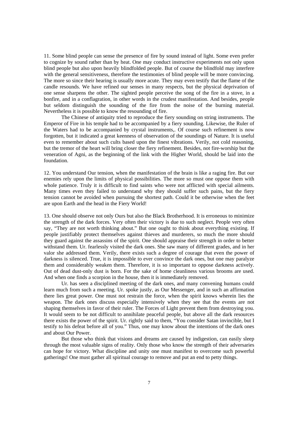11. Some blind people can sense the presence of fire by sound instead of light. Some even prefer to cognize by sound rather than by heat. One may conduct instructive experiments not only upon blind people but also upon heavily blindfolded people. But of course the blindfold may interfere with the general sensitiveness, therefore the testimonies of blind people will be more convincing. The more so since their hearing is usually more acute. They may even testify that the flame of the candle resounds. We have refined our senses in many respects, but the physical deprivation of one sense sharpens the other. The sighted people perceive the song of the fire in a stove, in a bonfire, and in a conflagration, in other words in the crudest manifestation. And besides, people but seldom distinguish the sounding of the fire from the noise of the burning material. Nevertheless it is possible to know the resounding of fire.

 The Chinese of antiquity tried to reproduce the fiery sounding on string instruments. The Emperor of Fire in his temple had to be accompanied by a fiery sounding. Likewise, the Ruler of the Waters had to be accompanied by crystal instruments,. Of course such refinement is now forgotten, but it indicated a great keenness of observation of the soundings of Nature. It is useful even to remember about such cults based upon the finest vibrations. Verily, not cold reasoning, but the tremor of the heart will bring closer the fiery refinement. Besides, not fire-worship but the veneration of Agni, as the beginning of the link with the Higher World, should be laid into the foundation.

12. You understand Our tension, when the manifestation of the brain is like a raging fire. But our enemies rely upon the limits of physical possibilities. The more so must one oppose them with whole patience. Truly it is difficult to find saints who were not afflicted with special ailments. Many times even they failed to understand why they should suffer such pains, but the fiery tension cannot be avoided when pursuing the shortest path. Could it be otherwise when the feet are upon Earth and the head in the Fiery World!

13. One should observe not only Ours but also the Black Brotherhood. It is erroneous to minimize the strength of the dark forces. Very often their victory is due to such neglect. People very often say, "They are not worth thinking about." But one ought to think about everything existing. If people justifiably protect themselves against thieves and murderers, so much the more should they guard against the assassins of the spirit. One should appraise their strength in order to better withstand them. Ur. fearlessly visited the dark ones. She saw many of different grades, and in her valor she addressed them. Verily, there exists such a degree of courage that even the power of darkness is silenced. True, it is impossible to ever convince the dark ones, but one may paralyze them and considerably weaken them. Therefore, it is so important to oppose darkness actively. Out of dead dust-only dust is born. For the sake of home cleanliness various brooms are used. And when one finds a scorpion in the house, then it is immediately removed.

 Ur. has seen a disciplined meeting of the dark ones, and many convening humans could learn much from such a meeting. Ur. spoke justly, as Our Messenger, and in such an affirmation there lies great power. One must not restrain the force, when the spirit knows wherein lies the weapon. The dark ones discuss especially intensively when they see that the events are not shaping themselves in favor of their ruler. The Forces of Light prevent them from destroying you. It would seem to be not difficult to annihilate peaceful people, but above all the dark resources there exists the power of the spirit. Ur. rightly said to them, "You consider Satan invincible, but I testify to his defeat before all of you." Thus, one may know about the intentions of the dark ones and about Our Power.

 But those who think that visions and dreams are caused by indigestion, can easily sleep through the most valuable signs of reality. Only those who know the strength of their adversaries can hope for victory. What discipline and unity one must manifest to overcome such powerful gatherings! One must gather all spiritual courage to remove and put an end to petty things.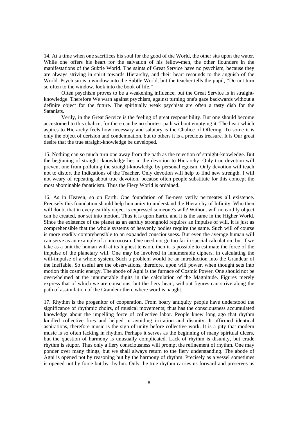14. At a time when one sacrifices his soul for the good of the World, the other sits upon the water. While one offers his heart for the salvation of his fellow-men, the other flounders in the manifestations of the Subtle World. The saints of Great Service have no psychism, because they are always striving in spirit towards Hierarchy, and their heart resounds to the anguish of the World. Psychism is a window into the Subtle World, but the teacher tells the pupil, "Do not turn so often to the window, look into the book of life."

 Often psychism proves to be a weakening influence, but the Great Service is in straightknowledge. Therefore We warn against psychism, against turning one's gaze backwards without a definite object for the future. The spiritually weak psychists are often a tasty dish for the Satanists.

 Verily, in the Great Service is the feeling of great responsibility. But one should become accustomed to this chalice, for there can be no shortest path without emptying it. The heart which aspires to Hierarchy feels how necessary and salutary is the Chalice of Offering. To some it is only the object of derision and condemnation, but to others it is a precious treasure. It is Our great desire that the true straight-knowledge be developed.

15. Nothing can so much turn one away from the path as the rejection of straight-knowledge. But the beginning of straight -knowledge lies in the devotion to Hierarchy. Only true devotion will prevent one from polluting the straight-knowledge by personal egoism. Only devotion will teach not to distort the Indications of the Teacher. Only devotion will help to find new strength. I will not weary of repeating about true devotion, because often people substitute for this concept the most abominable fanaticism. Thus the Fiery World is ordained.

16. As in Heaven, so on Earth. One foundation of Be-ness verily permeates all existence. Precisely this foundation should help humanity to understand the Hierarchy of Infinity. Who then will doubt that in every earthly object is expressed someone's will? Without will no earthly object can be created, nor set into motion. Thus it is upon Earth, and it is the same in the Higher World. Since the existence of the planet as an earthly stronghold requires an impulse of will, it is just as comprehensible that the whole systems of heavenly bodies require the same. Such will of course is more readily comprehensible to an expanded consciousness. But even the average human will can serve as an example of a microcosm. One need not go too far in special calculation, but if we take as a unit the human will at its highest tension, then it is possible to estimate the force of the impulse of the planetary will. One may be involved in innumerable ciphers, in calculating the will-impulse of a whole system. Such a problem would be an introduction into the Grandeur of the Ineffable. So useful are the observations, therefore, upon will power, when thought sets into motion this cosmic energy. The abode of Agni is the furnace of Cosmic Power. One should not be overwhelmed at the innumerable digits in the calculation of the Magnitude. Figures merely express that of which we are conscious, but the fiery heart, without figures can strive along the path of assimilation of the Grandeur there where word is naught.

17. Rhythm is the progenitor of cooperation. From hoary antiquity people have understood the significance of rhythmic choirs, of musical movements; thus has the consciousness accumulated knowledge about the impelling force of collective labor. People knew long ago that rhythm kindled collective fires and helped in avoiding irritation and disunity. It affirmed identical aspirations, therefore music is the sign of unity before collective work. It is a pity that modern music is so often lacking in rhythm. Perhaps it serves as the beginning of many spiritual ulcers, but the question of harmony is unusually complicated. Lack of rhythm is disunity, but crude rhythm is stupor. Thus only a fiery consciousness will prompt the refinement of rhythm. One may ponder over many things, but we shall always return to the fiery understanding. The abode of Agni is opened not by reasoning but by the harmony of rhythm. Precisely as a vessel sometimes is opened not by force but by rhythm. Only the true rhythm carries us forward and preserves us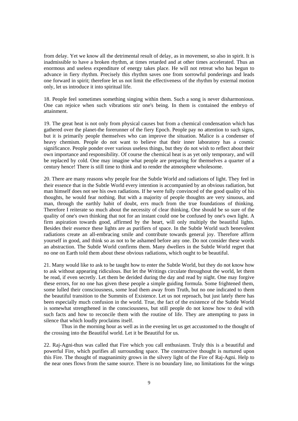from delay. Yet we know all the detrimental result of delay, as in movement, so also in spirit. It is inadmissible to have a broken rhythm, at times retarded and at other times accelerated. Thus an enormous and useless expenditure of energy takes place. He will not retreat who has begun to advance in fiery rhythm. Precisely this rhythm saves one from sorrowful ponderings and leads one forward in spirit; therefore let us not limit the effectiveness of the rhythm by external motion only, let us introduce it into spiritual life.

18. People feel sometimes something singing within them. Such a song is never disharmonious. One can rejoice when such vibrations stir one's being. In them is contained the embryo of attainment.

19. The great heat is not only from physical causes but from a chemical condensation which has gathered over the planet-the forerunner of the fiery Epoch. People pay no attention to such signs, but it is primarily people themselves who can improve the situation. Malice is a condenser of heavy chemism. People do not want to believe that their inner laboratory has a cosmic significance. People ponder over various useless things, but they do not wish to reflect about their own importance and responsibility. Of course the chemical heat is as yet only temporary, and will be replaced by cold. One may imagine what people are preparing for themselves a quarter of a century hence! There is still time to think and to render the atmosphere wholesome.

20. There are many reasons why people fear the Subtle World and radiations of light. They feel in their essence that in the Subtle World every intention is accompanied by an obvious radiation, but man himself does not see his own radiations. If he were fully convinced of the good quality of his thoughts, he would fear nothing. But with a majority of people thoughts are very sinuous, and man, through the earthly habit of doubt, errs much from the true foundations of thinking. Therefore I reiterate so much about the necessity of clear thinking. One should be so sure of the quality of one's own thinking that not for an instant could one be confused by one's own light. A firm aspiration towards good, affirmed by the heart, will only multiply the beautiful lights. Besides their essence these lights are as purifiers of space. In the Subtle World such benevolent radiations create an all-embracing smile and contribute towards general joy. Therefore affirm yourself in good, and think so as not to be ashamed before any one. Do not consider these words an abstraction. The Subtle World confirms them. Many dwellers in the Subtle World regret that no one on Earth told them about these obvious radiations, which ought to be beautiful.

21. Many would like to ask to be taught how to enter the Subtle World, but they do not know how to ask without appearing ridiculous. But let the Writings circulate throughout the world, let them be read, if even secretly. Let them be derided during the day and read by night. One may forgive these errors, for no one has given these people a simple guiding formula. Some frightened them, some lulled their consciousness, some lead them away from Truth, but no one indicated to them the beautiful transition to the Summits of Existence. Let us not reproach, but just lately there has been especially much confusion in the world. True, the fact of the existence of the Subtle World is somewhat strengthened in the consciousness, but still people do not know how to deal with such facts and how to reconcile them with the routine of life. They are attempting to pass in silence that which loudly proclaims itself.

 Thus in the morning hour as well as in the evening let us get accustomed to the thought of the crossing into the Beautiful world. Let it be Beautiful for us.

22. Raj-Agni-thus was called that Fire which you call enthusiasm. Truly this is a beautiful and powerful Fire, which purifies all surrounding space. The constructive thought is nurtured upon this Fire. The thought of magnanimity grows in the silvery light of the Fire of Raj-Agni. Help to the near ones flows from the same source. There is no boundary line, no limitations for the wings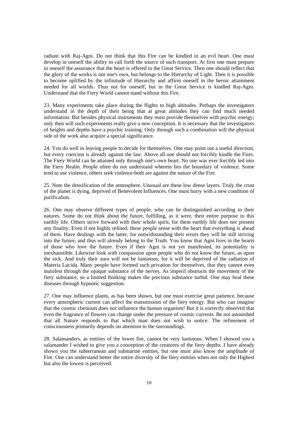radiant with Raj-Agni. Do not think that this Fire can be kindled in an evil heart. One must develop in oneself the ability to call forth the source of such transport. At first one must prepare in oneself the assurance that the heart is offered to the Great Service. Then one should reflect that the glory of the works is not one's own, but belongs to the Hierarchy of Light. Then it is possible to become uplifted by the infinitude of Hierarchy and affirm oneself in the heroic attainment needed for all worlds. Thus not for oneself, but in the Great Service is kindled Raj-Agni. Understand that the Fiery World cannot stand without this Fire.

23. Many experiments take place during the flights to high altitudes. Perhaps the investigators understand in the depth of their being that at great altitudes they can find much needed information. But besides physical instruments they must provide themselves with psychic energy; only then will such experiments really give a new conception. It is necessary that the investigators of heights and depths have a psychic training. Only through such a combination will the physical side of the work also acquire a special significance.

24. You do well in leaving people to decide for themselves. One may point out a useful direction, but every coercion is already against the law. Above all one should not forcibly kindle the Fires. The Fiery World can be attained only through one's own heart. No one was ever forcibly led into the Fiery Realm. People often do not understand wherein lies the boundary of violence. Some tend to use violence, others seek violence-both are against the nature of the Fire.

25. Note the densification of the atmosphere. Unusual are these low dense layers. Truly the crust of the planet is dying, deprived of Benevolent Influences. One must hurry with a new condition of purification.

26. One may observe different types of people, who can be distinguished according to their natures. Some do not think about the future, fulfilling, as it were, their entire purpose in this earthly life. Others strive forward with their whole spirit, for them earthly life does not present any finality. Even if not highly refined, these people sense with the heart that everything is ahead of them. Have dealings with the latter, for notwithstanding their errors they will be still striving into the future, and thus will already belong to the Truth. You know that Agni lives in the hearts of those who love the future. Even if their Agni is not yet manifested, its potentiality is inexhaustible. Likewise look with compassion upon people who do not know the future, as upon the sick. And truly their aura will not be luminous, for it will be deprived of the radiation of Materia Lucida. Many people have formed such privation for themselves, that they cannot even manifest through the opaque substance of the nerves. As imperil obstructs the movement of the fiery substance, so a limited thinking makes the precious substance turbid. One may heal these diseases through hypnotic suggestion.

27. One may influence plants, as has been shown, but one must exercise great patience, because every atmospheric current can affect the transmission of the fiery energy. But who can imagine that the cosmic chemism does not influence the human organism! But it is correctly observed that even the fragrance of flowers can change under the pressure of cosmic currents. Be not astonished that all Nature responds to that which man does not wish to notice. The refinement of consciousness primarily depends on attention to the surroundings.

28. Salamanders, as entities of the lower fire, cannot be very luminous. When I showed you a salamander I wished to give you a conception of the creatures of the fiery depths. I have already shown you the subterranean and submarine entities, but one must also know the amplitude of Fire. One can understand better the entire diversity of the fiery entities when not only the Highest but also the lowest is perceived.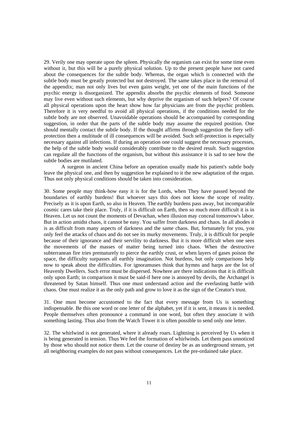29. Verily one may operate upon the spleen. Physically the organism can exist for some time even without it, but this will be a purely physical solution. Up to the present people have not cared about the consequences for the subtle body. Whereas, the organ which is connected with the subtle body must be greatly protected but not destroyed. The same takes place in the removal of the appendix; man not only lives but even gains weight, yet one of the main functions of the psychic energy is disorganized. The appendix absorbs the psychic elements of food. Someone may live even without such elements, but why deprive the organism of such helpers? Of course all physical operations upon the heart show how far physicians are from the psychic problem. Therefore it is very needful to avoid all physical operations, if the conditions needed for the subtle body are not observed. Unavoidable operations should be accompanied by corresponding suggestion, in order that the parts of the subtle body may assume the required position. One should mentally contact the subtle body. If the thought affirms through suggestion the fiery selfprotection then a multitude of ill consequences will be avoided. Such self-protection is especially necessary against all infections. If during an operation one could suggest the necessary processes, the help of the subtle body would considerably contribute to the desired result. Such suggestion can regulate all the functions of the organism, but without this assistance it is sad to see how the subtle bodies are mutilated.

 A surgeon in ancient China before an operation usually made his patient's subtle body leave the physical one, and then by suggestion he explained to it the new adaptation of the organ. Thus not only physical conditions should be taken into consideration.

30. Some people may think-how easy it is for the Lords, when They have passed beyond the boundaries of earthly burdens! But whoever says this does not know the scope of reality. Precisely as it is upon Earth, so also in Heaven. The earthly burdens pass away, but incomparable cosmic cares take their place. Truly, if it is difficult on Earth, then so much more difficult it is in Heaven. Let us not count the moments of Devachan, when illusion may conceal tomorrow's labor. But in action amidst chaos, it cannot be easy. You suffer from darkness and chaos. In all abodes it is as difficult from many aspects of darkness and the same chaos. But, fortunately for you, you only feel the attacks of chaos and do not see its murky movements. Truly, it is difficult for people because of their ignorance and their servility to darkness. But it is more difficult when one sees the movements of the masses of matter being turned into chaos. When the destructive subterranean fire tries prematurely to pierce the earthly crust, or when layers of gases poison the space, the difficulty surpasses all earthly imagination. Not burdens, but only comparisons help now to speak about the difficulties. For ignoramuses think that hymns and harps are the lot of Heavenly Dwellers. Such error must be dispersed. Nowhere are there indications that it is difficult only upon Earth; in comparison it must be said-if here one is annoyed by devils, the Archangel is threatened by Satan himself. Thus one must understand action and the everlasting battle with chaos. One must realize it as the only path and grow to love it as the sign of the Creator's trust.

31. One must become accustomed to the fact that every message from Us is something indispensable. Be this one word or one letter of the alphabet, yet if it is sent, it means it is needed. People themselves often pronounce a command in one word, but often they associate it with something lasting. Thus also from the Watch Tower it is often possible to send only one letter.

32. The whirlwind is not generated, where it already roars. Lightning is perceived by Us when it is being generated in tension. Thus We feel the formation of whirlwinds. Let them pass unnoticed by those who should not notice them. Let the course of destiny be as an underground stream, yet all neighboring examples do not pass without consequences. Let the pre-ordained take place.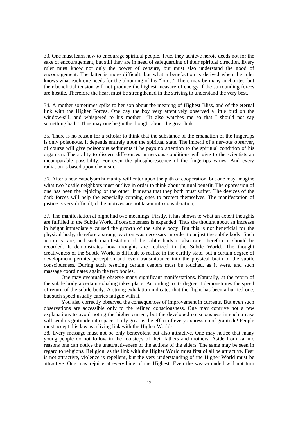33. One must learn how to encourage spiritual people. True, they achieve heroic deeds not for the sake of encouragement, but still they are in need of safeguarding of their spiritual direction. Every ruler must know not only the power of censure, but must also understand the good of encouragement. The latter is more difficult, but what a benefaction is derived when the ruler knows what each one needs for the blooming of his "lotos." There may be many anchorites, but their beneficial tension will not produce the highest measure of energy if the surrounding forces are hostile. Therefore the heart must be strengthened in the striving to understand the very best.

34. A mother sometimes spike to her son about the meaning of Highest Bliss, and of the eternal link with the Higher Forces. One day the boy very attentively observed a little bird on the window-sill, and whispered to his mother—"It also watches me so that I should not say something bad!" Thus may one begin the thought about the great link.

35. There is no reason for a scholar to think that the substance of the emanation of the fingertips is only poisonous. It depends entirely upon the spiritual state. The imperil of a nervous observer, of course will give poisonous sediments if he pays no attention to the spiritual condition of his organism. The ability to discern differences in nervous conditions will give to the scientists an incomparable possibility. For even the phosphorescence of the fingertips varies. And every radiation is based upon chemism.

36. After a new cataclysm humanity will enter upon the path of cooperation. but one may imagine what two hostile neighbors must outlive in order to think about mutual benefit. The oppression of one has been the rejoicing of the other. It means that they both must suffer. The devices of the dark forces will help the especially cunning ones to protect themselves. The manifestation of justice is very difficult, if the motives are not taken into consideration,.

37. The manifestation at night had two meanings. Firstly, it has shown to what an extent thoughts are fulfilled in the Subtle World if consciousness is expanded. Thus the thought about an increase in height immediately caused the growth of the subtle body. But this is not beneficial for the physical body; therefore a strong reaction was necessary in order to adjust the subtle body. Such action is rare, and such manifestation of the subtle body is also rare, therefore it should be recorded. It demonstrates how thoughts are realized in the Subtle World. The thought creativeness of the Subtle World is difficult to realize in the earthly state, but a certain degree of development permits perception and even transmittance into the physical brain of the subtle consciousness. During such resetting certain centers must be touched, as it were, and such massage coordinates again the two bodies.

 One may eventually observe many significant manifestations. Naturally, at the return of the subtle body a certain exhaling takes place. According to its degree it demonstrates the speed of return of the subtle body. A strong exhalation indicates that the flight has been a hurried one, but such speed usually carries fatigue with it.

 You also correctly observed the consequences of improvement in currents. But even such observations are accessible only to the refined consciousness. One may contrive not a few explanations to avoid noting the higher current, but the developed consciousness in such a case will send its gratitude into space. Truly great is the effect of every expression of gratitude! People must accept this law as a living link with the Higher Worlds.

38. Every message must not be only benevolent but also attractive. One may notice that many young people do not follow in the footsteps of their fathers and mothers. Aside from karmic reasons one can notice the unattractiveness of the actions of the elders. The same may be seen in regard to religions. Religion, as the link with the Higher World must first of all be attractive. Fear is not attractive, violence is repellent, but the very understanding of the Higher World must be attractive. One may rejoice at everything of the Highest. Even the weak-minded will not turn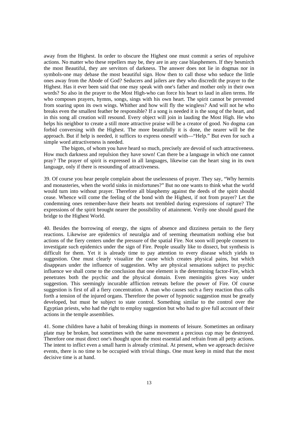away from the Highest. In order to obscure the Highest one must commit a series of repulsive actions. No matter who these repellers may be, they are in any case blasphemers. If they besmirch the most Beautiful, they are servitors of darkness. The answer does not lie in dogmas nor in symbols-one may debase the most beautiful sign. How then to call those who seduce the little ones away from the Abode of God? Seducers and jailers are they who discredit the prayer to the Highest. Has it ever been said that one may speak with one's father and mother only in their own words? So also in the prayer to the Most High-who can force his heart to laud in alien terms. He who composes prayers, hymns, songs, sings with his own heart. The spirit cannot be prevented from soaring upon its own wings. Whither and how will fly the wingless? And will not he who breaks even the smallest feather be responsible? If a song is needed it is the song of the heart, and in this song all creation will resound. Every object will join in lauding the Most High. He who helps his neighbor to create a still more attractive praise will be a creator of good. No dogma can forbid conversing with the Highest. The more beautifully it is done, the nearer will be the approach. But if help is needed, it suffices to express oneself with—"Help." But even for such a simple word attractiveness is needed.

 The bigots, of whom you have heard so much, precisely are devoid of such attractiveness. How much darkness and repulsion they have sown! Can there be a language in which one cannot pray? The prayer of spirit is expressed in all languages, likewise can the heart sing in its own language, only if there is resounding of attractiveness.

39. Of course you hear people complain about the uselessness of prayer. They say, "Why hermits and monasteries, when the world sinks in misfortunes?" But no one wants to think what the world would turn into without prayer. Therefore all blasphemy against the deeds of the spirit should cease. Whence will come the feeling of the bond with the Highest, if not from prayer? Let the condemning ones remember-have their hearts not trembled during expressions of rapture? The expressions of the spirit brought nearer the possibility of attainment. Verily one should guard the bridge to the Highest World.

40. Besides the borrowing of energy, the signs of absence and dizziness pertain to the fiery reactions. Likewise are epidemics of neuralgia and of seeming rheumatism nothing else but actions of the fiery centers under the pressure of the spatial Fire. Not soon will people consent to investigate such epidemics under the sign of Fire. People usually like to dissect, but synthesis is difficult for them. Yet it is already time to pay attention to every disease which yields to suggestion. One must clearly visualize the cause which creates physical pains, but which disappears under the influence of suggestion. Why are physical sensations subject to psychic influence we shall come to the conclusion that one element is the determining factor-Fire, which penetrates both the psychic and the physical domain. Even meningitis gives way under suggestion. This seemingly incurable affliction retreats before the power of Fire. Of course suggestion is first of all a fiery concentration. A man who causes such a fiery reaction thus calls forth a tension of the injured organs. Therefore the power of hypnotic suggestion must be greatly developed, but must be subject to state control. Something similar to the control over the Egyptian priests, who had the right to employ suggestion but who had to give full account of their actions in the temple assemblies.

41. Some children have a habit of breaking things in moments of leisure. Sometimes an ordinary plate may be broken, but sometimes with the same movement a precious cup may be destroyed. Therefore one must direct one's thought upon the most essential and refrain from all petty actions. The intent to inflict even a small harm is already criminal. At present, when we approach decisive events, there is no time to be occupied with trivial things. One must keep in mind that the most decisive time is at hand.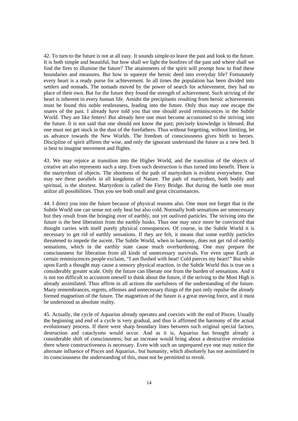42. To turn to the future is not at all easy. It sounds simple-to leave the past and look to the future. It is both simple and beautiful, but how shall we light the bonfires of the past and where shall we find the fires to illumine the future? The attainments of the spirit will prompt how to find these boundaries and measures. But how to squeeze the heroic deed into everyday life? Fortunately every heart is a ready purse for achievement. In all times the population has been divided into settlers and nomads. The nomads moved by the power of search for achievement, they had no place of their own. But for the future they found the strength of achievement. Such striving of the heart is inherent in every human life. Amidst the precipitants resulting from heroic achievements must be found this noble restlessness, leading into the future. Only thus may one escape the snares of the past. I already have told you that one should avoid reminiscences in the Subtle World. They are like fetters! But already here one must become accustomed to the striving into the future. It is not said that one should not know the past; precisely knowledge is blessed. But one must not get stuck in the dust of the forefathers. Thus without forgetting, without limiting, let us advance towards the New Worlds. The freedom of consciousness gives birth to heroes. Discipline of spirit affirms the wise, and only the ignorant understand the future as a new bed. It is best to imagine movement and flights.

43. We may rejoice at transition into the Higher World, and the transition of the objects of creative art also represents such a step. Even such destruction is thus turned into benefit. There is the martyrdom of objects. The shortness of the path of martyrdom is evident everywhere. One may see these parallels in all kingdoms of Nature. The path of martyrdom, both bodily and spiritual, is the shortest. Martyrdom is called the Fiery Bridge. But during the battle one must utilize all possibilities. Thus you see both small and great circumstances.

44. I direct you into the future because of physical reasons also. One must not forget that in the Subtle World one can sense not only heat but also cold. Normally both sensations are unnecessary but they result from the bringing over of earthly, not yet outlived particles. The striving into the future is the best liberation from the earthly husks. Thus one may once more be convinced that thought carries with itself purely physical consequences. Of course, in the Subtle World it is necessary to get rid of earthly sensations. If they are felt, it means that some earthly particles threatened to impede the ascent. The Subtle World, when in harmony, does not get rid of earthly sensations, which in the earthly state cause much overburdening. One may prepare the consciousness for liberation from all kinds of unnecessary survivals. For even upon Earth at certain reminiscences people exclaim, "I am flushed with heat! Cold pierces my heart!" But while upon Earth a thought may cause a sensory physical reaction, in the Subtle World this is true on a considerably greater scale. Only the future can liberate one from the burden of sensations. And it is not too difficult to accustom oneself to think about the future, if the striving to the Most High is already assimilated. Thus affirm in all actions the usefulness of the understanding of the future. Many remembrances, regrets, offenses and unnecessary things of the past only repulse the already formed magnetism of the future. The magnetism of the future is a great moving force, and it must be understood as absolute reality.

45. Actually, the cycle of Aquarius already operates and coexists with the end of Pisces. Usually the beginning and end of a cycle is very gradual, and thus is affirmed the harmony of the actual evolutionary process. If there were sharp boundary lines between such original special factors, destruction and cataclysms would occur. And as it is, Aquarius has brought already a considerable shift of consciousness; but an increase would bring about a destructive revolution there where constructiveness is necessary. Even with such an unprepared eye one may notice the alternate influence of Pisces and Aquarius.. but humanity, which absolutely has not assimilated in its consciousness the understanding of this, must not be permitted to revolt.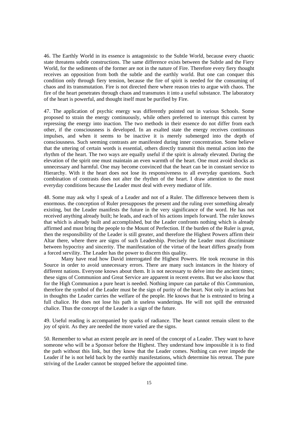46. The Earthly World in its essence is antagonistic to the Subtle World, because every chaotic state threatens subtle constructions. The same difference exists between the Subtle and the Fiery World, for the sediments of the former are not in the nature of Fire. Therefore every fiery thought receives an opposition from both the subtle and the earthly world. But one can conquer this condition only through fiery tension, because the fire of spirit is needed for the consuming of chaos and its transmutation. Fire is not directed there where reason tries to argue with chaos. The fire of the heart penetrates through chaos and transmutes it into a useful substance. The laboratory of the heart is powerful, and thought itself must be purified by Fire.

47. The application of psychic energy was differently pointed out in various Schools. Some proposed to strain the energy continuously, while others preferred to interrupt this current by repressing the energy into inaction. The two methods in their essence do not differ from each other, if the consciousness is developed. In an exalted state the energy receives continuous impulses, and when it seems to be inactive it is merely submerged into the depth of consciousness. Such seeming contrasts are manifested during inner concentration. Some believe that the uttering of certain words is essential, others directly transmit this mental action into the rhythm of the heart. The two ways are equally useful if the spirit is already elevated. During the elevation of the spirit one must maintain an even warmth of the heart. One must avoid shocks as unnecessary and harmful. One may become convinced that the heart can be in constant service to Hierarchy. With it the heart does not lose its responsiveness to all everyday questions. Such combination of contrasts does not alter the rhythm of the heart. I draw attention to the most everyday conditions because the Leader must deal with every mediator of life.

48. Some may ask why I speak of a Leader and not of a Ruler. The difference between them is enormous. the conception of Ruler presupposes the present and the ruling over something already existing, but the Leader manifests the future in the very significance of the word. He has not received anything already built; he leads, and each of his actions impels forward. The ruler knows that which is already built and accomplished, but the Leader confronts nothing which is already affirmed and must bring the people to the Mount of Perfection. If the burden of the Ruler is great, then the responsibility of the Leader is still greater, and therefore the Highest Powers affirm their Altar there, where there are signs of such Leadership. Precisely the Leader must discriminate between hypocrisy and sincerity. The manifestation of the virtue of the heart differs greatly from a forced servility. The Leader has the power to discern this quality.

 Many have read how David interrogated the Highest Powers. He took recourse in this Source in order to avoid unnecessary errors. There are many such instances in the history of different nations. Everyone knows about them. It is not necessary to delve into the ancient times; these signs of Communion and Great Service are apparent in recent events. But we also know that for the High Communion a pure heart is needed. Nothing impure can partake of this Communion, therefore the symbol of the Leader must be the sign of purity of the heart. Not only in actions but in thoughts the Leader carries the welfare of the people. He knows that he is entrusted to bring a full chalice. He does not lose his path in useless wanderings. He will not spill the entrusted chalice. Thus the concept of the Leader is a sign of the future.

49. Useful reading is accompanied by sparks of radiance. The heart cannot remain silent to the joy of spirit. As they are needed the more varied are the signs.

50. Remember to what an extent people are in need of the concept of a Leader. They want to have someone who will be a Sponsor before the Highest. They understand how impossible it is to find the path without this link, but they know that the Leader comes. Nothing can ever impede the Leader if he is not held back by the earthly manifestations, which determine his retreat. The pure striving of the Leader cannot be stopped before the appointed time.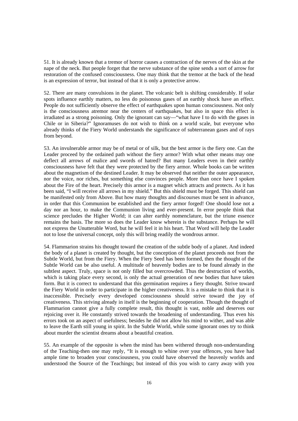51. It is already known that a tremor of horror causes a contraction of the nerves of the skin at the nape of the neck. But people forget that the nerve substance of the spine sends a sort of arrow for restoration of the confused consciousness. One may think that the tremor at the back of the head is an expression of terror, but instead of that it is only a protective arrow.

52. There are many convulsions in the planet. The volcanic belt is shifting considerably. If solar spots influence earthly matters, no less do poisonous gases of an earthly shock have an effect. People do not sufficiently observe the effect of earthquakes upon human consciousness. Not only is the consciousness atremor near the centers of earthquakes, but also in space this effect is irradiated as a strong poisoning. Only the ignorant can say—"what have I to do with the gases in Chile or in Siberia?" Ignoramuses do not wish to think on a world scale, but everyone who already thinks of the Fiery World understands the significance of subterranean gases and of rays from beyond.

53. An invulnerable armor may be of metal or of silk, but the best armor is the fiery one. Can the Leader proceed by the ordained path without the fiery armor? With what other means may one deflect all arrows of malice and swords of hatred? But many Leaders even in their earthly consciousness have felt that they were protected by the fiery armor. Whole books can be written about the magnetism of the destined Leader. It may be observed that neither the outer appearance, nor the voice, nor riches, but something else convinces people. More than once have I spoken about the Fire of the heart. Precisely this armor is a magnet which attracts and protects. As it has been said, "I will receive all arrows in my shield." But this shield must be forged. This shield can be manifested only from Above. But how many thoughts and discourses must be sent in advance, in order that this Communion be established and the fiery armor forged! One should lose not a day nor an hour, to make the Communion living and ever-present. In error people think that science precludes the Higher World; it can alter earthly nomenclature, but the triune essence remains the basis. The more so does the Leader know wherein is the substance. Perhaps he will not express the Unutterable Word, but he will feel it in his heart. That Word will help the Leader not to lose the universal concept, only this will bring readily the wondrous armor.

54. Flammarion strains his thought toward the creation of the subtle body of a planet. And indeed the body of a planet is created by thought, but the conception of the planet proceeds not from the Subtle World, but from the Fiery. When the Fiery Seed has been formed, then the thought of the Subtle World can be also useful. A multitude of heavenly bodies are to be found already in the subtlest aspect. Truly, space is not only filled but overcrowded. Thus the destruction of worlds, which is taking place every second, is only the actual generation of new bodies that have taken form. But it is correct to understand that this germination requires a fiery thought. Strive toward the Fiery World in order to participate in the higher creativeness. It is a mistake to think that it is inaccessible. Precisely every developed consciousness should strive toward the joy of creativeness. This striving already in itself is the beginning of cooperation. Though the thought of Flammarion cannot give a fully complete result, this thought is vast, noble and deserves our rejoicing over it. He constantly strived towards the broadening of understanding. Thus even his errors took on an aspect of usefulness; besides he did not allow his mind to wither, and was able to leave the Earth still young in spirit. In the Subtle World, while some ignorant ones try to think about murder the scientist dreams about a beautiful creation.

55. An example of the opposite is when the mind has been withered through non-understanding of the Teaching-then one may reply, "It is enough to whine over your offences, you have had ample time to broaden your consciousness, you could have observed the heavenly worlds and understood the Source of the Teachings; but instead of this you wish to carry away with you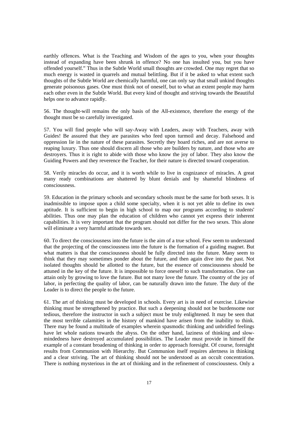earthly offences. What is the Teaching and Wisdom of the ages to you, when your thoughts instead of expanding have been shrunk in offence? No one has insulted you, but you have offended yourself." Thus in the Subtle World small thoughts are crowded. One may regret that so much energy is wasted in quarrels and mutual belittling. But if it be asked to what extent such thoughts of the Subtle World are chemically harmful, one can only say that small unkind thoughts generate poisonous gases. One must think not of oneself, but to what an extent people may harm each other even in the Subtle World. But every kind of thought and striving towards the Beautiful helps one to advance rapidly.

56. The thought-will remains the only basis of the All-existence, therefore the energy of the thought must be so carefully investigated.

57. You will find people who will say-Away with Leaders, away with Teachers, away with Guides! Be assured that they are parasites who feed upon turmoil and decay. Falsehood and oppression lie in the nature of these parasites. Secretly they hoard riches, and are not averse to reaping luxury. Thus one should discern all those who are builders by nature, and those who are destroyers. Thus it is right to abide with those who know the joy of labor. They also know the Guiding Powers and they reverence the Teacher, for their nature is directed toward cooperation.

58. Verily miracles do occur, and it is worth while to live in cognizance of miracles. A great many ready combinations are shattered by blunt denials and by shameful blindness of consciousness.

59. Education in the primary schools and secondary schools must be the same for both sexes. It is inadmissible to impose upon a child some specialty, when it is not yet able to define its own aptitude. It is sufficient to begin in high school to map our programs according to students' abilities. Thus one may plan the education of children who cannot yet express their inherent capabilities. It is very important that the program should not differ for the two sexes. This alone will eliminate a very harmful attitude towards sex.

60. To direct the consciousness into the future is the aim of a true school. Few seem to understand that the projecting of the consciousness into the future is the formation of a guiding magnet. But what matters is that the consciousness should be fully directed into the future. Many seem to think that they may sometimes ponder about the future, and then again dive into the past. Not isolated thoughts should be allotted to the future, but the essence of consciousness should be attuned in the key of the future. It is impossible to force oneself to such transformation. One can attain only by growing to love the future. But not many love the future. The country of the joy of labor, in perfecting the quality of labor, can be naturally drawn into the future. The duty of the Leader is to direct the people to the future.

61. The art of thinking must be developed in schools. Every art is in need of exercise. Likewise thinking must be strengthened by practice. But such a deepening should not be burdensome nor tedious, therefore the instructor in such a subject must be truly enlightened. It may be seen that the most terrible calamities in the history of mankind have arisen from the inability to think. There may be found a multitude of examples wherein spasmodic thinking and unbridled feelings have let whole nations towards the abyss. On the other hand, laziness of thinking and slowmindedness have destroyed accumulated possibilities. The Leader must provide in himself the example of a constant broadening of thinking in order to approach foresight. Of course, foresight results from Communion with Hierarchy. But Communion itself requires alertness in thinking and a clear striving. The art of thinking should not be understood as an occult concentration. There is nothing mysterious in the art of thinking and in the refinement of consciousness. Only a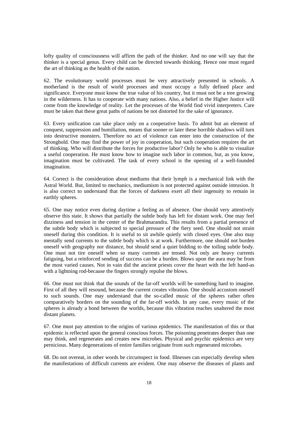lofty quality of consciousness will affirm the path of the thinker. And no one will say that the thinker is a special genus. Every child can be directed towards thinking. Hence one must regard the art of thinking as the health of the nation.

62. The evolutionary world processes must be very attractively presented in schools. A motherland is the result of world processes and must occupy a fully defined place and significance. Everyone must know the true value of his country, but it must not be a tree growing in the wilderness. It has to cooperate with many nations. Also, a belief in the Higher Justice will come from the knowledge of reality. Let the processes of the World find vivid interpreters. Care must be taken that these great paths of nations be not distorted for the sake of ignorance.

63. Every unification can take place only on a cooperative basis. To admit but an element of conquest, suppression and humiliation, means that sooner or later these horrible shadows will turn into destructive monsters. Therefore no act of violence can enter into the construction of the Stronghold. One may find the power of joy in cooperation, but such cooperation requires the art of thinking. Who will distribute the forces for productive labor? Only he who is able to visualize a useful cooperation. He must know how to imagine such labor in common, but, as you know, imagination must be cultivated. The task of every school is the opening of a well-founded imagination.

64. Correct is the consideration about mediums that their lymph is a mechanical link with the Astral World. But, limited to mechanics, mediumism is not protected against outside intrusion. It is also correct to understand that the forces of darkness exert all their ingenuity to remain in earthly spheres.

65. One may notice even during daytime a feeling as of absence. One should very attentively observe this state. It shows that partially the subtle body has left for distant work. One may feel dizziness and tension in the center of the Brahmarandra. This results from a partial presence of the subtle body which is subjected to special pressure of the fiery seed. One should not strain oneself during this condition. It is useful to sit awhile quietly with closed eyes. One also may mentally send currents to the subtle body which is at work. Furthermore, one should not burden oneself with geography nor distance, but should send a quiet bidding to the toiling subtle body. One must not tire oneself when so many currents are tensed. Not only are heavy currents fatiguing, but a reinforced sending of success can be a burden. Blows upon the aura may be from the most varied causes. Not in vain did the ancient priests cover the heart with the left hand-as with a lightning rod-because the fingers strongly repulse the blows.

66. One must not think that the sounds of the far-off worlds will be something hard to imagine. First of all they will resound, because the current creates vibration. One should accustom oneself to such sounds. One may understand that the so-called music of the spheres rather often comparatively borders on the sounding of the far-off worlds. In any case, every music of the spheres is already a bond between the worlds, because this vibration reaches unaltered the most distant planets.

67. One must pay attention to the origins of various epidemics. The manifestation of this or that epidemic is reflected upon the general conscious forces. The poisoning penetrates deeper than one may think, and regenerates and creates new microbes. Physical and psychic epidemics are very pernicious. Many degenerations of entire families originate from such regenerated microbes.

68. Do not overeat, in other words be circumspect in food. Illnesses can especially develop when the manifestations of difficult currents are evident. One may observe the diseases of plants and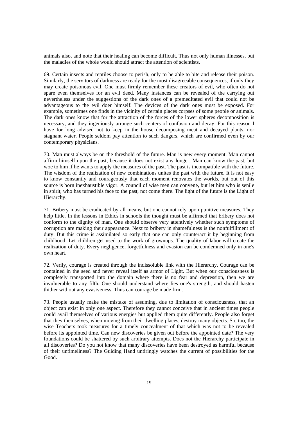animals also, and note that their healing can become difficult. Thus not only human illnesses, but the maladies of the whole would should attract the attention of scientists.

69. Certain insects and reptiles choose to perish, only to be able to bite and release their poison. Similarly, the servitors of darkness are ready for the most disagreeable consequences, if only they may create poisonous evil. One must firmly remember these creators of evil, who often do not spare even themselves for an evil deed. Many instances can be revealed of the carrying out nevertheless under the suggestions of the dark ones of a premeditated evil that could not be advantageous to the evil doer himself. The devices of the dark ones must be exposed. For example, sometimes one finds in the vicinity of certain places corpses of some people or animals. The dark ones know that for the attraction of the forces of the lower spheres decomposition is necessary, and they ingeniously arrange such centers of confusion and decay. For this reason I have for long advised not to keep in the house decomposing meat and decayed plants, nor stagnant water. People seldom pay attention to such dangers, which are confirmed even by our contemporary physicians.

70. Man must always be on the threshold of the future. Man is new every moment. Man cannot affirm himself upon the past, because it does not exist any longer. Man can know the past, but woe to him if he wants to apply the measures of the past. The past is incompatible with the future. The wisdom of the realization of new combinations unites the past with the future. It is not easy to know constantly and courageously that each moment renovates the worlds, but out of this source is born inexhaustible vigor. A council of wise men can convene, but let him who is senile in spirit, who has turned his face to the past, not come there. The light of the future is the Light of Hierarchy.

71. Bribery must be eradicated by all means, but one cannot rely upon punitive measures. They help little. In the lessons in Ethics in schools the thought must be affirmed that bribery does not conform to the dignity of man. One should observe very attentively whether such symptoms of corruption are making their appearance. Next to bribery in shamefulness is the nonfulfillment of duty. But this crime is assimilated so early that one can only counteract it by beginning from childhood. Let children get used to the work of grownups. The quality of labor will create the realization of duty. Every negligence, forgetfulness and evasion can be condemned only in one's own heart.

72. Verily, courage is created through the indissoluble link with the Hierarchy. Courage can be contained in the seed and never reveal itself as armor of Light. But when our consciousness is completely transported into the domain where there is no fear and depression, then we are invulnerable to any filth. One should understand where lies one's strength, and should hasten thither without any evasiveness. Thus can courage be made firm.

73. People usually make the mistake of assuming, due to limitation of consciousness, that an object can exist in only one aspect. Therefore they cannot conceive that in ancient times people could avail themselves of various energies but applied them quite differently. People also forget that they themselves, when moving from their dwelling places, destroy many objects. So, too, the wise Teachers took measures for a timely concealment of that which was not to be revealed before its appointed time. Can new discoveries be given out before the appointed date? The very foundations could be shattered by such arbitrary attempts. Does not the Hierarchy participate in all discoveries? Do you not know that many discoveries have been destroyed as harmful because of their untimeliness? The Guiding Hand untiringly watches the current of possibilities for the Good.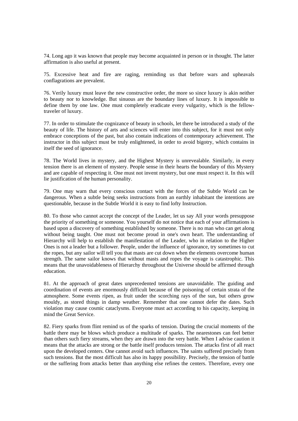74. Long ago it was known that people may become acquainted in person or in thought. The latter affirmation is also useful at present.

75. Excessive heat and fire are raging, reminding us that before wars and upheavals conflagrations are prevalent.

76. Verily luxury must leave the new constructive order, the more so since luxury is akin neither to beauty nor to knowledge. But sinuous are the boundary lines of luxury. It is impossible to define them by one law. One must completely eradicate every vulgarity, which is the fellowtraveler of luxury.

77. In order to stimulate the cognizance of beauty in schools, let there be introduced a study of the beauty of life. The history of arts and sciences will enter into this subject, for it must not only embrace conceptions of the past, but also contain indications of contemporary achievement. The instructor in this subject must be truly enlightened, in order to avoid bigotry, which contains in itself the seed of ignorance.

78. The World lives in mystery, and the Highest Mystery is unrevealable. Similarly, in every tension there is an element of mystery. People sense in their hearts the boundary of this Mystery and are capable of respecting it. One must not invent mystery, but one must respect it. In this will lie justification of the human personality.

79. One may warn that every conscious contact with the forces of the Subtle World can be dangerous. When a subtle being seeks instructions from an earthly inhabitant the intentions are questionable, because in the Subtle World it is easy to find lofty Instruction.

80. To those who cannot accept the concept of the Leader, let us say All your words presuppose the priority of something or someone. You yourself do not notice that each of your affirmations is based upon a discovery of something established by someone. There is no man who can get along without being taught. One must not become proud in one's own heart. The understanding of Hierarchy will help to establish the manifestation of the Leader, who in relation to the Higher Ones is not a leader but a follower. People, under the influence of ignorance, try sometimes to cut the ropes, but any sailor will tell you that masts are cut down when the elements overcome human strength. The same sailor knows that without masts and ropes the voyage is catastrophic. This means that the unavoidableness of Hierarchy throughout the Universe should be affirmed through education.

81. At the approach of great dates unprecedented tensions are unavoidable. The guiding and coordination of events are enormously difficult because of the poisoning of certain strata of the atmosphere. Some events ripen, as fruit under the scorching rays of the sun, but others grow mouldy, as stored things in damp weather. Remember that one cannot defer the dates. Such violation may cause cosmic cataclysms. Everyone must act according to his capacity, keeping in mind the Great Service.

82. Fiery sparks from flint remind us of the sparks of tension. During the crucial moments of the battle there may be blows which produce a multitude of sparks. The nearestones can feel better than others such fiery streams, when they are drawn into the very battle. When I advise caution it means that the attacks are strong or the battle itself produces tension. The attacks first of all react upon the developed centers. One cannot avoid such influences. The saints suffered precisely from such tensions. But the most difficult has also its happy possibility. Precisely, the tension of battle or the suffering from attacks better than anything else refines the centers. Therefore, every one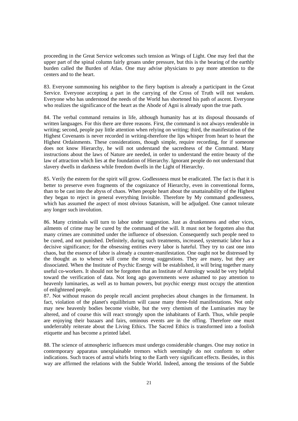proceeding in the Great Service welcomes such tension as Wings of Light. One may feel that the upper part of the spinal column fairly groans under pressure, but this is the bearing of the earthly burden called the Burden of Atlas. One may advise physicians to pay more attention to the centers and to the heart.

83. Everyone summoning his neighbor to the fiery baptism is already a participant in the Great Service. Everyone accepting a part in the carrying of the Cross of Truth will not weaken. Everyone who has understood the needs of the World has shortened his path of ascent. Everyone who realizes the significance of the heart as the Abode of Agni is already upon the true path.

84. The verbal command remains in life, although humanity has at its disposal thousands of written languages. For this there are three reasons. First, the command is not always renderable in writing; second, people pay little attention when relying on writing; third, the manifestation of the Highest Covenants is never recorded in writing-therefore the lips whisper from heart to heart the Highest Ordainments. These considerations, though simple, require recording, for if someone does not know Hierarchy, he will not understand the sacredness of the Command. Many instructions about the laws of Nature are needed, in order to understand the entire beauty of the law of attraction which lies at the foundation of Hierarchy. Ignorant people do not understand that slavery dwells in darkness while freedom dwells in the Light of Hierarchy.

85. Verily the esteem for the spirit will grow. Godlessness must be eradicated. The fact is that it is better to preserve even fragments of the cognizance of Hierarchy, even in conventional forms, than to be cast into the abyss of chaos. When people heart about the unattainability of the Highest they began to reject in general everything Invisible. Therefore by My command godlessness, which has assumed the aspect of most obvious Satanism, will be adjudged. One cannot tolerate any longer such involution.

86. Many criminals will turn to labor under suggestion. Just as drunkenness and other vices, ailments of crime may be cured by the command of the will. It must not be forgotten also that many crimes are committed under the influence of obsession. Consequently such people need to be cured, and not punished. Definitely, during such treatments, increased, systematic labor has a decisive significance; for the obsessing entities every labor is hateful. They try to cast one into chaos, but the essence of labor is already a counter-manifestation. One ought not be distressed by the thought as to whence will come the strong suggestions. They are many, but they are dissociated. When the Institute of Psychic Energy will be established, it will bring together many useful co-workers. It should not be forgotten that an Institute of Astrology would be very helpful toward the verification of data. Not long ago governments were ashamed to pay attention to heavenly luminaries, as well as to human powers, but psychic energy must occupy the attention of enlightened people.

87. Not without reason do people recall ancient prophecies about changes in the firmament. In fact, violation of the planet's equilibrium will cause many three-fold manifestations. Not only may new heavenly bodies become visible, but the very chemism of the Luminaries may be altered, and of course this will react strongly upon the inhabitants of Earth. Thus, while people are enjoying their bazaars and fairs, ominous events are in the offing. Therefore one must undeferrably reiterate about the Living Ethics. The Sacred Ethics is transformed into a foolish etiquette and has become a printed label.

88. The science of atmospheric influences must undergo considerable changes. One may notice in contemporary apparatus unexplainable tremors which seemingly do not conform to other indications. Such traces of astral whirls bring to the Earth very significant effects. Besides, in this way are affirmed the relations with the Subtle World. Indeed, among the tensions of the Subtle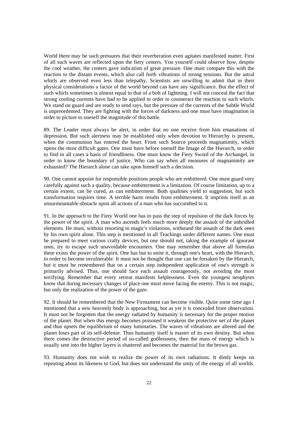World there may be such pressures that their reverberation even agitates manifested matter. First of all such waves are reflected upon the fiery centers. You yourself could observe how, despite the cool weather, the centers gave indication of great pressure. One must compare this with the reaction to the distant events, which also call forth vibrations of strong tensions. But the astral whirls are observed even less than telepathy. Scientists are unwilling to admit that in their physical considerations a factor of the world beyond can have any significance. But the effect of such whirls sometimes is almost equal to that of a bolt of lightning. I will not conceal the fact that strong cooling currents have had to be applied in order to counteract the reaction to such whirls. We stand on guard and are ready to send rays, but the pressure of the currents of the Subtle World is unprecedented. They are fighting with the forces of darkness and one must have imagination in order to picture to oneself the magnitude of this battle.

89. The Leader must always be alert, in order that no one receive from him emanations of depression. But such alertness may be established only when devotion to Hierarchy is present, when the communion has entered the heart. From such Source proceeds magnanimity, which opens the most difficult gates. One must have before oneself the Image of the Hierarch, in order to find in all cases a basis of friendliness. One must know the Fiery Sword of the Archangel, in order to know the boundary of justice. Who can say when all measures of magnanimity are exhausted? The Hierarch alone can take upon himself such a decision.

90. One cannot appoint for responsible positions people who are embittered. One must guard very carefully against such a quality, because embitterment is a limitation. Of course limitation, up to a certain extent, can be cured, as can embitterment. Both qualities yield to suggestion, but such transformation requires time. A terrible harm results from embitterment. It imprints itself as an unsurmountable obstacle upon all actions of a man who has succumbed to it.

91. In the approach to the Fiery World one has to pass the step of repulsion of the dark forces by the power of the spirit. A man who ascends feels much more deeply the assault of the unbridled elements. He must, without resorting to magic's violations, withstand the assault of the dark ones by his own spirit alone. This step is mentioned in all Teachings under different names. One must be prepared to meet various crafty devices, but one should not, taking the example of ignorant ones, try to escape such unavoidable encounters. One may remember that above all formulas there exists the power of the spirit. One has but to unite it, through one's heart, with the Hierarch, in order to become invulnerable. It must not be thought that one can be forsaken by the Hierarch, but it must be remembered that on a certain step independent application of one's strength is primarily advised. Thus, one should face each assault courageously, not avoiding the most terrifying. Remember that every retreat manifests helplessness. Even the youngest neophytes know that during necessary changes of place one must move facing the enemy. This is not magic, but only the realization of the power of the gaze.

92. It should be remembered that the New Firmament can become visible. Quite some time ago I mentioned that a new heavenly body is approaching, but as yet it is concealed from observation. It must not be forgotten that the energy radiated by humanity is necessary for the proper motion of the planet. But when this energy becomes poisoned it weakens the protective net of the planet and thus upsets the equilibrium of many luminaries. The waves of vibrations are altered and the planet loses part of its self-defense. Thus humanity itself is master of its own destiny. But when there comes the destructive period of so-called godlessness, then the mass of energy which is usually sent into the higher layers is shattered and becomes the material for the brown gas.

93. Humanity does not wish to realize the power of its own radiations. It dimly keeps on repeating about its likeness to God, but does not understand the unity of the energy of all worlds.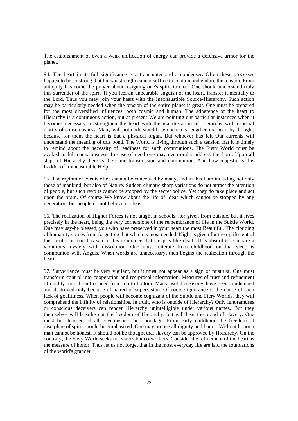The establishment of even a weak unification of energy can provide a defensive armor for the planet.

94. The heart in its full significance is a transmuter and a condenser. Often these processes happen to be so strong that human strength cannot suffice to contain and endure the tension. From antiquity has come the prayer about resigning one's spirit to God. One should understand truly this surrender of the spirit. If you feel an unbearable anguish of the heart, transfer it mentally to the Lord. Thus you may join your heart with the Inexhaustible Source-Hierarchy. Such action may be particularly needed when the tension of the entire planet is great. One must be prepared for the most diversified influences, both cosmic and human. The adherence of the heart to Hierarchy is a continuous action, but at present We are pointing out particular instances when it becomes necessary to strengthen the heart with the manifestation of Hierarchy with especial clarity of consciousness. Many will not understand how one can strengthen the heart by thought, because for them the heart is but a physical organ. But whoever has felt Our currents will understand the meaning of this bond. The World is living through such a tension that it is timely to remind about the necessity of readiness for such communions. The Fiery World must be evoked in full consciousness. In case of need one may even orally address the Lord. Upon all steps of Hierarchy there is the same transmission and communion. And how majestic is this Ladder of Immeasurable Help.

95. The rhythm of events often cannot be conceived by many, and in this I am including not only those of mankind, but also of Nature. Sudden climatic sharp variations do not attract the attention of people, but such revolts cannot be stopped by the secret police. Yet they do take place and act upon the brain. Of course We know about the life of ideas which cannot be stopped by any generation, but people do not believe in ideas!

96. The realization of Higher Forces is not taught in schools, nor given from outside, but it lives precisely in the heart, being the very cornerstone of the remembrance of life in the Subtle World. One may say-be blessed, you who have preserved in your heart the most Beautiful. The clouding of humanity comes from forgetting that which is most needed. Night is given for the upliftment of the spirit, but man has said in his ignorance that sleep is like death. It is absurd to compare a wondrous mystery with dissolution. One must reiterate from childhood on that sleep is communion with Angels. When words are unnecessary, then begins the realization through the heart.

97. Surveillance must be very vigilant, but it must not appear as a sign of mistrust. One must transform control into cooperation and reciprocal information. Measures of trust and refinement of quality must be introduced from top to bottom. Many useful measures have been condemned and destroyed only because of hatred of supervision. Of course ignorance is the cause of such lack of goalfitness. When people will become cognizant of the Subtle and Fiery Worlds, they will comprehend the infinity of relationships. In truth, who is outside of Hierarchy? Only ignoramuses or conscious deceivers can render Hierarchy unintelligible under various names. But they themselves will breathe not the freedom of Hierarchy, but will bear the brand of slavery. One must be cleansed of all covetousness and bondage. From early childhood the freedom of discipline of spirit should be emphasized. One may arouse all dignity and honor. Without honor a man cannot be honest. It should not be thought that slavery can be approved by Hierarchy. On the contrary, the Fiery World seeks not slaves but co-workers. Consider the refinement of the heart as the measure of honor. Thus let us not forget that in the most everyday life are laid the foundations of the world's grandeur.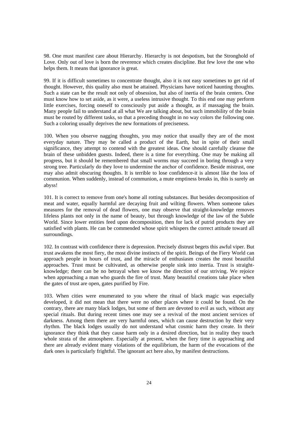98. One must manifest care about Hierarchy. Hierarchy is not despotism, but the Stronghold of Love. Only out of love is born the reverence which creates discipline. But few love the one who helps them. It means that ignorance is great.

99. If it is difficult sometimes to concentrate thought, also it is not easy sometimes to get rid of thought. However, this quality also must be attained. Physicians have noticed haunting thoughts. Such a state can be the result not only of obsession, but also of inertia of the brain centers. One must know how to set aside, as it were, a useless intrusive thought. To this end one may perform little exercises, forcing oneself to consciously put aside a thought, as if massaging the brain. Many people fail to understand at all what We are talking about, but such immobility of the brain must be routed by different tasks, so that a preceding thought in no way colors the following one. Such a coloring usually deprives the new formations of preciseness.

100. When you observe nagging thoughts, you may notice that usually they are of the most everyday nature. They may be called a product of the Earth, but in spite of their small significance, they attempt to contend with the greatest ideas. One should carefully cleanse the brain of these unbidden guests. Indeed, there is a time for everything. One may be making all progress, but it should be remembered that small worms may succeed in boring through a very strong tree. Particularly do they love to undermine the anchor of confidence. Beside mistrust, one may also admit obscuring thoughts. It is terrible to lose confidence-it is almost like the loss of communion. When suddenly, instead of communion, a mute emptiness breaks in, this is surely an abyss!

101. It is correct to remove from one's home all rotting substances. But besides decomposition of meat and water, equally harmful are decaying fruit and wilting flowers. When someone takes measures for the removal of dead flowers, one may observe that straight-knowledge removes lifeless plants not only in the name of beauty, but through knowledge of the law of the Subtle World. Since lower entities feed upon decomposition, then for lack of putrid products they are satisfied with plants. He can be commended whose spirit whispers the correct attitude toward all surroundings.

102. In contrast with confidence there is depression. Precisely distrust begets this awful viper. But trust awakens the most fiery, the most divine instincts of the spirit. Beings of the Fiery World can approach people in hours of trust, and the miracle of enthusiasm creates the most beautiful approaches. Trust must be cultivated, as otherwise people sink into inertia. Trust is straightknowledge; there can be no betrayal when we know the direction of our striving. We rejoice when approaching a man who guards the fire of trust. Many beautiful creations take place when the gates of trust are open, gates purified by Fire.

103. When cities were enumerated to you where the ritual of black magic was especially developed, it did not mean that there were no other places where it could be found. On the contrary, there are many black lodges, but some of them are devoted to evil as such, without any special rituals. But during recent times one may see a revival of the most ancient services of darkness. Among them there are very harmful ones, which can cause destruction by their very rhythm. The black lodges usually do not understand what cosmic harm they create. In their ignorance they think that they cause harm only in a desired direction, but in reality they touch whole strata of the atmosphere. Especially at present, when the fiery time is approaching and there are already evident many violations of the equilibrium, the harm of the evocations of the dark ones is particularly frightful. The ignorant act here also, by manifest destructions.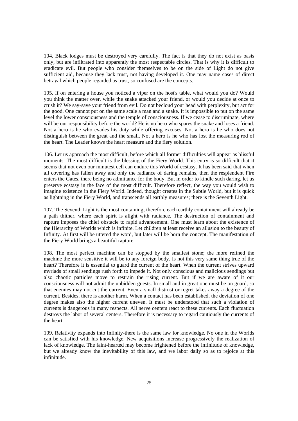104. Black lodges must be destroyed very carefully. The fact is that they do not exist as oasis only, but are infiltrated into apparently the most respectable circles. That is why it is difficult to eradicate evil. But people who consider themselves to be on the side of Light do not give sufficient aid, because they lack trust, not having developed it. One may name cases of direct betrayal which people regarded as trust, so confused are the concepts.

105. If on entering a house you noticed a viper on the host's table, what would you do? Would you think the matter over, while the snake attacked your friend, or would you decide at once to crush it? We say-save your friend from evil. Do not becloud your head with perplexity, but act for the good. One cannot put on the same scale a man and a snake. It is impossible to put on the same level the lower consciousness and the temple of consciousness. If we cease to discriminate, where will be our responsibility before the world? He is no hero who spares the snake and loses a friend. Not a hero is he who evades his duty while offering excuses. Not a hero is he who does not distinguish between the great and the small. Not a hero is he who has lost the measuring rod of the heart. The Leader knows the heart measure and the fiery solution.

106. Let us approach the most difficult, before which all former difficulties will appear as blissful moments. The most difficult is the blessing of the Fiery World. This entry is so difficult that it seems that not even our minutest cell can endure this World of ecstasy. It has been said that when all covering has fallen away and only the radiance of daring remains, then the resplendent Fire enters the Gates, there being no admittance for the body. But in order to kindle such daring, let us preserve ecstasy in the face of the most difficult. Therefore reflect, the way you would wish to imagine existence in the Fiery World. Indeed, thought creates in the Subtle World, but it is quick as lightning in the Fiery World, and transcends all earthly measures; there is the Seventh Light.

107. The Seventh Light is the most containing; therefore each earthly containment will already be a path thither, where each spirit is alight with radiance. The destruction of containment and rapture imposes the chief obstacle to rapid advancement. One must learn about the existence of the Hierarchy of Worlds which is infinite. Let children at least receive an allusion to the beauty of Infinity. At first will be uttered the word, but later will be born the concept. The manifestation of the Fiery World brings a beautiful rapture.

108. The most perfect machine can be stopped by the smallest stone; the more refined the machine the more sensitive it will be to any foreign body. Is not this very same thing true of the heart? Therefore it is essential to guard the current of the heart. When the current strives upward myriads of small sendings rush forth to impede it. Not only conscious and malicious sendings but also chaotic particles move to restrain the rising current. But if we are aware of it our consciousness will not admit the unbidden guests. In small and in great one must be on guard, so that enemies may not cut the current. Even a small distrust or regret takes away a degree of the current. Besides, there is another harm. When a contact has been established, the deviation of one degree makes also the higher current uneven. It must be understood that such a violation of currents is dangerous in many respects. All nerve centers react to these currents. Each fluctuation destroys the labor of several centers. Therefore it is necessary to regard cautiously the currents of the heart.

109. Relativity expands into Infinity-there is the same law for knowledge. No one in the Worlds can be satisfied with his knowledge. New acquisitions increase progressively the realization of lack of knowledge. The faint-hearted may become frightened before the infinitude of knowledge, but we already know the inevitability of this law, and we labor daily so as to rejoice at this infinitude.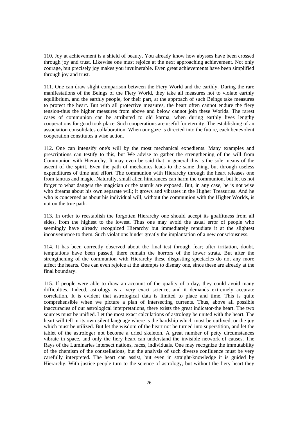110. Joy at achievement is a shield of beauty. You already know how abysses have been crossed through joy and trust. Likewise one must rejoice at the next approaching achievement. Not only courage, but precisely joy makes you invulnerable. Even great achievements have been simplified through joy and trust.

111. One can draw slight comparison between the Fiery World and the earthly. During the rare manifestations of the Beings of the Fiery World, they take all measures not to violate earthly equilibrium, and the earthly people, for their part, at the approach of such Beings take measures to protect the heart. But with all protective measures, the heart often cannot endure the fiery tension-thus the higher measures from above and below cannot join these Worlds. The rarest cases of communion can be attributed to old karma, when during earthly lives lengthy cooperations for good took place. Such cooperations are useful for eternity. The establishing of an association consolidates collaboration. When our gaze is directed into the future, each benevolent cooperation constitutes a wise action.

112. One can intensify one's will by the most mechanical expedients. Many examples and prescriptions can testify to this, but We advise to gather the strengthening of the will from Communion with Hierarchy. It may even be said that in general this is the sole means of the ascent of the spirit. Even the path of mechanics leads to the same thing, but through useless expenditures of time and effort. The communion with Hierarchy through the heart releases one from tantras and magic. Naturally, small alien hindrances can harm the communion, but let us not forget to what dangers the magician or the tantrik are exposed. But, in any case, he is not wise who dreams about his own separate will; it grows and vibrates in the Higher Treasuries. And he who is concerned as about his individual will, without the communion with the Higher Worlds, is not on the true path.

113. In order to reestablish the forgotten Hierarchy one should accept its goalfitness from all sides, from the highest to the lowest. Thus one may avoid the usual error of people who seemingly have already recognized Hierarchy but immediately repudiate it at the slightest inconvenience to them. Such violations hinder greatly the implantation of a new consciousness.

114. It has been correctly observed about the final test through fear; after irritation, doubt, temptations have been passed, there remain the horrors of the lower strata. But after the strengthening of the communion with Hierarchy these disgusting spectacles do not any more affect the hearts. One can even rejoice at the attempts to dismay one, since these are already at the final boundary.

115. If people were able to draw an account of the quality of a day, they could avoid many difficulties. Indeed, astrology is a very exact science, and it demands extremely accurate correlation. It is evident that astrological data is limited to place and time. This is quite comprehensible when we picture a plan of intersecting currents. Thus, above all possible inaccuracies of our astrological interpretations, there exists the great indicator-the heart. The two sources must be unified. Let the most exact calculations of astrology be united with the heart. The heart will tell in its own silent language where is the hardship which must be outlived, or the joy which must be utilized. But let the wisdom of the heart not be turned into superstition, and let the tablet of the astrologer not become a dried skeleton. A great number of petty circumstances vibrate in space, and only the fiery heart can understand the invisible network of causes. The Rays of the Luminaries intersect nations, races, individuals. One may recognize the immutability of the chemism of the constellations, but the analysis of such diverse confluence must be very carefully interpreted. The heart can assist, but even in straight-knowledge it is guided by Hierarchy. With justice people turn to the science of astrology, but without the fiery heart they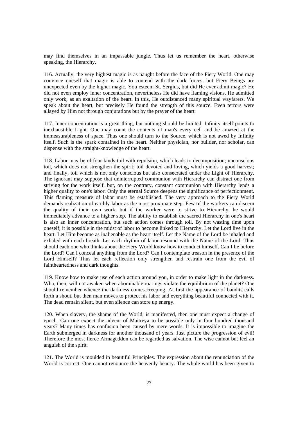may find themselves in an impassable jungle. Thus let us remember the heart, otherwise speaking, the Hierarchy.

116. Actually, the very highest magic is as naught before the face of the Fiery World. One may convince oneself that magic is able to contend with the dark forces, but Fiery Beings are unexpected even by the higher magic. You esteem St. Sergius, but did He ever admit magic? He did not even employ inner concentration, nevertheless He did have flaming visions. He admitted only work, as an exaltation of the heart. In this, He outdistanced many spiritual wayfarers. We speak about the heart, but precisely He found the strength of this source. Even terrors were allayed by Him not through conjurations but by the prayer of the heart.

117. Inner concentration is a great thing, but nothing should be limited. Infinity itself points to inexhaustible Light. One may count the contents of man's every cell and be amazed at the immeasurableness of space. Thus one should turn to the Source, which is not awed by Infinity itself. Such is the spark contained in the heart. Neither physician, nor builder, nor scholar, can dispense with the straight-knowledge of the heart.

118. Labor may be of four kinds-toil with repulsion, which leads to decomposition; unconscious toil, which does not strengthen the spirit; toil devoted and loving, which yields a good harvest; and finally, toil which is not only conscious but also consecrated under the Light of Hierarchy. The ignorant may suppose that uninterrupted communion with Hierarchy can distract one from striving for the work itself, but, on the contrary, constant communion with Hierarchy lends a higher quality to one's labor. Only the eternal Source deepens the significance of perfectionment. This flaming measure of labor must be established. The very approach to the Fiery World demands realization of earthly labor as the most proximate step. Few of the workers can discern the quality of their own work, but if the worker were to strive to Hierarchy, he would immediately advance to a higher step. The ability to establish the sacred Hierarchy in one's heart is also an inner concentration, but such action comes through toil. By not wasting time upon oneself, it is possible in the midst of labor to become linked to Hierarchy. Let the Lord live in the heart. Let Him become as inalienable as the heart itself. Let the Name of the Lord be inhaled and exhaled with each breath. Let each rhythm of labor resound with the Name of the Lord. Thus should each one who thinks about the Fiery World know how to conduct himself. Can I lie before the Lord? Can I conceal anything from the Lord? Can I contemplate treason in the presence of the Lord Himself? Thus let each reflection only strengthen and restrain one from the evil of faintheartedness and dark thoughts.

119. Know how to make use of each action around you, in order to make light in the darkness. Who, then, will not awaken when abominable roarings violate the equilibrium of the planet? One should remember whence the darkness comes creeping. At first the appearance of bandits calls forth a shout, but then man moves to protect his labor and everything beautiful connected with it. The dead remain silent, but even silence can store up energy.

120. When slavery, the shame of the World, is manifested, then one must expect a change of epoch. Can one expect the advent of Maitreya to be possible only in four hundred thousand years? Many times has confusion been caused by mere words. It is impossible to imagine the Earth submerged in darkness for another thousand of years. Just picture the progression of evil! Therefore the most fierce Armageddon can be regarded as salvation. The wise cannot but feel an anguish of the spirit.

121. The World is moulded in beautiful Principles. The expression about the renunciation of the World is correct. One cannot renounce the heavenly beauty. The whole world has been given to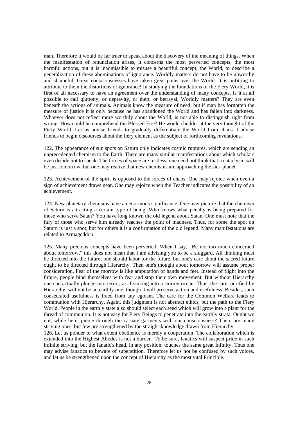man. Therefore it would be far truer to speak about the discovery of the meaning of things. When the manifestation of renunciation arises, it concerns the most perverted concepts, the most harmful actions, but it is inadmissible to misuse a beautiful concept, the World, to describe a generalization of these abominations of ignorance. Worldly matters do not have to be unworthy and shameful. Great consciousnesses have taken great pains over the World. It is unfitting to attribute to them the distortions of ignorance! In studying the foundations of the Fiery World, it is first of all necessary to have an agreement over the understanding of many concepts. Is it at all possible to call gluttony, or depravity, or theft, or betrayal, Worldly matters? They are even beneath the actions of animals. Animals know the measure of need, but if man has forgotten the measure of justice it is only because he has abandoned the World and has fallen into darkness. Whoever does not reflect more worthily about the World, is not able to distinguish right from wrong. How could he comprehend the Blessed Fire? He would shudder at the very thought of the Fiery World. Let us advise friends to gradually differentiate the World from chaos. I advise friends to begin discourses about the fiery element as the subject of forthcoming revelations.

122. The appearance of sun spots on Saturn only indicates cosmic ruptures, which are sending an unprecedented chemism to the Earth. There are many similar manifestations about which scholars even decide not to speak. The forces of space are restless; one need not think that a cataclysm will be just tomorrow, but one may realize that new chemisms are approaching the sick planet.

123. Achievement of the spirit is opposed to the forces of chaos. One may rejoice when even a sign of achievement draws near. One may rejoice when the Teacher indicates the possibility of an achievement.

124. New planetary chemisms have an enormous significance. One may picture that the chemism of Saturn is attracting a certain type of being. Who knows what penalty is being prepared for those who serve Satan? You have long known the old legend about Satan. One must note that the fury of those who serve him already reaches the point of madness. Thus, for some the spot on Saturn is just a spot, but for others it is a confirmation of the old legend. Many manifestations are related to Armageddon.

125. Many precious concepts have been perverted. When I say, "Be not too much concerned about tomorrow," this does not mean that I am advising you to be a sluggard. All thinking must be directed into the future; one should labor for the future, but one's care about the sacred future ought to be directed through Hierarchy. Then one's thought about tomorrow will assume proper consideration. Fear of the morrow is like amputation of hands and feet. Instead of flight into the future, people bind themselves with fear and stop their own movement. But without Hierarchy one can actually plunge into terror, as if sinking into a stormy ocean. Thus, the care, purified by Hierarchy, will not be an earthly one, though it will preserve action and usefulness. Besides, such consecrated usefulness is freed from any egoism. The care for the Common Welfare leads to communion with Hierarchy. Again, this judgment is not abstract ethics, but the path to the Fiery World. People in the earthly state also should select each seed which will grow into a plant for the thread of communion. It is not easy for Fiery Beings to penetrate into the earthly strata. Ought we not, while here, pierce through the carnate garments with our consciousness? There are many striving ones, but few are strengthened by the straight-knowledge drawn from Hierarchy.

126. Let us ponder to what extent obedience is merely a cooperation. The collaboration which is extended into the Highest Abodes is not a burden. To be sure, fanatics will suspect pride in such infinite striving, but the fanatic's head, in any position, touches the same great Infinity. Thus one may advise fanatics to beware of superstition. Therefore let us not be confused by such voices, and let us be strengthened upon the concept of Hierarchy as the most vital Principle.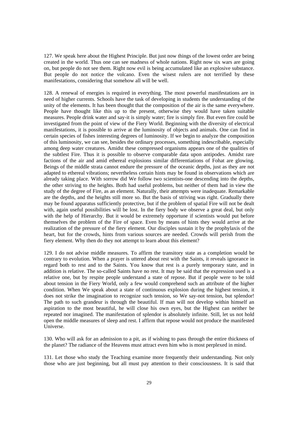127. We speak here about the Highest Principle. But just now things of the lowest order are being created in the world. Thus one can see madness of whole nations. Right now six wars are going on, but people do not see them. Right now evil is being accumulated like an explosive substance. But people do not notice the volcano. Even the wisest rulers are not terrified by these manifestations, considering that somehow all will be well.

128. A renewal of energies is required in everything. The most powerful manifestations are in need of higher currents. Schools have the task of developing in students the understanding of the unity of the elements. It has been thought that the composition of the air is the same everywhere. People have thought like this up to the present, otherwise they would have taken suitable measures. People drink water and say-it is simply water; fire is simply fire. But even fire could be investigated from the point of view of the Fiery World. Beginning with the diversity of electrical manifestations, it is possible to arrive at the luminosity of objects and animals. One can find in certain species of fishes interesting degrees of luminosity. If we begin to analyze the composition of this luminosity, we can see, besides the ordinary processes, something indescribable, especially among deep water creatures. Amidst these compressed organisms appears one of the qualities of the subtlest Fire. Thus it is possible to observe comparable data upon antipodes. Amidst rare factions of the air and amid ethereal explosions similar differentiations of Fohat are glowing. Beings of the middle strata cannot endure the pressure of the oceanic depths, just as they are not adapted to ethereal vibrations; nevertheless certain hints may be found in observations which are already taking place. With sorrow did We follow two scientists-one descending into the depths, the other striving to the heights. Both had useful problems, but neither of them had in view the study of the degree of Fire, as an element. Naturally, their attempts were inadequate. Remarkable are the depths, and the heights still more so. But the basis of striving was right. Gradually there may be found apparatus sufficiently protective, but if the problem of spatial Fire will not be dealt with, again useful possibilities will be lost. In the fiery body we observe a great deal, but only with the help of Hierarchy. But it would be extremely opportune if scientists would put before themselves the problem of the Fire of space. Even by means of hints they would arrive at the realization of the pressure of the fiery element. Our disciples sustain it by the prophylaxis of the heart, but for the crowds, hints from various sources are needed. Crowds will perish from the fiery element. Why then do they not attempt to learn about this element?

129. I do not advise middle measures. To affirm the transitory state as a completion would be contrary to evolution. When a prayer is uttered about rest with the Saints, it reveals ignorance in regard both to rest and to the Saints. You know that rest is a purely temporary state, and in addition is relative. The so-called Saints have no rest. It may be said that the expression used is a relative one, but by respite people understand a state of repose. But if people were to be told about tension in the Fiery World, only a few would comprehend such an attribute of the higher condition. When We speak about a state of continuous explosion during the highest tension, it does not strike the imagination to recognize such tension, so We say-not tension, but splendor! The path to such grandeur is through the beautiful. If man will not develop within himself an aspiration to the most beautiful, he will close his own eyes, but the Highest can neither be repeated nor imagined. The manifestation of splendor is absolutely infinite. Still, let us not hold open the middle measures of sleep and rest. I affirm that repose would not produce the manifested Universe.

130. Who will ask for an admission to a pit, as if wishing to pass through the entire thickness of the planet? The radiance of the Heavens must attract even him who is most perplexed in mind.

131. Let those who study the Teaching examine more frequently their understanding. Not only those who are just beginning, but all must pay attention to their consciousness. It is said that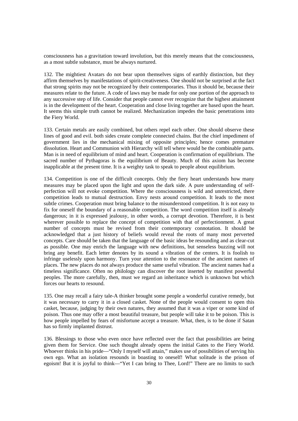consciousness has a gravitation toward involution, but this merely means that the consciousness, as a most subtle substance, must be always nurtured.

132. The mightiest Avatars do not bear upon themselves signs of earthly distinction, but they affirm themselves by manifestations of spirit-creativeness. One should not be surprised at the fact that strong spirits may not be recognized by their contemporaries. Thus it should be, because their measures relate to the future. A code of laws may be made for only one portion of the approach to any successive step of life. Consider that people cannot ever recognize that the highest attainment is in the development of the heart. Cooperation and close living together are based upon the heart. It seems this simple truth cannot be realized. Mechanization impedes the basic penetrations into the Fiery World.

133. Certain metals are easily combined, but others repel each other. One should observe these lines of good and evil. both sides create complete connected chains. But the chief impediment of government lies in the mechanical mixing of opposite principles; hence comes premature dissolution. Heart and Communion with Hierarchy will tell where would be the combinable parts. Man is in need of equilibrium of mind and heart. Cooperation is confirmation of equilibrium. The sacred number of Pythagoras is the equilibrium of Beauty. Much of this axiom has become inapplicable at the present time. It is a weighty task to speak to people about equilibrium.

134. Competition is one of the difficult concepts. Only the fiery heart understands how many measures may be placed upon the light and upon the dark side. A pure understanding of selfperfection will not evoke competition. Where the consciousness is wild and unrestricted, there competition leads to mutual destruction. Envy nests around competition. It leads to the most subtle crimes. Cooperation must bring balance to the misunderstood competition. It is not easy to fix for oneself the boundary of a reasonable competition. The word competition itself is already dangerous; in it is expressed jealousy, in other words, a corrupt devotion. Therefore, it is best wherever possible to replace the concept of competition with that of perfectionment. A great number of concepts must be revised from their contemporary connotation. It should be acknowledged that a just history of beliefs would reveal the roots of many most perverted concepts. Care should be taken that the language of the basic ideas be resounding and as clear-cut as possible. One may enrich the language with new definitions, but senseless buzzing will not bring any benefit. Each letter denotes by its sound a vibration of the centers. It is foolish to infringe uselessly upon harmony. Turn your attention to the resonance of the ancient names of places. The new places do not always produce the same useful vibration. The ancient names had a timeless significance. Often no philology can discover the root inserted by manifest powerful peoples. The more carefully, then, must we regard an inheritance which is unknown but which forces our hearts to resound.

135. One may recall a fairy tale-A thinker brought some people a wonderful curative remedy, but it was necessary to carry it in a closed casket. None of the people would consent to open this casket, because, judging by their own natures, they assumed that it was a viper or some kind of poison. Thus one may offer a most beautiful treasure, but people will take it to be poison. This is how people impelled by fears of misfortune accept a treasure. What, then, is to be done if Satan has so firmly implanted distrust.

136. Blessings to those who even once have reflected over the fact that possibilities are being given them for Service. One such thought already opens the initial Gates to the Fiery World. Whoever thinks in his pride—"Only I myself will attain," makes use of possibilities of serving his own ego. What an isolation resounds in boasting to oneself! What solitude is the prison of egoism! But it is joyful to think—"Yet I can bring to Thee, Lord!" There are no limits to such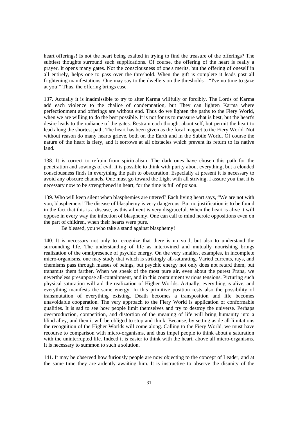heart offerings! Is not the heart being exalted in trying to find the treasure of the offerings? The subtlest thoughts surround such supplications. Of course, the offering of the heart is really a prayer. It opens many gates. Not the consciousness of one's merits, but the offering of oneself in all entirely, helps one to pass over the threshold. When the gift is complete it leads past all frightening manifestations. One may say to the dwellers on the thresholds—"I've no time to gaze at you!" Thus, the offering brings ease.

137. Actually it is inadmissible to try to alter Karma willfully or forcibly. The Lords of Karma add each violence to the chalice of condemnation, but They can lighten Karma where perfectionment and offerings are without end. Thus do we lighten the paths to the Fiery World, when we are willing to do the best possible. It is not for us to measure what is best, but the heart's desire leads to the radiance of the gates. Restrain each thought about self, but permit the heart to lead along the shortest path. The heart has been given as the focal magnet to the Fiery World. Not without reason do many hearts grieve, both on the Earth and in the Subtle World. Of course the nature of the heart is fiery, and it sorrows at all obstacles which prevent its return to its native land.

138. It is correct to refrain from spiritualism. The dark ones have chosen this path for the penetration and sowings of evil. It is possible to think with purity about everything, but a clouded consciousness finds in everything the path to obscuration. Especially at present it is necessary to avoid any obscure channels. One must go toward the Light with all striving. I assure you that it is necessary now to be strengthened in heart, for the time is full of poison.

139. Who will keep silent when blasphemies are uttered? Each living heart says, "We are not with you, blasphemers! The disease of blasphemy is very dangerous. But no justification is to be found in the fact that this is a disease, as this ailment is very disgraceful. When the heart is alive it will oppose in every way the infection of blasphemy. One can call to mind heroic oppositions even on the part of children, when their hearts were pure.

Be blessed, you who take a stand against blasphemy!

140. It is necessary not only to recognize that there is no void, but also to understand the surrounding life. The understanding of life as intertwined and mutually nourishing brings realization of the omnipresence of psychic energy. On the very smallest examples, in incomplete micro-organisms, one may study that which is strikingly all-saturating. Varied currents, rays, and chemisms pass through masses of beings, but psychic energy not only does not retard them, but transmits them farther. When we speak of the most pure air, even about the purest Prana, we nevertheless presuppose all-containment, and in this containment various tensions. Picturing such physical saturation will aid the realization of Higher Worlds. Actually, everything is alive, and everything manifests the same energy. In this primitive position rests also the possibility of transmutation of everything existing. Death becomes a transposition and life becomes unavoidable cooperation. The very approach to the Fiery World is application of conformable qualities. It is sad to see how people limit themselves and try to destroy the universe. Perhaps overproduction, competition, and distortion of the meaning of life will bring humanity into a blind alley, and then it will be obliged to stop and think. Because, by setting aside all limitations the recognition of the Higher Worlds will come along. Calling to the Fiery World, we must have recourse to comparison with micro-organisms, and thus impel people to think about a saturation with the uninterrupted life. Indeed it is easier to think with the heart, above all micro-organisms. It is necessary to summon to such a solution.

141. It may be observed how furiously people are now objecting to the concept of Leader, and at the same time they are ardently awaiting him. It is instructive to observe the disunity of the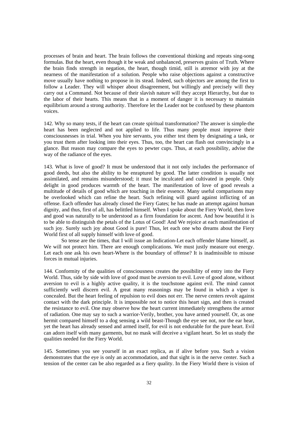processes of brain and heart. The brain follows the conventional thinking and repeats sing-song formulas. But the heart, even though it be weak and unbalanced, preserves grains of Truth. Where the brain finds strength in negation, the heart, though timid, still is atremor with joy at the nearness of the manifestation of a solution. People who raise objections against a constructive move usually have nothing to propose in its stead. Indeed, such objectors are among the first to follow a Leader. They will whisper about disagreement, but willingly and precisely will they carry out a Command. Not because of their slavish nature will they accept Hierarchy, but due to the labor of their hearts. This means that in a moment of danger it is necessary to maintain equilibrium around a strong authority. Therefore let the Leader not be confused by these phantom voices.

142. Why so many tests, if the heart can create spiritual transformation? The answer is simple-the heart has been neglected and not applied to life. Thus many people must improve their consciousnesses in trial. When you hire servants, you either test them by designating a task, or you trust them after looking into their eyes. Thus, too, the heart can flash out convincingly in a glance. But reason may compare the eyes to pewter cups. Thus, at each possibility, advise the way of the radiance of the eyes.

143. What is love of good? It must be understood that it not only includes the performance of good deeds, but also the ability to be enraptured by good. The latter condition is usually not assimilated, and remains misunderstood; it must be inculcated and cultivated in people. Only delight in good produces warmth of the heart. The manifestation of love of good reveals a multitude of details of good which are touching in their essence. Many useful comparisons may be overlooked which can refine the heart. Such refining will guard against inflicting of an offense. Each offender has already closed the Fiery Gates; he has made an attempt against human dignity, and thus, first of all, has belittled himself. When I spoke about the Fiery World, then love and good was naturally to be understood as a firm foundation for ascent. And how beautiful it is to be able to distinguish the petals of the Lotus of Good! And We rejoice at each manifestation of such joy. Surely such joy about Good is pure! Thus, let each one who dreams about the Fiery World first of all supply himself with love of good.

 So tense are the times, that I will issue an Indication-Let each offender blame himself, as We will not protect him. There are enough complications. We must justly measure out energy. Let each one ask his own heart-Where is the boundary of offense? It is inadmissible to misuse forces in mutual injuries.

144. Conformity of the qualities of consciousness creates the possibility of entry into the Fiery World. Thus, side by side with love of good must be aversion to evil. Love of good alone, without aversion to evil is a highly active quality, it is the touchstone against evil. The mind cannot sufficiently well discern evil. A great many reasonings may be found in which a viper is concealed. But the heart feeling of repulsion to evil does not err. The nerve centers revolt against contact with the dark principle. It is impossible not to notice this heart sign, and then is created the resistance to evil. One may observe how the heart current immediately strengthens the armor of radiation. One may say to such a warrior-Verily, brother, you have armed yourself. Or, as one hermit compared himself to a dog sensing a wild beast-Though the eye see not, nor the ear hear, yet the heart has already sensed and armed itself, for evil is not endurable for the pure heart. Evil can adorn itself with many garments, but no mask will deceive a vigilant heart. So let us study the qualities needed for the Fiery World.

145. Sometimes you see yourself in an exact replica, as if alive before you. Such a vision demonstrates that the eye is only an accommodation, and that sight is in the nerve center. Such a tension of the center can be also regarded as a fiery quality. In the Fiery World there is vision of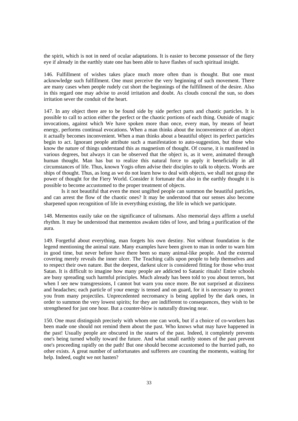the spirit, which is not in need of ocular adaptations. It is easier to become possessor of the fiery eye if already in the earthly state one has been able to have flashes of such spiritual insight.

146. Fulfillment of wishes takes place much more often than is thought. But one must acknowledge such fulfillment. One must perceive the very beginning of such movement. There are many cases when people rudely cut short the beginnings of the fulfillment of the desire. Also in this regard one may advise to avoid irritation and doubt. As clouds conceal the sun, so does irritation sever the conduit of the heart.

147. In any object there are to be found side by side perfect parts and chaotic particles. It is possible to call to action either the perfect or the chaotic portions of each thing. Outside of magic invocations, against which We have spoken more than once, every man, by means of heart energy, performs continual evocations. When a man thinks about the inconvenience of an object it actually becomes inconvenient. When a man thinks about a beautiful object its perfect particles begin to act. Ignorant people attribute such a manifestation to auto-suggestion, but those who know the nature of things understand this as magnetism of thought. Of course, it is manifested in various degrees, but always it can be observed that the object is, as it were, animated through human thought. Man has but to realize this natural force to apply it beneficially in all circumstances of life. Thus, known Yogis often advise their disciples to talk to objects. Words are ships of thought. Thus, as long as we do not learn how to deal with objects, we shall not grasp the power of thought for the Fiery World. Consider it fortunate that also in the earthly thought it is possible to become accustomed to the proper treatment of objects.

 Is it not beautiful that even the most ungifted people can summon the beautiful particles, and can arrest the flow of the chaotic ones? It may be understood that our senses also become sharpened upon recognition of life in everything existing, the life in which we participate.

148. Mementos easily take on the significance of talismans. Also memorial days affirm a useful rhythm. It may be understood that mementos awaken tides of love, and bring a purification of the aura.

149. Forgetful about everything, man forgets his own destiny. Not without foundation is the legend mentioning the animal state. Many examples have been given to man in order to warn him in good time, but never before have there been so many animal-like people. And the external covering merely reveals the inner ulcer. The Teaching calls upon people to help themselves and to respect their own nature. But the deepest, darkest ulcer is considered fitting for those who trust Satan. It is difficult to imagine how many people are addicted to Satanic rituals! Entire schools are busy spreading such harmful principles. Much already has been told to you about terrors, but when I see new transgressions, I cannot but warn you once more. Be not surprised at dizziness and headaches; each particle of your energy is tensed and on guard, for it is necessary to protect you from many projectiles. Unprecedented necromancy is being applied by the dark ones, in order to summon the very lowest spirits; for they are indifferent to consequences, they wish to be strengthened for just one hour. But a counter-blow is naturally drawing near.

150. One must distinguish precisely with whom one can work, but if a choice of co-workers has been made one should not remind them about the past. Who knows what may have happened in the past! Usually people are obscured in the snares of the past. Indeed, it completely prevents one's being turned wholly toward the future. And what small earthly stones of the past prevent one's proceeding rapidly on the path! But one should become accustomed to the hurried path, no other exists. A great number of unfortunates and sufferers are counting the moments, waiting for help. Indeed, ought we not hasten?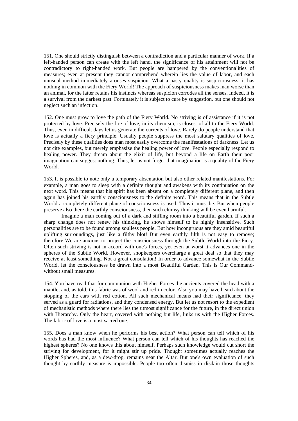151. One should strictly distinguish between a contradiction and a particular manner of work. If a left-handed person can create with the left hand, the significance of his attainment will not be contradictory to right-handed work. But people are hampered by the conventionalities of measures; even at present they cannot comprehend wherein lies the value of labor, and each unusual method immediately arouses suspicion. What a nasty quality is suspiciousness; it has nothing in common with the Fiery World! The approach of suspiciousness makes man worse than an animal, for the latter retains his instincts whereas suspicion corrodes all the senses. Indeed, it is a survival from the darkest past. Fortunately it is subject to cure by suggestion, but one should not neglect such an infection.

152. One must grow to love the path of the Fiery World. No striving is of assistance if it is not protected by love. Precisely the fire of love, in its chemism, is closest of all to the Fiery World. Thus, even in difficult days let us generate the currents of love. Rarely do people understand that love is actually a fiery principle. Usually people suppress the most salutary qualities of love. Precisely by these qualities does man most easily overcome the manifestations of darkness. Let us not cite examples, but merely emphasize the healing power of love. People especially respond to healing power. They dream about the elixir of life, but beyond a life on Earth their poor imagination can suggest nothing. Thus, let us not forget that imagination is a quality of the Fiery World.

153. It is possible to note only a temporary absentation but also other related manifestations. For example, a man goes to sleep with a definite thought and awakens with its continuation on the next word. This means that his spirit has been absent on a completely different plane, and then again has joined his earthly consciousness to the definite word. This means that in the Subtle World a completely different plane of consciousness is used. Thus it must be. But when people preserve also there the earthly consciousness, then such clumsy thinking will be even harmful.

 Imagine a man coming out of a dark and stifling room into a beautiful garden. If such a sharp change does not renew his thinking, he shows himself to be highly insensitive. Such personalities are to be found among soulless people. But how incongruous are they amid beautiful uplifting surroundings, just like a filthy blot! But even earthly filth is not easy to remove: therefore We are anxious to project the consciousness through the Subtle World into the Fiery. Often such striving is not in accord with one's forces, yet even at worst it advances one in the spheres of the Subtle World. However, shopkeepers overcharge a great deal so that they may receive at least something. Not a great consolation! In order to advance somewhat in the Subtle World, let the consciousness be drawn into a most Beautiful Garden. This is Our Commandwithout small measures.

154. You have read that for communion with Higher Forces the ancients covered the head with a mantle, and, as told, this fabric was of wool and red in color. Also you may have heard about the stopping of the ears with red cotton. All such mechanical means had their significance, they served as a guard for radiations, and they condensed energy. But let us not resort to the expedient of mechanistic methods where there lies the utmost significance for the future, in the direct union with Hierarchy. Only the heart, covered with nothing but life, links us with the Higher Forces. The fabric of love is a most sacred one.

155. Does a man know when he performs his best action? What person can tell which of his words has had the most influence? What person can tell which of his thoughts has reached the highest spheres? No one knows this about himself. Perhaps such knowledge would cut short the striving for development, for it might stir up pride. Thought sometimes actually reaches the Higher Spheres, and, as a dew-drop, remains near the Altar. But one's own evaluation of such thought by earthly measure is impossible. People too often dismiss in disdain those thoughts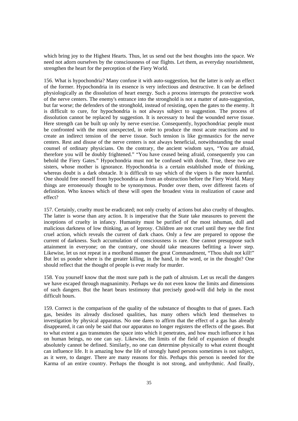which bring joy to the Highest Hearts. Thus, let us send out the best thoughts into the space. We need not adorn ourselves by the consciousness of our flights. Let them, as everyday nourishment, strengthen the heart for the perception of the Fiery World.

156. What is hypochondria? Many confuse it with auto-suggestion, but the latter is only an effect of the former. Hypochondria in its essence is very infectious and destructive. It can be defined physiologically as the dissolution of heart energy. Such a process interrupts the protective work of the nerve centers. The enemy's entrance into the stronghold is not a matter of auto-suggestion, but far worse; the defenders of the stronghold, instead of resisting, open the gates to the enemy. It is difficult to cure, for hypochondria is not always subject to suggestion. The process of dissolution cannot be replaced by suggestion. It is necessary to heal the wounded nerve tissue. Here strength can be built up only by nerve exercise. Consequently, hypochondriac people must be confronted with the most unexpected, in order to produce the most acute reactions and to create an indirect tension of the nerve tissue. Such tension is like gymnastics for the nerve centers. Rest and disuse of the nerve centers is not always beneficial, notwithstanding the usual counsel of ordinary physicians. On the contrary, the ancient wisdom says, "You are afraid, therefore you will be doubly frightened." "You have ceased being afraid, consequently you can behold the Fiery Gates." Hypochondria must not be confused with doubt. True, these two are sisters, whose mother is ignorance. Hypochondria is a certain established mode of thinking, whereas doubt is a dark obstacle. It is difficult to say which of the vipers is the more harmful. One should free oneself from hypochondria as from an obstruction before the Fiery World. Many things are erroneously thought to be synonymous. Ponder over them, over different facets of definition. Who knows which of these will open the broadest vista in realization of cause and effect?

157. Certainly, cruelty must be eradicated; not only cruelty of actions but also cruelty of thoughts. The latter is worse than any action. It is imperative that the State take measures to prevent the inceptions of cruelty in infancy. Humanity must be purified of the most inhuman, dull and malicious darkness of low thinking, as of leprosy. Children are not cruel until they see the first cruel action, which reveals the current of dark chaos. Only a few are prepared to oppose the current of darkness. Such accumulation of consciousness is rare. One cannot presuppose such attainment in everyone; on the contrary, one should take measures befitting a lower step. Likewise, let us not repeat in a moribund manner the great Commandment, "Thou shalt not kill!" But let us ponder where is the greater killing, in the hand, in the word, or in the thought? One should reflect that the thought of people is ever ready for murder.

158. You yourself know that the most sure path is the path of altruism. Let us recall the dangers we have escaped through magnanimity. Perhaps we do not even know the limits and dimensions of such dangers. But the heart bears testimony that precisely good-will did help in the most difficult hours.

159. Correct is the comparison of the quality of the substance of thoughts to that of gases. Each gas, besides its already disclosed qualities, has many others which lend themselves to investigation by physical apparatus. No one dares to affirm that the effect of a gas has already disappeared, it can only be said that our apparatus no longer registers the effects of the gases. But to what extent a gas transmutes the space into which it penetrates, and how much influence it has on human beings, no one can say. Likewise, the limits of the field of expansion of thought absolutely cannot be defined. Similarly, no one can determine physically to what extent thought can influence life. It is amazing how the life of strongly hated persons sometimes is not subject, as it were, to danger. There are many reasons for this. Perhaps this person is needed for the Karma of an entire country. Perhaps the thought is not strong, and unrhythmic. And finally,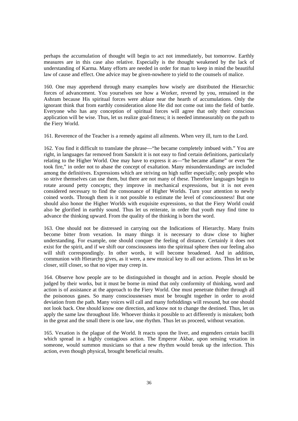perhaps the accumulation of thought will begin to act not immediately, but tomorrow. Earthly measures are in this case also relative. Especially is the thought weakened by the lack of understanding of Karma. Many efforts are needed in order for man to keep in mind the beautiful law of cause and effect. One advice may be given-nowhere to yield to the counsels of malice.

160. One may apprehend through many examples how wisely are distributed the Hierarchic forces of advancement. You yourselves see how a Worker, revered by you, remained in the Ashram because His spiritual forces were ablaze near the hearth of accumulations. Only the ignorant think that from earthly consideration alone He did not come out into the field of battle. Everyone who has any conception of spiritual forces will agree that only their conscious application will be wise. Thus, let us realize goal-fitness; it is needed immeasurably on the path to the Fiery World.

161. Reverence of the Teacher is a remedy against all ailments. When very ill, turn to the Lord.

162. You find it difficult to translate the phrase—"he became completely imbued with." You are right, in languages far removed from Sanskrit it is not easy to find certain definitions, particularly relating to the Higher World. One may have to express it as—"he became aflame" or even "he took fire," in order not to abase the concept of exaltation. Many misunderstandings are included among the definitives. Expressions which are striving on high suffer especially; only people who so strive themselves can use them, but there are not many of these. Therefore languages begin to rotate around petty concepts; they improve in mechanical expressions, but it is not even considered necessary to find the consonance of Higher Worlds. Turn your attention to newly coined words. Through them is it not possible to estimate the level of consciousness! But one should also honor the Higher Worlds with exquisite expressions, so that the Fiery World could also be glorified in earthly sound. Thus let us reiterate, in order that youth may find time to advance the thinking upward. From the quality of the thinking is born the word.

163. One should not be distressed in carrying out the Indications of Hierarchy. Many fruits become bitter from vexation. In many things it is necessary to draw close to higher understanding. For example, one should conquer the feeling of distance. Certainly it does not exist for the spirit, and if we shift our consciousness into the spiritual sphere then our feeling also will shift correspondingly. In other words, it will become broadened. And in addition, communion with Hierarchy gives, as it were, a new musical key to all our actions. Thus let us be closer, still closer, so that no viper may creep in.

164. Observe how people are to be distinguished in thought and in action. People should be judged by their works, but it must be borne in mind that only conformity of thinking, word and action is of assistance at the approach to the Fiery World. One must penetrate thither through all the poisonous gases. So many consciousnesses must be brought together in order to avoid deviation from the path. Many voices will call and many forbiddings will resound, but one should not look back. One should know one direction, and know not to change the destined. Thus, let us apply the same law throughout life. Whoever thinks it possible to act differently is mistaken; both in the great and the small there is one law, one rhythm. Thus let us proceed, without vexation.

165. Vexation is the plague of the World. It reacts upon the liver, and engenders certain bacilli which spread in a highly contagious action. The Emperor Akbar, upon sensing vexation in someone, would summon musicians so that a new rhythm would break up the infection. This action, even though physical, brought beneficial results.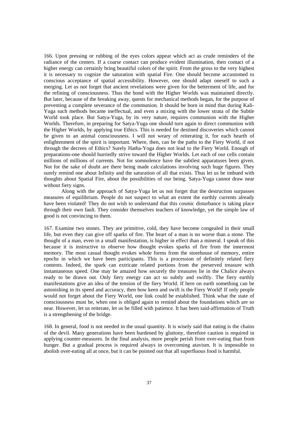166. Upon pressing or rubbing of the eyes colors appear which act as crude reminders of the radiance of the centers. If a coarse contact can produce evident illumination, then contact of a higher energy can certainly bring beautiful colors of the spirit. From the gross to the very highest it is necessary to cognize the saturation with spatial Fire. One should become accustomed to conscious acceptance of spatial accessibility. However, one should adapt oneself to such a merging. Let us not forget that ancient revelations were given for the betterment of life, and for the refining of consciousness. Thus the bond with the Higher Worlds was maintained directly. But later, because of the breaking away, quests for mechanical methods began, for the purpose of preventing a complete severance of the communion. It should be born in mind that during Kali-Yuga such methods became ineffectual, and even a mixing with the lower strata of the Subtle World took place. But Satya-Yuga, by its very nature, requires communion with the Higher Worlds. Therefore, in preparing for Satya-Yuga one should turn again to direct communion with the Higher Worlds, by applying true Ethics. This is needed for destined discoveries which cannot be given to an animal consciousness. I will not weary of reiterating it, for each hearth of enlightenment of the spirit is important. Where, then, can be the paths to the Fiery World, if not through the decrees of Ethics? Surely Hatha-Yoga does not lead to the Fiery World. Enough of preparations-one should hurriedly strive toward the Higher Worlds. Let each of our cells contain millions of millions of currents. Not for somnolence have the subtlest apparatuses been given. Not for the sake of doubt are there being made calculations involving such huge figures. They surely remind one about Infinity and the saturation of all that exists. Thus let us be imbued with thoughts about Spatial Fire, about the possibilities of our being. Satya-Yuga cannot draw near without fiery signs.

 Along with the approach of Satya-Yuga let us not forget that the destruction surpasses measures of equilibrium. People do not suspect to what an extent the earthly currents already have been violated! They do not wish to understand that this cosmic disturbance is taking place through their own fault. They consider themselves teachers of knowledge, yet the simple law of good is not convincing to them.

167. Examine two stones. They are primitive, cold, they have become congealed in their small life, but even they can give off sparks of fire. The heart of a man is no worse than a stone. The thought of a man, even in a small manifestation, is higher in effect than a mineral. I speak of this because it is instructive to observe how thought evokes sparks of fire from the innermost memory. The most casual thought evokes whole forms from the storehouse of memory, entire epochs in which we have been participants. This is a procession of definitely related fiery contents. Indeed, the spark can extricate related portions from the preserved treasure with instantaneous speed. One may be amazed how securely the treasures lie in the Chalice always ready to be drawn out. Only fiery energy can act so subtly and swiftly. The fiery earthly manifestations give an idea of the tension of the fiery World. If here on earth something can be astonishing in its speed and accuracy, then how keen and swift is the Fiery World! If only people would not forget about the Fiery World, one link could be established. Think what the state of consciousness must be, when one is obliged again to remind about the foundations which are so near. However, let us reiterate, let us be filled with patience. It has been said-affirmation of Truth is a strengthening of the bridge.

168. In general, food is not needed in the usual quantity. It is wisely said that eating is the chains of the devil. Many generations have been burdened by gluttony, therefore caution is required in applying counter-measures. In the final analysis, more people perish from over-eating than from hunger. But a gradual process is required always in overcoming atavism. It is impossible to abolish over-eating all at once, but it can be pointed out that all superfluous food is harmful.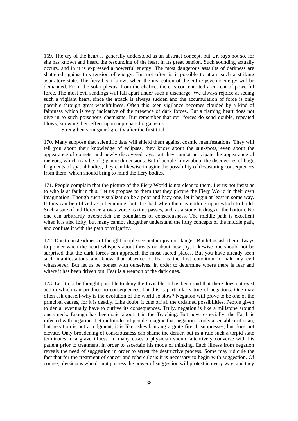169. The cry of the heart is generally understood as an abstract concept, but Ur. says not so, for she has known and heard the resounding of the heart in its great tension. Such sounding actually occurs, and in it is expressed a powerful energy. The most dangerous assaults of darkness are shattered against this tension of energy. But not often is it possible to attain such a striking aspiratory state. The fiery heart knows when the invocation of the entire psychic energy will be demanded. From the solar plexus, from the chalice, there is concentrated a current of powerful force. The most evil sendings will fall apart under such a discharge. We always rejoice at seeing such a vigilant heart, since the attack is always sudden and the accumulation of force is only possible through great watchfulness. Often this keen vigilance becomes clouded by a kind of faintness which is very indicative of the presence of dark forces. But a flaming heart does not give in to such poisonous chemisms. But remember that evil forces do send double, repeated blows, knowing their effect upon unprepared organisms.

Strengthen your guard greatly after the first trial.

170. Many suppose that scientific data will shield them against cosmic manifestations. They will tell you about their knowledge of eclipses, they know about the sun-spots, even about the appearance of comets, and newly discovered rays, but they cannot anticipate the appearance of meteors, which may be of gigantic dimensions. But if people know about the discoveries of huge fragments of spatial bodies, they can likewise imagine the possibility of devastating consequences from them, which should bring to mind the fiery bodies.

171. People complain that the picture of the Fiery World is not clear to them. Let us not insist as to who is at fault in this. Let us propose to them that they picture the Fiery World in their own imagination. Though such visualization be a poor and hazy one, let it begin at least in some way. It thus can be utilized as a beginning, but it is bad when there is nothing upon which to build. Such a sate of indifference grows worse as time passes, and, as a stone, it drags to the bottom. No one can arbitrarily overstretch the boundaries of consciousness. The middle path is excellent when it is also lofty, but many cannot altogether understand the lofty concepts of the middle path, and confuse it with the path of vulgarity.

172. Due to unsteadiness of thought people see neither joy nor danger. But let us ask them always to ponder when the heart whispers about threats or about new joy. Likewise one should not be surprised that the dark forces can approach the most sacred places. But you have already seen such manifestations and know that absence of fear is the first condition to halt any evil whatsoever. But let us be honest with ourselves, in order to determine where there is fear and where it has been driven out. Fear is a weapon of the dark ones.

173. Let it not be thought possible to deny the Invisible. It has been said that there does not exist action which can produce no consequences, but this is particularly true of negations. One may often ask oneself-why is the evolution of the world so slow? Negation will prove to be one of the principal causes, for it is deadly. Like doubt, it cuts off all the ordained possibilities. People given to denial eventually have to outlive its consequences. Truly, negation is like a millstone around one's neck. Enough has been said about it in the Teaching. But now, especially, the Earth is infected with negation. Let multitudes of people imagine that negation is only a sensible criticism, but negation is not a judgment, it is like ashes banking a grate fire. It suppresses, but does not elevate. Only broadening of consciousness can shame the denier, but as a rule such a torpid state terminates in a grave illness. In many cases a physician should attentively converse with his patient prior to treatment, in order to ascertain his mode of thinking. Each illness from negation reveals the need of suggestion in order to arrest the destructive process. Some may ridicule the fact that for the treatment of cancer and tuberculosis it is necessary to begin with suggestion. Of course, physicians who do not possess the power of suggestion will protest in every way, and they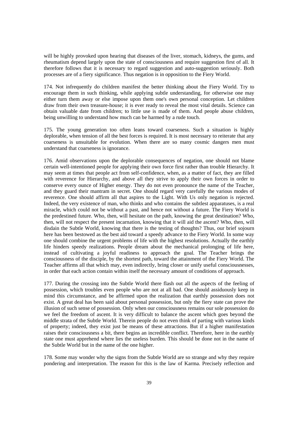will be highly provoked upon hearing that diseases of the liver, stomach, kidneys, the gums, and rheumatism depend largely upon the state of consciousness and require suggestion first of all. It therefore follows that it is necessary to regard suggestion and auto-suggestion seriously. Both processes are of a fiery significance. Thus negation is in opposition to the Fiery World.

174. Not infrequently do children manifest the better thinking about the Fiery World. Try to encourage them in such thinking, while applying subtle understanding, for otherwise one may either turn them away or else impose upon them one's own personal conception. Let children draw from their own treasure-house; it is ever ready to reveal the most vital details. Science can obtain valuable date from children; to little use is made of them. And people abuse children, being unwilling to understand how much can be harmed by a rude touch.

175. The young generation too often leans toward coarseness. Such a situation is highly deplorable, when tension of all the best forces is required. It is most necessary to reiterate that any coarseness is unsuitable for evolution. When there are so many cosmic dangers men must understand that coarseness is ignorance.

176. Amid observations upon the deplorable consequences of negation, one should not blame certain well-intentioned people for applying their own force first rather than trouble Hierarchy. It may seem at times that people act from self-confidence, when, as a matter of fact, they are filled with reverence for Hierarchy, and above all they strive to apply their own forces in order to conserve every ounce of Higher energy. They do not even pronounce the name of the Teacher, and they guard their mantram in secret. One should regard very carefully the various modes of reverence. One should affirm all that aspires to the Light. With Us only negation is rejected. Indeed, the very existence of man, who thinks and who contains the subtlest apparatuses, is a real miracle, which could not be without a past, and hence not without a future. The Fiery World is the predestined future. Who, then, will hesitate on the path, knowing the great destination? Who, then, will not respect the present incarnation, knowing that it will aid the ascent? Who, then, will disdain the Subtle World, knowing that there is the testing of thoughts? Thus, our brief sojourn here has been bestowed as the best aid toward a speedy advance to the Fiery World. In some way one should combine the urgent problems of life with the highest resolutions. Actually the earthly life hinders speedy realizations. People dream about the mechanical prolonging of life here, instead of cultivating a joyful readiness to approach the goal. The Teacher brings the consciousness of the disciple, by the shortest path, toward the attainment of the Fiery World. The Teacher affirms all that which may, even indirectly, bring closer or unify useful consciousnesses, in order that each action contain within itself the necessary amount of conditions of approach.

177. During the crossing into the Subtle World there flash out all the aspects of the feeling of possession, which troubles even people who are not at all bad. One should assiduously keep in mind this circumstance, and be affirmed upon the realization that earthly possession does not exist. A great deal has been said about personal possession, but only the fiery state can prove the illusion of such sense of possession. Only when our consciousness remains our sole possession do we feel the freedom of ascent. It is very difficult to balance the ascent which goes beyond the middle strata of the Subtle World. Therein people do not even think of parting with various kinds of property; indeed, they exist just be means of these attractions. But if a higher manifestation raises their consciousness a bit, there begins an incredible conflict. Therefore, here in the earthly state one must apprehend where lies the useless burden. This should be done not in the name of the Subtle World but in the name of the one higher.

178. Some may wonder why the signs from the Subtle World are so strange and why they require pondering and interpretation. The reason for this is the law of Karma. Precisely reflection and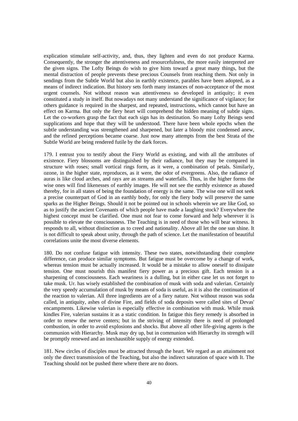explication stimulate self-activity, and, thus, they lighten and even do not produce Karma. Consequently, the stronger the attentiveness and resourcefulness, the more easily interpreted are the given signs. The Lofty Beings do wish to give hints toward a great many things, but the mental distraction of people prevents these precious Counsels from reaching them. Not only in sendings from the Subtle World but also in earthly existence, parables have been adopted, as a means of indirect indication. But history sets forth many instances of non-acceptance of the most urgent counsels. Not without reason was attentiveness so developed in antiquity; it even constituted a study in itself. But nowadays not many understand the significance of vigilance; for others guidance is required in the sharpest, and repeated, instructions, which cannot but have an effect on Karma. But only the fiery heart will comprehend the hidden meaning of subtle signs. Let the co-workers grasp the fact that each sign has its destination. So many Lofty Beings send supplications and hope that they will be understood. There have been whole epochs when the subtle understanding was strengthened and sharpened, but later a bloody mist condensed anew, and the refined perceptions became coarse. Just now many attempts from the best Strata of the Subtle World are being rendered futile by the dark forces.

179. I entrust you to testify about the Fiery World as existing, and with all the attributes of existence. Fiery blossoms are distinguished by their radiance, but they may be compared in structure with roses; small vortical rings form, as it were, a combination of petals. Similarly, ozone, in the higher state, reproduces, as it were, the odor of evergreens. Also, the radiance of auras is like cloud arches, and rays are as streams and waterfalls. Thus, in the higher forms the wise ones will find likenesses of earthly images. He will not see the earthly existence as abased thereby, for in all states of being the foundation of energy is the same. The wise one will not seek a precise counterpart of God in an earthly body, for only the fiery body will preserve the same sparks as the Higher Beings. Should it not be pointed out in schools wherein we are like God, so as to justify the ancient Covenants of which people have made a laughing stock? Everywhere the highest concept must be clarified. One must not fear to come forward and help wherever it is possible to elevate the consciousness. The Teaching is in need of those who will bear witness. It responds to all, without distinction as to creed and nationality. Above all let the one sun shine. It is not difficult to speak about unity, through the path of science. Let the manifestation of beautiful correlations unite the most diverse elements.

180. Do not confuse fatigue with intensity. These two states, notwithstanding their complete difference, can produce similar symptoms. But fatigue must be overcome by a change of work, whereas tension must be actually increased. It would be a mistake to allow oneself to dissipate tension. One must nourish this manifest fiery power as a precious gift. Each tension is a sharpening of consciousness. Each weariness is a dulling, but in either case let us not forget to take musk. Ur. has wisely established the combination of musk with soda and valerian. Certainly the very speedy accumulation of musk by means of soda is useful, as it is also the continuation of the reaction to valerian. All three ingredients are of a fiery nature. Not without reason was soda called, in antiquity, ashes of divine Fire, and fields of soda deposits were called sites of Devas' encampments. Likewise valerian is especially effective in combination with musk. While musk kindles Fire, valerian sustains it as a static condition. In fatigue this fiery remedy is absorbed in order to renew the nerve centers; but in the striving of intensity there is need of prolonged combustion, in order to avoid explosions and shocks. But above all other life-giving agents is the communion with Hierarchy. Musk may dry up, but in communion with Hierarchy its strength will be promptly renewed and an inexhaustible supply of energy extended.

181. New circles of disciples must be attracted through the heart. We regard as an attainment not only the direct transmission of the Teaching, but also the indirect saturation of space with It. The Teaching should not be pushed there where there are no doors.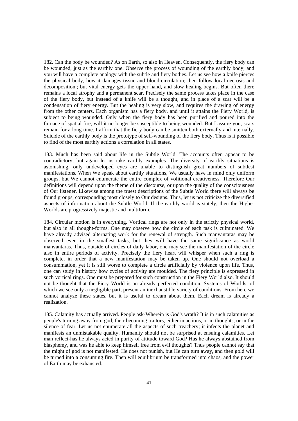182. Can the body be wounded? As on Earth, so also in Heaven. Consequently, the fiery body can be wounded, just as the earthly one. Observe the process of wounding of the earthly body, and you will have a complete analogy with the subtle and fiery bodies. Let us see how a knife pierces the physical body, how it damages tissue and blood-circulation; then follow local necrosis and decomposition.; but vital energy gets the upper hand, and slow healing begins. But often there remains a local atrophy and a permanent scar. Precisely the same process takes place in the case of the fiery body, but instead of a knife will be a thought, and in place of a scar will be a condensation of fiery energy. But the healing is very slow, and requires the drawing of energy from the other centers. Each organism has a fiery body, and until it attains the Fiery World, is subject to being wounded. Only when the fiery body has been purified and poured into the furnace of spatial fire, will it no longer be susceptible to being wounded. But I assure you, scars remain for a long time. I affirm that the fiery body can be smitten both externally and internally. Suicide of the earthly body is the prototype of self-wounding of the fiery body. Thus is it possible to find of the most earthly actions a correlation in all states.

183. Much has been said about life in the Subtle World. The accounts often appear to be contradictory, but again let us take earthly examples. The diversity of earthly situations is astonishing, only undeveloped eyes are unable to distinguish great numbers of subtlest manifestations. When We speak about earthly situations, We usually have in mind only uniform groups, but We cannot enumerate the entire complex of volitional creativeness. Therefore Our definitions will depend upon the theme of the discourse, or upon the quality of the consciousness of Our listener. Likewise among the truest descriptions of the Subtle World there will always be found groups, corresponding most closely to Our designs. Thus, let us not criticize the diversified aspects of information about the Subtle World. If the earthly world is stately, then the Higher Worlds are progressively majestic and multiform.

184. Circular motion is in everything. Vortical rings are not only in the strictly physical world, but also in all thought-forms. One may observe how the circle of each task is culminated. We have already advised alternating work for the renewal of strength. Such manvantaras may be observed even in the smallest tasks, but they will have the same significance as world manvantaras. Thus, outside of circles of daily labor, one may see the manifestation of the circle also in entire periods of activity. Precisely the fiery heart will whisper when such a ring is complete, in order that a new manifestation may be taken up. One should not overload a consummation, yet it is still worse to complete a circle artificially by violence upon life. Thus, one can study in history how cycles of activity are moulded. The fiery principle is expressed in such vortical rings. One must be prepared for such construction in the Fiery World also. It should not be thought that the Fiery World is an already perfected condition. Systems of Worlds, of which we see only a negligible part, present an inexhaustible variety of conditions. From here we cannot analyze these states, but it is useful to dream about them. Each dream is already a realization.

185. Calamity has actually arrived. People ask-Wherein is God's wrath? It is in such calamities as people's turning away from god, their becoming traitors, either in actions, or in thoughts, or in the silence of fear. Let us not enumerate all the aspects of such treachery; it infects the planet and manifests an unmistakable quality. Humanity should not be surprised at ensuing calamities. Let man reflect-has he always acted in purity of attitude toward God? Has he always abstained from blasphemy, and was he able to keep himself free from evil thoughts? Thus people cannot say that the might of god is not manifested. He does not punish, but He can turn away, and then gold will be turned into a consuming fire. Then will equilibrium be transformed into chaos, and the power of Earth may be exhausted.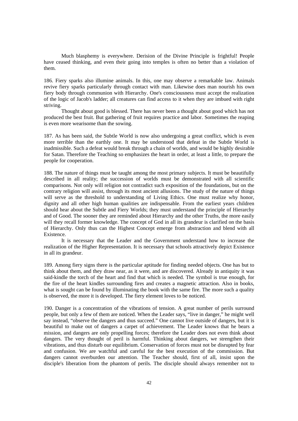Much blasphemy is everywhere. Derision of the Divine Principle is frightful! People have ceased thinking, and even their going into temples is often no better than a violation of them.

186. Fiery sparks also illumine animals. In this, one may observe a remarkable law. Animals revive fiery sparks particularly through contact with man. Likewise does man nourish his own fiery body through communion with Hierarchy. One's consciousness must accept the realization of the logic of Jacob's ladder; all creatures can find access to it when they are imbued with right striving.

 Thought about good is blessed. There has never been a thought about good which has not produced the best fruit. But gathering of fruit requires practice and labor. Sometimes the reaping is even more wearisome than the sowing.

187. As has been said, the Subtle World is now also undergoing a great conflict, which is even more terrible than the earthly one. It may be understood that defeat in the Subtle World is inadmissible. Such a defeat would break through a chain of worlds, and would be highly desirable for Satan. Therefore the Teaching so emphasizes the heart in order, at least a little, to prepare the people for cooperation.

188. The nature of things must be taught among the most primary subjects. It must be beautifully described in all reality; the succession of worlds must be demonstrated with all scientific comparisons. Not only will religion not contradict such exposition of the foundations, but on the contrary religion will assist, through its most ancient allusions. The study of the nature of things will serve as the threshold to understanding of Living Ethics. One must realize why honor, dignity and all other high human qualities are indispensable. From the earliest years children should hear about the Subtle and Fiery Worlds; they must understand the principle of Hierarchy and of Good. The sooner they are reminded about Hierarchy and the other Truths, the more easily will they recall former knowledge. The concept of God in all its grandeur is clarified on the basis of Hierarchy. Only thus can the Highest Concept emerge from abstraction and blend with all Existence.

 It is necessary that the Leader and the Government understand how to increase the realization of the Higher Representation. It is necessary that schools attractively depict Existence in all its grandeur.

189. Among fiery signs there is the particular aptitude for finding needed objects. One has but to think about them, and they draw near, as it were, and are discovered. Already in antiquity it was said-kindle the torch of the heart and find that which is needed. The symbol is true enough, for the fire of the heart kindles surrounding fires and creates a magnetic attraction. Also in books, what is sought can be found by illuminating the book with the same fire. The more such a quality is observed, the more it is developed. The fiery element loves to be noticed.

190. Danger is a concentration of the vibrations of tension. A great number of perils surround people, but only a few of them are noticed. When the Leader says, "live in danger," he might well say instead, "observe the dangers and thus succeed." One cannot live outside of dangers, but it is beautiful to make out of dangers a carpet of achievement. The Leader knows that he bears a mission, and dangers are only propelling forces; therefore the Leader does not even think about dangers. The very thought of peril is harmful. Thinking about dangers, we strengthen their vibrations, and thus disturb our equilibrium. Conservation of forces must not be disrupted by fear and confusion. We are watchful and careful for the best execution of the commission. But dangers cannot overburden our attention. The Teacher should, first of all, insist upon the disciple's liberation from the phantom of perils. The disciple should always remember not to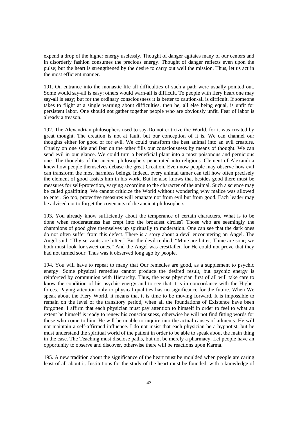expend a drop of the higher energy uselessly. Thought of danger agitates many of our centers and in disorderly fashion consumes the precious energy. Thought of danger reflects even upon the pulse; but the heart is strengthened by the desire to carry out well the mission. Thus, let us act in the most efficient manner.

191. On entrance into the monastic life all difficulties of such a path were usually pointed out. Some would say-all is easy; others would warn-all is difficult. To people with fiery heart one may say-all is easy; but for the ordinary consciousness it is better to caution-all is difficult. If someone takes to flight at a single warning about difficulties, then he, all else being equal, is unfit for persistent labor. One should not gather together people who are obviously unfit. Fear of labor is already a treason.

192. The Alexandrian philosophers used to say-Do not criticize the World, for it was created by great thought. The creation is not at fault, but our conception of it is. We can channel our thoughts either for good or for evil. We could transform the best animal into an evil creature. Cruelty on one side and fear on the other fills our consciousness by means of thought. We can send evil in our glance. We could turn a beneficial plant into a most poisonous and pernicious one. The thoughts of the ancient philosophers penetrated into religions. Clement of Alexandria knew how people themselves debase the great Creation. Even now people may observe how evil can transform the most harmless beings. Indeed, every animal tamer can tell how often precisely the element of good assists him in his work. But he also knows that besides good there must be measures for self-protection, varying according to the character of the animal. Such a science may be called goalfitting. We cannot criticize the World without wondering why malice was allowed to enter. So too, protective measures will emanate not from evil but from good. Each leader may be advised not to forget the covenants of the ancient philosophers.

193. You already know sufficiently about the temperance of certain characters. What is to be done when moderateness has crept into the broadest circles? Those who are seemingly the champions of good give themselves up spiritually to moderation. One can see that the dark ones do not often suffer from this defect. There is a story about a devil encountering an Angel. The Angel said, "Thy servants are bitter." But the devil replied, "Mine are bitter, Thine are sour; we both must look for sweet ones." And the Angel was crestfallen for He could not prove that they had not turned sour. Thus was it observed long ago by people.

194. You will have to repeat to many that Our remedies are good, as a supplement to psychic energy. Some physical remedies cannot produce the desired result, but psychic energy is reinforced by communion with Hierarchy. Thus, the wise physician first of all will take care to know the condition of his psychic energy and to see that it is in concordance with the Higher forces. Paying attention only to physical qualities has no significance for the future. When We speak about the Fiery World, it means that it is time to be moving forward. It is impossible to remain on the level of the transitory period, when all the foundations of Existence have been forgotten. I affirm that each physician must pay attention to himself in order to feel to what an extent he himself is ready to renew his consciousness, otherwise he will not find fitting words for those who come to him. He will be unable to inquire into the actual causes of ailments. He will not maintain a self-affirmed influence. I do not insist that each physician be a hypnotist, but he must understand the spiritual world of the patient in order to be able to speak about the main thing in the case. The Teaching must disclose paths, but not be merely a pharmacy. Let people have an opportunity to observe and discover, otherwise there will be reactions upon Karma.

195. A new tradition about the significance of the heart must be moulded when people are caring least of all about it. Institutions for the study of the heart must be founded, with a knowledge of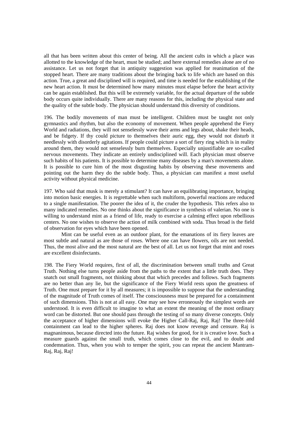all that has been written about this center of being. All the ancient cults in which a place was allotted to the knowledge of the heart, must be studied; and here external remedies alone are of no assistance. Let us not forget that in antiquity suggestion was applied for reanimation of the stopped heart. There are many traditions about the bringing back to life which are based on this action. True, a great and disciplined will is required, and time is needed for the establishing of the new heart action. It must be determined how many minutes must elapse before the heart activity can be again established. But this will be extremely variable, for the actual departure of the subtle body occurs quite individually. There are many reasons for this, including the physical state and the quality of the subtle body. The physician should understand this diversity of conditions.

196. The bodily movements of man must be intelligent. Children must be taught not only gymnastics and rhythm, but also the economy of movement. When people apprehend the Fiery World and radiations, they will not senselessly wave their arms and legs about, shake their heads, and be fidgety. If thy could picture to themselves their auric egg, they would not disturb it needlessly with disorderly agitations. If people could picture a sort of fiery ring which is in reality around them, they would not senselessly burn themselves. Especially unjustifiable are so-called nervous movements. They indicate an entirely undisciplined will. Each physician must observe such habits of his patients. It is possible to determine many diseases by a man's movements alone. It is possible to cure him of the most disgusting habits by observing these movements and pointing out the harm they do the subtle body. Thus, a physician can manifest a most useful activity without physical medicine.

197. Who said that musk is merely a stimulant? It can have an equilibrating importance, bringing into motion basic energies. It is regrettable when such multiform, powerful reactions are reduced to a single manifestation. The poorer the idea of it, the cruder the hypothesis. This refers also to many indicated remedies. No one thinks about the significance in synthesis of valerian. No one is willing to understand mint as a friend of life, ready to exercise a calming effect upon rebellious centers. No one wishes to observe the action of milk combined with soda. Thus broad is the field of observation for eyes which have been opened.

 Mint can be useful even as an outdoor plant, for the emanations of its fiery leaves are most subtle and natural as are those of roses. Where one can have flowers, oils are not needed. Thus, the most alive and the most natural are the best of all. Let us not forget that mint and roses are excellent disinfectants.

198. The Fiery World requires, first of all, the discrimination between small truths and Great Truth. Nothing else turns people aside from the paths to the extent that a little truth does. They snatch out small fragments, not thinking about that which precedes and follows. Such fragments are no better than any lie, but the significance of the Fiery World rests upon the greatness of Truth. One must prepare for it by all measures; it is impossible to suppose that the understanding of the magnitude of Truth comes of itself. The consciousness must be prepared for a containment of such dimensions. This is not at all easy. One may see how erroneously the simplest words are understood. It is even difficult to imagine to what an extent the meaning of the most ordinary word can be distorted. But one should pass through the testing of so many diverse concepts. Only the acceptance of higher dimensions will evoke the Higher Call-Raj, Raj, Raj! The three-fold containment can lead to the higher spheres. Raj does not know revenge and censure. Raj is magnanimous, because directed into the future. Raj wishes for good, for it is creative love. Such a measure guards against the small truth, which comes close to the evil, and to doubt and condemnation. Thus, when you wish to temper the spirit, you can repeat the ancient Mantram-Raj, Raj, Raj!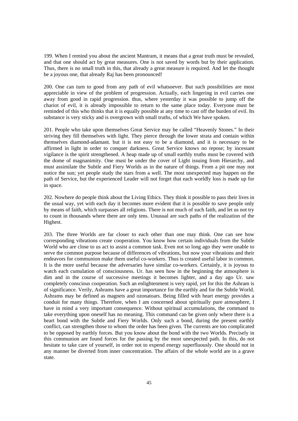199. When I remind you about the ancient Mantram, it means that a great truth must be revealed, and that one should act by great measures. One is not saved by words but by their application. Thus, there is no small truth in this, that already a great measure is required. And let the thought be a joyous one, that already Raj has been pronounced!

200. One can turn to good from any path of evil whatsoever. But such possibilities are most appreciable in view of the problem of progression. Actually, each lingering in evil carries one away from good in rapid progression. thus, where yesterday it was possible to jump off the chariot of evil, it is already impossible to return to the same place today. Everyone must be reminded of this who thinks that it is equally possible at any time to cast off the burden of evil. Its substance is very sticky and is overgrown with small truths, of which We have spoken.

201. People who take upon themselves Great Service may be called "Heavenly Stones." In their striving they fill themselves with light. They pierce through the lower strata and contain within themselves diamond-adamant. but it is not easy to be a diamond, and it is necessary to be affirmed in light in order to conquer darkness. Great Service knows no repose; by incessant vigilance is the spirit strengthened. A heap made up of small earthly truths must be covered with the dome of magnanimity. One must be under the cover of Light issuing from Hierarchy, and must assimilate the Subtle and Fiery Worlds as in the nature of things. From a pit one may not notice the sun; yet people study the stars from a well. The most unexpected may happen on the path of Service, but the experienced Leader will not forget that each worldly loss is made up for in space.

202. Nowhere do people think about the Living Ethics. They think it possible to pass their lives in the usual way, yet with each day it becomes more evident that it is possible to save people only by means of faith, which surpasses all religions. There is not much of such faith, and let us not try to count in thousands where there are only tens. Unusual are such paths of the realization of the Highest.

203. The three Worlds are far closer to each other than one may think. One can see how corresponding vibrations create cooperation. You know how certain individuals from the Subtle World who are close to us act to assist a common task. Even not so long ago they were unable to serve the common purpose because of differences of vibrations, but now your vibrations and their endeavors for communion make them useful co-workers. Thus is created useful labor in common. It is the more useful because the adversaries have similar co-workers. Certainly, it is joyous to watch each cumulation of consciousness. Ur. has seen how in the beginning the atmosphere is dim and in the course of successive meetings it becomes lighter, and a day ago Ur. saw completely conscious cooperation. Such an enlightenment is very rapid, yet for this the Ashram is of significance. Verily, Ashrams have a great importance for the earthly and for the Subtle World. Ashrams may be defined as magnets and ozonatoars. Being filled with heart energy provides a conduit for many things. Therefore, when I am concerned about spiritually pure atmosphere, I have in mind a very important consequence. Without spiritual accumulations, the command to take everything upon oneself has no meaning. This command can be given only where there is a heart bond with the Subtle and Fiery Worlds. Only such a bond, during the present earthly conflict, can strengthen those to whom the order has been given. The currents are too complicated to be opposed by earthly forces. But you know about the bond with the two Worlds. Precisely in this communion are found forces for the passing by the most unexpected path. In this, do not hesitate to take care of yourself, in order not to expend energy superfluously. One should not in any manner be diverted from inner concentration. The affairs of the whole world are in a grave state.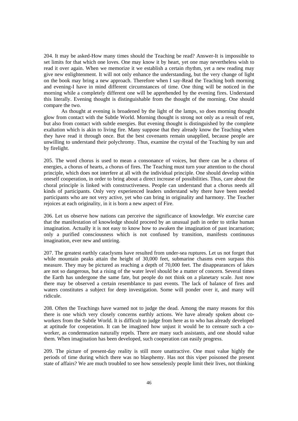204. It may be asked-How many times should the Teaching be read? Answer-It is impossible to set limits for that which one loves. One may know it by heart, yet one may nevertheless wish to read it over again. When we memorize it we establish a certain rhythm, yet a new reading may give new enlightenment. It will not only enhance the understanding, but the very change of light on the book may bring a new approach. Therefore when I say-Read the Teaching both morning and evening-I have in mind different circumstances of time. One thing will be noticed in the morning while a completely different one will be apprehended by the evening fires. Understand this literally. Evening thought is distinguishable from the thought of the morning. One should compare the two.

 As thought at evening is broadened by the light of the lamps, so does morning thought glow from contact with the Subtle World. Morning thought is strong not only as a result of rest, but also from contact with subtle energies. But evening thought is distinguished by the complete exaltation which is akin to living fire. Many suppose that they already know the Teaching when they have read it through once. But the best covenants remain unapplied, because people are unwilling to understand their polychromy. Thus, examine the crystal of the Teaching by sun and by firelight.

205. The word chorus is used to mean a consonance of voices, but there can be a chorus of energies, a chorus of hearts, a chorus of fires. The Teaching must turn your attention to the choral principle, which does not interfere at all with the individual principle. One should develop within oneself cooperation, in order to bring about a direct increase of possibilities. Thus, care about the choral principle is linked with constructiveness. People can understand that a chorus needs all kinds of participants. Only very experienced leaders understand why there have been needed participants who are not very active, yet who can bring in originality and harmony. The Teacher rejoices at each originality, in it is born a new aspect of Fire.

206. Let us observe how nations can perceive the significance of knowledge. We exercise care that the manifestation of knowledge should proceed by an unusual path in order to strike human imagination. Actually it is not easy to know how to awaken the imagination of past incarnation; only a purified consciousness which is not confused by transition, manifests continuous imagination, ever new and untiring.

207. The greatest earthly cataclysms have resulted from under-sea ruptures. Let us not forget that while mountain peaks attain the height of 30,000 feet, submarine chasms even surpass this measure. They may be pictured as reaching a depth of 70,000 feet. The disappearances of lakes are not so dangerous, but a rising of the water level should be a matter of concern. Several times the Earth has undergone the same fate, but people do not think on a planetary scale. Just now there may be observed a certain resemblance to past events. The lack of balance of fires and waters constitutes a subject for deep investigation. Some will ponder over it, and many will ridicule.

208. Often the Teachings have warned not to judge the dead. Among the many reasons for this there is one which very closely concerns earthly actions. We have already spoken about coworkers from the Subtle World. It is difficult to judge from here as to who has already developed at aptitude for cooperation. It can be imagined how unjust it would be to censure such a coworker, as condemnation naturally repels. There are many such assistants, and one should value them. When imagination has been developed, such cooperation can easily progress.

209. The picture of present-day reality is still more unattractive. One must value highly the periods of time during which there was no blasphemy. Has not this viper poisoned the present state of affairs? We are much troubled to see how senselessly people limit their lives, not thinking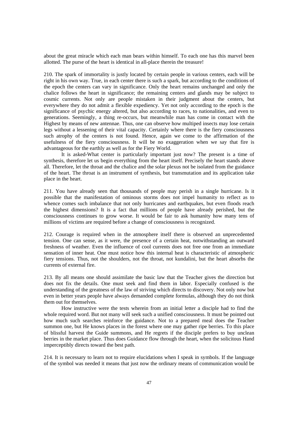about the great miracle which each man bears within himself. To each one has this marvel been allotted. The purse of the heart is identical in all-place therein the treasure!

210. The spark of immortality is justly located by certain people in various centers, each will be right in his own way. True, in each center there is such a spark, but according to the conditions of the epoch the centers can vary in significance. Only the heart remains unchanged and only the chalice follows the heart in significance; the remaining centers and glands may be subject to cosmic currents. Not only are people mistaken in their judgment about the centers, but everywhere they do not admit a flexible expediency. Yet not only according to the epoch is the significance of psychic energy altered, but also according to races, to nationalities, and even to generations. Seemingly, a thing re-occurs, but meanwhile man has come in contact with the Highest by means of new antennae. Thus, one can observe how multiped insects may lose certain legs without a lessening of their vital capacity. Certainly where there is the fiery consciousness such atrophy of the centers is not found. Hence, again we come to the affirmation of the usefulness of the fiery consciousness. It will be no exaggeration when we say that fire is advantageous for the earthly as well as for the Fiery World.

 It is asked-What center is particularly important just now? The present is a time of synthesis, therefore let us begin everything from the heart itself. Precisely the heart stands above all. Therefore, let the throat and the chalice and the solar plexus not be isolated from the guidance of the heart. The throat is an instrument of synthesis, but transmutation and its application take place in the heart.

211. You have already seen that thousands of people may perish in a single hurricane. Is it possible that the manifestation of ominous storms does not impel humanity to reflect as to whence comes such imbalance that not only hurricanes and earthquakes, but even floods reach the highest dimensions? It is a fact that millions of people have already perished, but the consciousness continues to grow worse. It would be fair to ask humanity how many tens of millions of victims are required before a change of consciousness is recognized.

212. Courage is required when in the atmosphere itself there is observed an unprecedented tension. One can sense, as it were, the presence of a certain heat, notwithstanding an outward freshness of weather. Even the influence of cool currents does not free one from an immediate sensation of inner heat. One must notice how this internal heat is characteristic of atmospheric fiery tensions. Thus, not the shoulders, not the throat, not kundalini, but the heart absorbs the currents of external fire.

213. By all means one should assimilate the basic law that the Teacher gives the direction but does not fix the details. One must seek and find them in labor. Especially confused is the understanding of the greatness of the law of striving which directs to discovery. Not only now but even in better years people have always demanded complete formulas, although they do not think them out for themselves.

 How instructive were the tests wherein from an initial letter a disciple had to find the whole required word. But not many will seek such a unified consciousness. It must be pointed out how much such searches reinforce the guidance. Not to a prepared meal does the Teacher summon one, but He knows places in the forest where one may gather ripe berries. To this place of blissful harvest the Guide summons, and He regrets if the disciple prefers to buy unclean berries in the market place. Thus does Guidance flow through the heart, when the solicitous Hand imperceptibly directs toward the best path.

214. It is necessary to learn not to require elucidations when I speak in symbols. If the language of the symbol was needed it means that just now the ordinary means of communication would be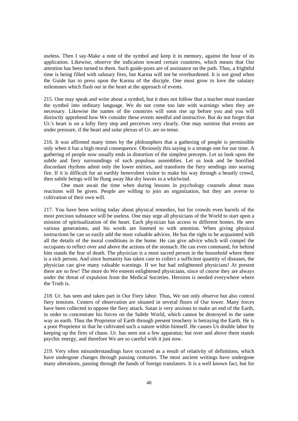useless. Then I say-Make a note of the symbol and keep it in memory, against the hour of its application. Likewise, observe the indication toward certain countries, which means that Our attention has been turned to them. Such guide-posts are of assistance on the path. Thus, a frightful time is being filled with salutary fires, but Karma will not be overburdened. It is not good when the Guide has to press upon the Karma of the disciple. One must grow to love the salutary milestones which flash out in the heart at the approach of events.

215. One may speak and write about a symbol, but it does not follow that a teacher must translate the symbol into ordinary language. We do not come too late with warnings when they are necessary. Likewise the names of the countries will soon rise up before you and you will distinctly apprehend how We consider these events needful and instructive. But do not forget that Ur.'s heart is on a lofty fiery step and perceives very clearly. One may surmise that events are under pressure, if the heart and solar plexus of Ur. are so tense.

216. It was affirmed many times by the philosophers that a gathering of people is permissible only when it has a high moral consequence. Obviously this saying is a strange one for our time. A gathering of people now usually ends in distortion of the simplest precepts. Let us look upon the subtle and fiery surroundings of such populous assemblies. Let us look and be horrified discordant rhythms admit only the lower entities, and transform the fiery sendings into searing fire. If it is difficult for an earthly benevolent visitor to make his way through a beastly crowd, then subtle beings will be flung away like dry leaves in a whirlwind.

 One must await the time when during lessons in psychology counsels about mass reactions will be given. People are willing to join an organization, but they are averse to cultivation of their own will.

217. You have been writing today about physical remedies, but for crowds even barrels of the most precious substance will be useless. One may urge all physicians of the World to start upon a mission of spiritualization of the heart. Each physician has access to different homes. He sees various generations, and his words are listened to with attention. When giving physical instructions he can so easily add the most valuable advices. He has the right to be acquainted with all the details of the moral conditions in the home. He can give advice which will compel the occupants to reflect over and above the actions of the stomach. He can even command, for behind him stands the fear of death. The physician is a most sacred person in the household where there is a sick person. And since humanity has taken care to collect a sufficient quantity of diseases, the physician can give many valuable warnings. If we but had enlightened physicians! At present there are so few! The more do We esteem enlightened physicians, since of course they are always under the threat of expulsion from the Medical Societies. Heroism is needed everywhere where the Truth is.

218. Ur. has seen and taken part in Our Fiery labor. Thus, We not only observe but also control fiery tensions. Centers of observation are situated in several floors of Our tower. Many forces have been collected to oppose the fiery attack. Satan is very anxious to make an end of the Earth, in order to concentrate his forces on the Subtle World, which cannot be destroyed in the same way as earth. Thus the Proprietor of Earth through present treachery is betraying the Earth. He is a poor Proprietor in that he cultivated such a nature within himself. He causes Us double labor by keeping up the fires of chaos. Ur. has seen not a few apparatus; but over and above them stands psychic energy, and therefore We are so careful with it just now.

219. Very often misunderstandings have occurred as a result of relativity of definitions, which have undergone changes through passing centuries. The most ancient writings have undergone many alterations, passing through the hands of foreign translators. It is a well known fact, but for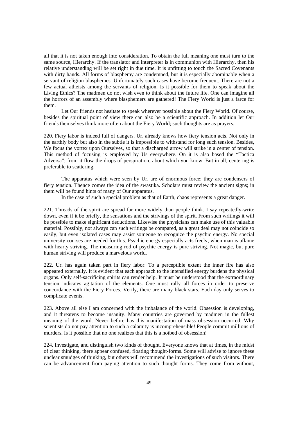all that it is not taken enough into consideration. To obtain the full meaning one must turn to the same source, Hierarchy. If the translator and interpreter is in communion with Hierarchy, then his relative understanding will be set right in due time. It is unfitting to touch the Sacred Covenants with dirty hands. All forms of blasphemy are condemned, but it is especially abominable when a servant of religion blasphemes. Unfortunately such cases have become frequent. There are not a few actual atheists among the servants of religion. Is it possible for them to speak about the Living Ethics? The madmen do not wish even to think about the future life. One can imagine all the horrors of an assembly where blasphemers are gathered! The Fiery World is just a farce for them.

 Let Our friends not hesitate to speak wherever possible about the Fiery World. Of course, besides the spiritual point of view there can also be a scientific approach. In addition let Our friends themselves think more often about the Fiery World; such thoughts are as prayers.

220. Fiery labor is indeed full of dangers. Ur. already knows how fiery tension acts. Not only in the earthly body but also in the subtle it is impossible to withstand for long such tension. Besides, We focus the vortex upon Ourselves, so that a discharged arrow will strike in a center of tension. This method of focusing is employed by Us everywhere. On it is also based the "Tactica Adversa"; from it flow the drops of perspiration, about which you know. But in all, centering is preferable to scattering.

 The apparatus which were seen by Ur. are of enormous force; they are condensers of fiery tension. Thence comes the idea of the swastika. Scholars must review the ancient signs; in them will be found hints of many of Our apparatus.

In the case of such a special problem as that of Earth, chaos represents a great danger.

221. Threads of the spirit are spread far more widely than people think. I say repeatedly-write down, even if it be briefly, the sensations and the strivings of the spirit. From such writings it will be possible to make significant deductions. Likewise the physicians can make use of this valuable material. Possibly, not always can such writings be compared, as a great deal may not coincide so easily, but even isolated cases may assist someone to recognize the psychic energy. No special university courses are needed for this. Psychic energy especially acts freely, when man is aflame with hearty striving. The measuring rod of psychic energy is pure striving. Not magic, but pure human striving will produce a marvelous world.

222. Ur. has again taken part in fiery labor. To a perceptible extent the inner fire has also appeared externally. It is evident that each approach to the intensified energy burdens the physical organs. Only self-sacrificing spirits can render help. It must be understood that the extraordinary tension indicates agitation of the elements. One must rally all forces in order to preserve concordance with the Fiery Forces. Verily, there are many black stars. Each day only serves to complicate events.

223. Above all else I am concerned with the imbalance of the world. Obsession is developing, and it threatens to become insanity. Many countries are governed by madmen in the fullest meaning of the word. Never before has this manifestation of mass obsession occurred. Why scientists do not pay attention to such a calamity is incomprehensible! People commit millions of murders. Is it possible that no one realizes that this is a hotbed of obsession!

224. Investigate, and distinguish two kinds of thought. Everyone knows that at times, in the midst of clear thinking, there appear confused, floating thought-forms. Some will advise to ignore these unclear smudges of thinking, but others will recommend the investigations of such visitors. There can be advancement from paying attention to such thought forms. They come from without,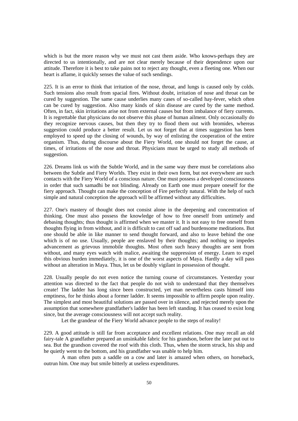which is but the more reason why we must not cast them aside. Who knows-perhaps they are directed to us intentionally, and are not clear merely because of their dependence upon our attitude. Therefore it is best to take pains not to reject any thought, even a fleeting one. When our heart is aflame, it quickly senses the value of such sendings.

225. It is an error to think that irritation of the nose, throat, and lungs is caused only by colds. Such tensions also result from spacial fires. Without doubt, irritation of nose and throat can be cured by suggestion. The same cause underlies many cases of so-called hay-fever, which often can be cured by suggestion. Also many kinds of skin disease are cured by the same method. Often, in fact, skin irritations arise not from external causes but from imbalance of fiery currents. It is regrettable that physicians do not observe this phase of human ailment. Only occasionally do they recognize nervous causes, but then they try to flood them out with bromides, whereas suggestion could produce a better result. Let us not forget that at times suggestion has been employed to speed up the closing of wounds, by way of enlisting the cooperation of the entire organism. Thus, during discourse about the Fiery World, one should not forget the cause, at times, of irritations of the nose and throat. Physicians must be urged to study all methods of suggestion.

226. Dreams link us with the Subtle World, and in the same way there must be correlations also between the Subtle and Fiery Worlds. They exist in their own form, but not everywhere are such contacts with the Fiery World of a conscious nature. One must possess a developed consciousness in order that such samadhi be not blinding. Already on Earth one must prepare oneself for the fiery approach. Thought can make the conception of Fire perfectly natural. With the help of such simple and natural conception the approach will be affirmed without any difficulties.

227. One's mastery of thought does not consist alone in the deepening and concentration of thinking. One must also possess the knowledge of how to free oneself from untimely and debasing thoughts; thus thought is affirmed when we master it. It is not easy to free oneself from thoughts flying in from without, and it is difficult to cast off sad and burdensome meditations. But one should be able in like manner to send thought forward, and also to leave behind the one which is of no use. Usually, people are enslaved by their thoughts; and nothing so impedes advancement as grievous immobile thoughts. Most often such heavy thoughts are sent from without, and many eyes watch with malice, awaiting the suppression of energy. Learn to expel this obvious burden immediately, it is one of the worst aspects of Maya. Hardly a day will pass without an alteration in Maya. Thus, let us be doubly vigilant in possession of thought.

228. Usually people do not even notice the turning course of circumstances. Yesterday your attention was directed to the fact that people do not wish to understand that they themselves create! The ladder has long since been constructed, yet man nevertheless casts himself into emptiness, for he thinks about a former ladder. It seems impossible to affirm people upon reality. The simplest and most beautiful solutions are passed over in silence, and rejected merely upon the assumption that somewhere grandfather's ladder has been left standing. It has ceased to exist long since, but the average consciousness will not accept such reality.

Let the grandeur of the Fiery World advance people to the steps of reality!

229. A good attitude is still far from acceptance and excellent relations. One may recall an old fairy-tale A grandfather prepared an unsinkable fabric for his grandson, before the later put out to sea. But the grandson covered the roof with this cloth. Thus, when the storm struck, his ship and he quietly went to the bottom, and his grandfather was unable to help him.

 A man often puts a saddle on a cow and later is amazed when others, on horseback, outrun him. One may but smile bitterly at useless expenditures.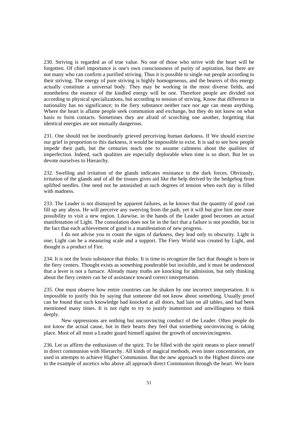230. Striving is regarded as of true value. No one of those who strive with the heart will be forgotten. Of chief importance is one's own consciousness of purity of aspiration, but there are not many who can confirm a purified striving. Thus it is possible to single out people according to their striving. The energy of pure striving is highly homogeneous, and the bearers of this energy actually constitute a universal body. They may be working in the most diverse fields, and nonetheless the essence of the kindled energy will be one. Therefore people are divided not according to physical specializations, but according to tension of striving. Know that difference in nationality has no significance; to the fiery substance neither race nor age can mean anything. Where the heart is aflame people seek communion and exchange, but they do not know on what basis to form contacts. Sometimes they are afraid of scorching one another, forgetting that identical energies are not mutually dangerous.

231. One should not be inordinately grieved perceiving human darkness. If We should exercise our grief in proportion to this darkness, it would be impossible to exist. It is sad to see how people impede their path, but the centuries teach one to assume calmness about the qualities of imperfection. Indeed, such qualities are especially deplorable when time is so short. But let us devote ourselves to Hierarchy.

232. Swelling and irritation of the glands indicates resistance to the dark forces. Obviously, irritation of the glands and of all the tissues gives aid like the help derived by the hedgehog from uplifted needles. One need not be astonished at such degrees of tension when each day is filled with madness.

233. The Leader is not dismayed by apparent failures, as he knows that the quantity of good can fill up any abyss. He will perceive any swerving from the path, yet it will but give him one more possibility to visit a new region. Likewise, in the hands of the Leader good becomes an actual manifestation of Light. The consolation does not lie in the fact that a failure is not possible, but in the fact that each achievement of good is a manifestation of new progress.

 I do not advise you to count the signs of darkness, they lead only to obscurity. Light is one; Light can be a measuring scale and a support. The Fiery World was created by Light, and thought is a product of Fire.

234. It is not the brain substance that thinks. It is time to recognize the fact that thought is born in the fiery centers. Thought exists as something ponderable but invisible, and it must be understood that a lever is not a furnace. Already many truths are knocking for admission, but only thinking about the fiery centers can be of assistance toward correct interpretation.

235. One must observe how entire countries can be shaken by one incorrect interpretation. It is impossible to justify this by saying that someone did not know about something. Usually proof can be found that such knowledge had knocked at all doors, had lain on all tables, and had been mentioned many times. It is not right to try to justify inattention and unwillingness to think deeply.

 New oppressions are nothing but unconvincing conduct of the Leader. Often people do not know the actual cause, but in their hearts they feel that something unconvincing is taking place. Most of all must a Leader guard himself against the growth of unconvincingness.

236. Let us affirm the enthusiasm of the spirit. To be filled with the spirit means to place oneself in direct communion with Hierarchy. All kinds of magical methods, even inner concentration, are used in attempts to achieve Higher Communion. But the new approach to the Highest directs one to the example of ascetics who above all approach direct Communion through the heart. We learn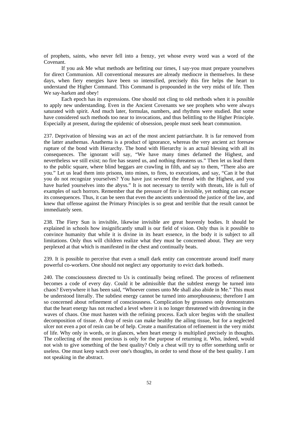of prophets, saints, who never fell into a frenzy, yet whose every word was a word of the Covenant.

 If you ask Me what methods are befitting our times, I say-you must prepare yourselves for direct Communion. All conventional measures are already mediocre in themselves. In these days, when fiery energies have been so intensified, precisely this fire helps the heart to understand the Higher Command. This Command is propounded in the very midst of life. Then We say-harken and obey!

 Each epoch has its expressions. One should not cling to old methods when it is possible to apply new understanding. Even in the Ancient Covenants we see prophets who were always saturated with spirit. And much later, formulas, numbers, and rhythms were studied. But some have considered such methods too near to invocations, and thus belittling to the Higher Principle. Especially at present, during the epidemic of obsession, people must seek heart communion.

237. Deprivation of blessing was an act of the most ancient patriarchate. It is far removed from the latter anathemas. Anathema is a product of ignorance, whereas the very ancient act foresaw rupture of the bond with Hierarchy. The bond with Hierarchy is an actual blessing with all its consequences. The ignorant will say, "We have many times defamed the Highest, and nevertheless we still exist; no fire has seared us, and nothing threatens us." Then let us lead them to the public square, where blind beggars are crawling in filth, and say to them, "There also are you." Let us lead them into prisons, into mines, to fires, to executions, and say, "Can it be that you do not recognize yourselves? You have just severed the thread with the Highest, and you have hurled yourselves into the abyss." It is not necessary to terrify with threats, life is full of examples of such horrors. Remember that the pressure of fire is invisible, yet nothing can escape its consequences. Thus, it can be seen that even the ancients understood the justice of the law, and knew that offense against the Primary Principles is so great and terrible that the result cannot be immediately seen.

238. The Fiery Sun is invisible, likewise invisible are great heavenly bodies. It should be explained in schools how insignificantly small is our field of vision. Only thus is it possible to convince humanity that while it is divine in its heart essence, in the body it is subject to all limitations. Only thus will children realize what they must be concerned about. They are very perplexed at that which is manifested in the chest and continually beats.

239. It is possible to perceive that even a small dark entity can concentrate around itself many powerful co-workers. One should not neglect any opportunity to evict dark hotbeds.

240. The consciousness directed to Us is continually being refined. The process of refinement becomes a code of every day. Could it be admissible that the subtlest energy be turned into chaos? Everywhere it has been said, "Whoever comes unto Me shall also abide in Me." This must be understood literally. The subtlest energy cannot be turned into amorphousness; therefore I am so concerned about refinement of consciousness. Complication by grossness only demonstrates that the heart energy has not reached a level where it is no longer threatened with drowning in the waves of chaos. One must hasten with the refining process. Each ulcer begins with the smallest decomposition of tissue. A drop of resin can make healthy the ailing tissue, but for a neglected ulcer not even a pot of resin can be of help. Create a manifestation of refinement in the very midst of life. Why only in words, or in glances, when heart energy is multiplied precisely in thoughts. The collecting of the most precious is only for the purpose of returning it. Who, indeed, would not wish to give something of the best quality? Only a cheat will try to offer something unfit or useless. One must keep watch over one's thoughts, in order to send those of the best quality. I am not speaking in the abstract.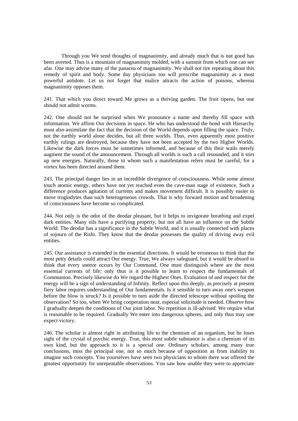Through you We send thoughts of magnanimity, and already much that is not good has been averted. Thus is a mountain of magnanimity molded, with a summit from which one can see afar. One may advise many of the panacea of magnanimity. We shall not tire repeating about this remedy of spirit and body. Some day physicians too will prescribe magnanimity as a most powerful antidote. Let us not forget that malice attracts the action of poisons, whereas magnanimity opposes them.

241. That which you direct toward Me grows as a thriving garden. The fruit ripens, but one should not admit worms.

242. One should not be surprised when We pronounce a name and thereby fill space with information. We affirm Our decisions in space. He who has understood the bond with Hierarchy must also assimilate the fact that the decision of the World depends upon filling the space. Truly, not the earthly world alone decides, but all three worlds. Thus, even apparently most positive earthly rulings are destroyed, because they have not been accepted by the two Higher Worlds. Likewise the dark forces must be sometimes informed, and because of this their wails merely augment the sound of the announcement. Through all worlds is such a call resounded, and it stirs up new energies. Naturally, those to whom such a manifestation refers must be careful, for a vortex has been directed around them.

243. The principal danger lies in an incredible divergence of consciousness. While some almost touch atomic energy, others have not yet reached even the cave-man stage of existence. Such a difference produces agitation of currents and makes movement difficult. It is possibly easier to move troglodytes than such heterogeneous crowds. That is why forward motion and broadening of consciousness have become so complicated.

244. Not only is the odor of the deodar pleasant, but it helps to invigorate breathing and expel dark entities. Many oils have a purifying property, but not all have an influence on the Subtle World. The deodar has a significance in the Subtle World, and it is usually connected with places of sojourn of the Rishi. They know that the deodar possesses the quality of driving away evil entities.

245. Our assistance is extended in the essential directions. It would be erroneous to think that the most petty details could attract Our energy. True, We always safeguard, but it would be absurd to think that every sneeze occurs by Our Command. One must distinguish where are the most essential currents of life; only thus is it possible to learn to respect the fundamentals of Communion. Precisely likewise do We regard the Highest Ones. Evaluation of and respect for the energy will be a sign of understanding of Infinity. Reflect upon this deeply, as precisely at present fiery labor requires understanding of Our fundamentals. Is it sensible to turn away one's weapon before the blow is struck? Is it possible to turn aside the directed telescope without spoiling the observation? So too, when We bring cooperation near, especial solicitude is needed. Observe how I gradually deepen the conditions of Our joint labor. No repetition is ill-advised. We require what is reasonable to be required. Gradually We enter into dangerous spheres, and only thus may one expect victory.

246. The scholar is almost right in attributing life to the chemism of an organism, but he loses sight of the crystal of psychic energy. True, this most subtle substance is also a chemism of its own kind, but the approach to it is a special one. Ordinary scholars, among many true conclusions, miss the principal one, not so much because of opposition as from inability to imagine such concepts. You yourselves have seen two physicians to whom there was offered the greatest opportunity for unrepeatable observations. You saw how unable they were to appreciate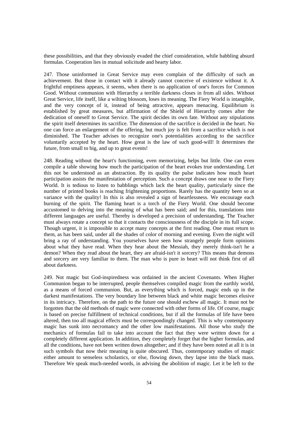these possibilities, and that they obviously evaded the chief consideration, while babbling absurd formulas. Cooperation lies in mutual solicitude and hearty labor.

247. Those uninformed in Great Service may even complain of the difficulty of such an achievement. But those in contact with it already cannot conceive of existence without it. A frightful emptiness appears, it seems, when there is no application of one's forces for Common Good. Without communion with Hierarchy a terrible darkness closes in from all sides. Without Great Service, life itself, like a wilting blossom, loses its meaning. The Fiery World is intangible, and the very concept of it, instead of being attractive, appears menacing. Equilibrium is established by great measures, but affirmation of the Shield of Hierarchy comes after the dedication of oneself to Great Service. The spirit decides its own fate. Without any stipulations the spirit itself determines its sacrifice. The dimension of the sacrifice is decided in the heart. No one can force an enlargement of the offering, but much joy is felt from a sacrifice which is not diminished. The Teacher advises to recognize one's potentialities according to the sacrifice voluntarily accepted by the heart. How great is the law of such good-will! It determines the future, from small to big, and up to great events!

248. Reading without the heart's functioning, even memorizing, helps but little. One can even compile a table showing how much the participation of the heart evokes true understanding. Let this not be understood as an abstraction. By its quality the pulse indicates how much heart participation assists the manifestation of perception. Such a concept draws one near to the Fiery World. It is tedious to listen to babblings which lack the heart quality, particularly since the number of printed books is reaching frightening proportions. Rarely has the quantity been so at variance with the quality! In this is also revealed a sign of heartlessness. We encourage each burning of the spirit. The flaming heart is a torch of the Fiery World. One should become accustomed to delving into the meaning of what has been said; and for this, translations into different languages are useful. Thereby is developed a precision of understanding. The Teacher must always rotate a concept so that it contacts the consciousness of the disciple in its full scope. Though urgent, it is impossible to accept many concepts at the first reading. One must return to them, as has been said, under all the shades of color of morning and evening. Even the night will bring a ray of understanding. You yourselves have seen how strangely people form opinions about what they have read. When they hear about the Messiah, they merely think-isn't he a demon? When they read about the heart, they are afraid-isn't it sorcery? This means that demons and sorcery are very familiar to them. The man who is pure in heart will not think first of all about darkness.

249. Not magic but God-inspiredness was ordained in the ancient Covenants. When Higher Communion began to be interrupted, people themselves compiled magic from the earthly world, as a means of forced communion. But, as everything which is forced, magic ends up in the darkest manifestations. The very boundary line between black and white magic becomes elusive in its intricacy. Therefore, on the path to the future one should eschew all magic. It must not be forgotten that the old methods of magic were connected with other forms of life. Of course, magic is based on precise fulfillment of technical conditions, but if all the formulas of life have been altered, then too all magical effects must be correspondingly changed. This is why contemporary magic has sunk into necromancy and the other low manifestations. All those who study the mechanics of formulas fail to take into account the fact that they were written down for a completely different application. In addition, they completely forget that the higher formulas, and all the conditions, have not been written down altogether; and if they have been noted at all it is in such symbols that now their meaning is quite obscured. Thus, contemporary studies of magic either amount to senseless scholastics, or else, flowing down, they lapse into the black mass. Therefore We speak much-needed words, in advising the abolition of magic. Let it be left to the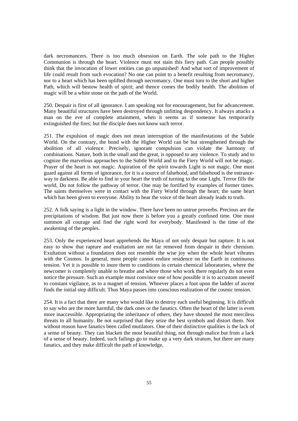dark necromancers. There is too much obsession on Earth. The sole path to the Higher Communion is through the heart. Violence must not stain this fiery path. Can people possibly think that the invocation of lower entities can go unpunished! And what sort of improvement of life could result from such evocation? No one can point to a benefit resulting from necromancy, nor to a heart which has been uplifted through necromancy. One must turn to the short and higher Path, which will bestow health of spirit; and thence comes the bodily health. The abolition of magic will be a white stone on the path of the World.

250. Despair is first of all ignorance. I am speaking not for encouragement, but for advancement. Many beautiful structures have been destroyed through unfitting despondency. It always attacks a man on the eve of complete attainment, when it seems as if someone has temporarily extinguished the fires; but the disciple does not know such terror.

251. The expulsion of magic does not mean interruption of the manifestations of the Subtle World. On the contrary, the bond with the Higher World can be but strengthened through the abolition of all violence. Precisely, ignorant compulsion can violate the harmony of combinations. Nature, both in the small and the great, is opposed to any violence. To study and to cognize the marvelous approaches to the Subtle World and to the Fiery World will not be magic. Prayer of the heart is not magic. Aspiration of the spirit towards Light is not magic. One must guard against all forms of ignorance, for it is a source of falsehood, and falsehood is the entranceway to darkness. Be able to find in your heart the truth of turning to the one Light. Terror fills the world, Do not follow the pathway of terror. One may be fortified by examples of former times. The saints themselves were in contact with the Fiery World through the heart; the same heart which has been given to everyone. Ability to hear the voice of the heart already leads to truth.

252. A folk saying is a light in the window. There have been no untrue proverbs. Precious are the precipitations of wisdom. But just now there is before you a greatly confused time. One must summon all courage and find the right word for everybody. Manifested is the time of the awakening of the peoples.

253. Only the experienced heart apprehends the Maya of not only despair but rapture. It is not easy to show that rapture and exultation are not far removed from despair in their chemism. Exultation without a foundation does not resemble the wise joy when the whole heart vibrates with the Cosmos. In general, most people cannot endure residence on the Earth in continuous tension. Yet it is possible to inure them to conditions in certain chemical laboratories, where the newcomer is completely unable to breathe and where those who work there regularly do not even notice the pressure. Such an example must convince one of how possible it is to accustom oneself to constant vigilance, as to a magnet of tension. Whoever places a foot upon the ladder of ascent finds the initial step difficult. Thus Maya passes into conscious realization of the cosmic tension.

254. It is a fact that there are many who would like to destroy each useful beginning. It is difficult to say who are the more harmful, the dark ones or the fanatics. Often the heart of the latter is even more inaccessible. Appropriating the inheritance of others, they have shouted the most merciless threats to all humanity. Be not surprised that they seize the best symbols and distort them. Not without reason have fanatics been called mutilators. One of their distinctive qualities is the lack of a sense of beauty. They can blacken the most beautiful thing, not through malice but from a lack of a sense of beauty. Indeed, such failings go to make up a very dark stratum, but there are many fanatics, and they make difficult the path of knowledge.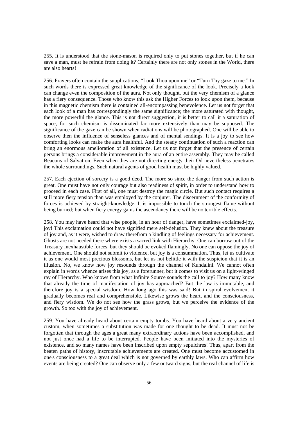255. It is understood that the stone-mason is required only to put stones together, but if he can save a man, must he refrain from doing it? Certainly there are not only stones in the World, there are also hearts!

256. Prayers often contain the supplications, "Look Thou upon me" or "Turn Thy gaze to me." In such words there is expressed great knowledge of the significance of the look. Precisely a look can change even the composition of the aura. Not only thought, but the very chemism of a glance has a fiery consequence. Those who know this ask the Higher Forces to look upon them, because in this magnetic chemism there is contained all-encompassing benevolence. Let us not forget that each look of a man has correspondingly the same significance; the more saturated with thought, the more powerful the glance. This is not direct suggestion, it is better to call it a saturation of space, for such chemism is disseminated far more extensively than may be supposed. The significance of the gaze can be shown when radiations will be photographed. One will be able to observe then the influence of senseless glances and of mental sendings. It is a joy to see how comforting looks can make the aura healthful. And the steady continuation of such a reaction can bring an enormous amelioration of all existence. Let us not forget that the presence of certain persons brings a considerable improvement in the aura of an entire assembly. They may be called Beacons of Salvation. Even when they are not directing energy their Od nevertheless penetrates the whole surroundings. Such natural agents of good health must be highly valued.

257. Each ejection of sorcery is a good deed. The more so since the danger from such action is great. One must have not only courage but also readiness of spirit, in order to understand how to proceed in each case. First of all, one must destroy the magic circle. But such contact requires a still more fiery tension than was employed by the conjurer. The discernment of the conformity of forces is achieved by straight-knowledge. It is impossible to touch the strongest flame without being burned; but when fiery energy gains the ascendancy there will be no terrible effects.

258. You may have heard that wise people, in an hour of danger, have sometimes exclaimed-joy, joy! This exclamation could not have signified mere self-delusion. They knew about the treasure of joy and, as it were, wished to draw therefrom a kindling of feelings necessary for achievement. Ghosts are not needed there where exists a sacred link with Hierarchy. One can borrow out of the Treasury inexhaustible forces, but they should be evoked flamingly. No one can oppose the joy of achievement. One should not submit to violence, but joy is a consummation. Thus, let us cultivate it as one would most precious blossoms, but let us not belittle it with the suspicion that it is an illusion. No, we know how joy resounds through the channel of Kundalini. We cannot often explain in words whence arises this joy, as a forerunner, but it comes to visit us on a light-winged ray of Hierarchy. Who knows from what Infinite Source sounds the call to joy? How many know that already the time of manifestation of joy has approached? But the law is immutable, and therefore joy is a special wisdom. How long ago this was said! But in spiral evolvement it gradually becomes real and comprehensible. Likewise grows the heart, and the consciousness, and fiery wisdom. We do not see how the grass grows, but we perceive the evidence of the growth. So too with the joy of achievement.

259. You have already heard about certain empty tombs. You have heard about a very ancient custom, when sometimes a substitution was made for one thought to be dead. It must not be forgotten that through the ages a great many extraordinary actions have been accomplished, and not just once had a life to be interrupted. People have been initiated into the mysteries of existence, and so many names have been inscribed upon empty sepulchres! Thus, apart from the beaten paths of history, inscrutable achievements are created. One must become accustomed in one's consciousness to a great deal which is not governed by earthly laws. Who can affirm how events are being created? One can observe only a few outward signs, but the real channel of life is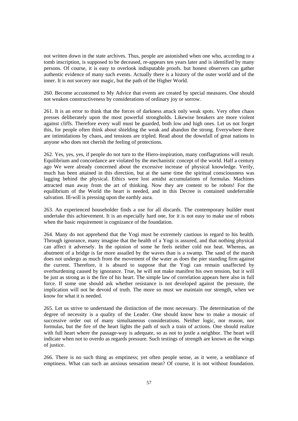not written down in the state archives. Thus, people are astonished when one who, according to a tomb inscription, is supposed to be deceased, re-appears ten years later and is identified by many persons. Of course, it is easy to overlook indisputable proofs. but honest observers can gather authentic evidence of many such events. Actually there is a history of the outer world and of the inner. It is not sorcery nor magic, but the path of the Higher World.

260. Become accustomed to My Advice that events are created by special measures. One should not weaken constructiveness by considerations of ordinary joy or sorrow.

261. It is an error to think that the forces of darkness attack only weak spots. Very often chaos presses deliberately upon the most powerful strongholds. Likewise breakers are more violent against cliffs. Therefore every wall must be guarded, both low and high ones. Let us not forget this, for people often think about shielding the weak and abandon the strong. Everywhere there are intimidations by chaos, and tensions are tripled. Read about the downfall of great nations to anyone who does not cherish the feeling of protections.

262. Yes, yes, yes, if people do not turn to the Hiero-inspiration, many conflagrations will result. Equilibrium and concordance are violated by the mechanistic concept of the world. Half a century ago We were already concerned about the excessive increase of physical knowledge. Verily, much has been attained in this direction, but at the same time the spiritual consciousness was lagging behind the physical. Ethics were lost amidst accumulations of formulas. Machines attracted man away from the art of thinking. Now they are content to be robots! For the equilibrium of the World the heart is needed, and in this Decree is contained undeferrable salvation. Ill-will is pressing upon the earthly aura.

263. An experienced householder finds a use for all discards. The contemporary builder must undertake this achievement. It is an especially hard one, for it is not easy to make use of robots when the basic requirement is cognizance of the foundation.

264. Many do not apprehend that the Yogi must be extremely cautious in regard to his health. Through ignorance, many imagine that the health of a Yogi is assured, and that nothing physical can affect it adversely. In the opinion of some he feels neither cold nor heat. Whereas, an abutment of a bridge is far more assailed by the waves than is a swamp. The sand of the marsh does not undergo as much from the movement of the water as does the pier standing firm against the current. Therefore, it is absurd to suppose that the Yogi can remain unaffected by overburdening caused by ignorance. True, he will not make manifest his own tension, but it will be just as strong as is the fire of his heart. The simple law of correlation appears here also in full force. If some one should ask whether resistance is not developed against the pressure, the implication will not be devoid of truth. The more so must we maintain our strength, when we know for what it is needed.

265. Let us strive to understand the distinction of the most necessary. The determination of the degree of necessity is a quality of the Leader. One should know how to make a mosaic of successive order out of many simultaneous considerations. Neither logic, nor reason, nor formulas, but the fire of the heart lights the path of such a train of actions. One should realize with full heart where the passage-way is adequate, so as not to jostle a neighbor. The heart will indicate when not to overdo as regards pressure. Such testings of strength are known as the wings of justice.

266. There is no such thing as emptiness; yet often people sense, as it were, a semblance of emptiness. What can such an anxious sensation mean? Of course, it is not without foundation.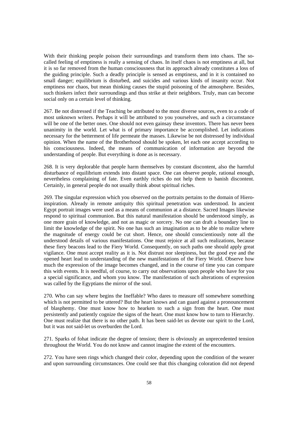With their thinking people poison their surroundings and transform them into chaos. The socalled feeling of emptiness is really a sensing of chaos. In itself chaos is not emptiness at all, but it is so far removed from the human consciousness that its approach already constitutes a loss of the guiding principle. Such a deadly principle is sensed as emptiness, and in it is contained no small danger; equilibrium is disturbed, and suicides and various kinds of insanity occur. Not emptiness nor chaos, but mean thinking causes the stupid poisoning of the atmosphere. Besides, such thinkers infect their surroundings and thus strike at their neighbors. Truly, man can become social only on a certain level of thinking.

267. Be not distressed if the Teaching be attributed to the most diverse sources, even to a code of most unknown writers. Perhaps it will be attributed to you yourselves, and such a circumstance will be one of the better ones. One should not even gainsay these inventors. There has never been unanimity in the world. Let what is of primary importance be accomplished. Let indications necessary for the betterment of life permeate the masses. Likewise be not distressed by individual opinion. When the name of the Brotherhood should be spoken, let each one accept according to his consciousness. Indeed, the means of communication of information are beyond the understanding of people. But everything is done as is necessary.

268. It is very deplorable that people harm themselves by constant discontent, also the harmful disturbance of equilibrium extends into distant space. One can observe people, rational enough, nevertheless complaining of fate. Even earthly riches do not help them to banish discontent. Certainly, in general people do not usually think about spiritual riches.

269. The singular expression which you observed on the portraits pertains to the domain of Hieroinspiration. Already in remote antiquity this spiritual penetration was understood. In ancient Egypt portrait images were used as a means of communion at a distance. Sacred Images likewise respond to spiritual communion. But this natural manifestation should be understood simply, as one more grain of knowledge, and not as magic or sorcery. No one can draft a boundary line to limit the knowledge of the spirit. No one has such an imagination as to be able to realize where the magnitude of energy could be cut short. Hence, one should conscientiously note all the understood details of various manifestations. One must rejoice at all such realizations, because these fiery beacons lead to the Fiery World. Consequently, on such paths one should apply great vigilance. One must accept reality as it is. Not distrust nor sleepiness, but the good eye and the opened heart lead to understanding of the new manifestations of the Fiery World. Observe how much the expression of the image becomes changed, and in the course of time you can compare this with events. It is needful, of course, to carry out observations upon people who have for you a special significance, and whom you know. The manifestation of such alterations of expression was called by the Egyptians the mirror of the soul.

270. Who can say where begins the Ineffable? Who dares to measure off somewhere something which is not permitted to be uttered? But the heart knows and can guard against a pronouncement of blasphemy. One must know how to hearken to such a sign from the heart. One must persistently and patiently cognize the signs of the heart. One must know how to turn to Hierarchy. One must realize that there is no other path. It has been said-let us devote our spirit to the Lord, but it was not said-let us overburden the Lord.

271. Sparks of fohat indicate the degree of tension; there is obviously an unprecedented tension throughout the World. You do not know and cannot imagine the extent of the encounters.

272. You have seen rings which changed their color, depending upon the condition of the wearer and upon surrounding circumstances. One could see that this changing coloration did not depend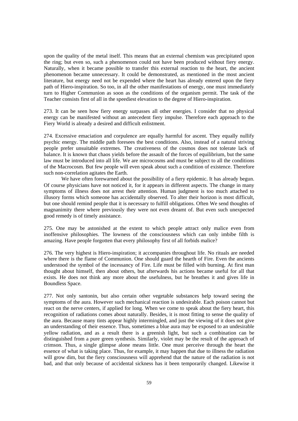upon the quality of the metal itself. This means that an external chemism was precipitated upon the ring; but even so, such a phenomenon could not have been produced without fiery energy. Naturally, when it became possible to transfer this external reaction to the heart, the ancient phenomenon became unnecessary. It could be demonstrated, as mentioned in the most ancient literature, but energy need not be expended where the heart has already entered upon the fiery path of Hiero-inspiration. So too, in all the other manifestations of energy, one must immediately turn to Higher Communion as soon as the conditions of the organism permit. The task of the Teacher consists first of all in the speediest elevation to the degree of Hiero-inspiration.

273. It can be seen how fiery energy surpasses all other energies. I consider that no physical energy can be manifested without an antecedent fiery impulse. Therefore each approach to the Fiery World is already a desired and difficult enlistment.

274. Excessive emaciation and corpulence are equally harmful for ascent. They equally nullify psychic energy. The middle path foresees the best conditions. Also, instead of a natural striving people prefer unsuitable extremes. The creativeness of the cosmos does not tolerate lack of balance. It is known that chaos yields before the assault of the forces of equilibrium, but the same law must be introduced into all life. We are microcosms and must be subject to all the conditions of the Macrocosm. But few people will even speak about such a condition of existence. Therefore such non-correlation agitates the Earth.

We have often forewarned about the possibility of a fiery epidemic. It has already begun. Of course physicians have not noticed it, for it appears in different aspects. The change in many symptoms of illness does not arrest their attention. Human judgment is too much attached to illusory forms which someone has accidentally observed. To alter their horizon is most difficult, but one should remind people that it is necessary to fulfill obligations. Often We send thoughts of magnanimity there where previously they were not even dreamt of. But even such unexpected good remedy is of timely assistance.

275. One may be astonished at the extent to which people attract only malice even from inoffensive philosophies. The lowness of the consciousness which can only imbibe filth is amazing. Have people forgotten that every philosophy first of all forbids malice?

276. The very highest is Hiero-inspiration; it accompanies throughout life. No rituals are needed where there is the flame of Communion. One should guard the hearth of Fire. Even the ancients understood the symbol of the incessancy of Fire. Life must be filled with burning. At first man thought about himself, then about others, but afterwards his actions became useful for all that exists. He does not think any more about the usefulness, but he breathes it and gives life in Boundless Space.

277. Not only santonin, but also certain other vegetable substances help toward seeing the symptoms of the aura. However such mechanical reaction is undesirable. Each poison cannot but react on the nerve centers, if applied for long. When we come to speak about the fiery heart, this recognition of radiations comes about naturally. Besides, it is most fitting to sense the quality of the aura. Because many tints appear highly intermingled, and just the viewing of it does not give an understanding of their essence. Thus, sometimes a blue aura may be exposed to an undesirable yellow radiation, and as a result there is a greenish light, but such a combination can be distinguished from a pure green synthesis. Similarly, violet may be the result of the approach of crimson. Thus, a single glimpse alone means little. One must perceive through the heart the essence of what is taking place. Thus, for example, it may happen that due to illness the radiation will grow dim, but the fiery consciousness will apprehend that the nature of the radiation is not bad, and that only because of accidental sickness has it been temporarily changed. Likewise it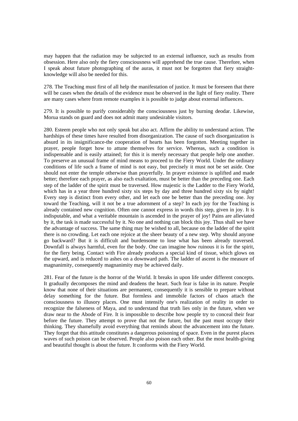may happen that the radiation may be subjected to an external influence, such as results from obsession. Here also only the fiery consciousness will apprehend the true cause. Therefore, when I speak about future photographing of the auras, it must not be forgotten that fiery straightknowledge will also be needed for this.

278. The Teaching must first of all help the manifestation of justice. It must be foreseen that there will be cases when the details of the evidence must be observed in the light of fiery reality. There are many cases where from remote examples it is possible to judge about external influences.

279. It is possible to purify considerably the consciousness just by burning deodar. Likewise, Morua stands on guard and does not admit many undesirable visitors.

280. Esteem people who not only speak but also act. Affirm the ability to understand action. The hardships of these times have resulted from disorganization. The cause of such disorganization is absurd in its insignificance-the cooperation of hearts has been forgotten. Meeting together in prayer, people forget how to attune themselves for service. Whereas, such a condition is indispensable and is easily attained; for this it is merely necessary that people help one another. To preserve an unusual frame of mind means to proceed to the Fiery World. Under the ordinary conditions of life such a frame of mind is not easy, but precisely it must not be set aside. One should not enter the temple otherwise than prayerfully. In prayer existence is uplifted and made better; therefore each prayer, as also each exaltation, must be better than the preceding one. Each step of the ladder of the spirit must be traversed. How majestic is the Ladder to the Fiery World, which has in a year three hundred sixty six steps by day and three hundred sixty six by night! Every step is distinct from every other, and let each one be better than the preceding one. Joy toward the Teaching, will it not be a true adornment of a step? In each joy for the Teaching is already contained new cognition. Often one cannot express in words this step, given in joy. It is indisputable, and what a veritable mountain is ascended in the prayer of joy! Pains are alleviated by it, the task is made successful by it. No one and nothing can block this joy. Thus shall we have the advantage of success. The same thing may be wished to all, because on the ladder of the spirit there is no crowding. Let each one rejoice at the sheer beauty of a new step. Why should anyone go backward? But it is difficult and burdensome to lose what has been already traversed. Downfall is always harmful, even for the body. One can imagine how ruinous it is for the spirit, for the fiery being. Contact with Fire already produces a special kind of tissue, which glows on the upward, and is reduced to ashes on a downward path. The ladder of ascent is the measure of magnanimity, consequently magnanimity may be achieved daily.

281. Fear of the future is the horror of the World. It breaks in upon life under different concepts. It gradually decomposes the mind and deadens the heart. Such fear is false in its nature. People know that none of their situations are permanent, consequently it is sensible to prepare without delay something for the future. But formless and immobile factors of chaos attach the consciousness to illusory places. One must intensify one's realization of reality in order to recognize the falseness of Maya, and to understand that truth lies only in the future, when we draw near to the Abode of Fire. It is impossible to describe how people try to conceal their fear before the future. They attempt to prove that not the future, but the past must occupy their thinking. They shamefully avoid everything that reminds about the advancement into the future. They forget that this attitude constitutes a dangerous poisoning of space. Even in the purest places waves of such poison can be observed. People also poison each other. But the most health-giving and beautiful thought is about the future. It conforms with the Fiery World.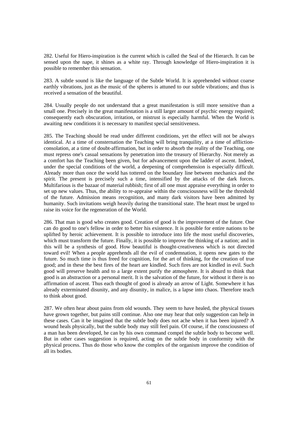282. Useful for Hiero-inspiration is the current which is called the Seal of the Hierarch. It can be sensed upon the nape, it shines as a white ray. Through knowledge of Hiero-inspiration it is possible to remember this sensation.

283. A subtle sound is like the language of the Subtle World. It is apprehended without coarse earthly vibrations, just as the music of the spheres is attuned to our subtle vibrations; and thus is received a sensation of the beautiful.

284. Usually people do not understand that a great manifestation is still more sensitive than a small one. Precisely in the great manifestation is a still larger amount of psychic energy required; consequently each obscuration, irritation, or mistrust is especially harmful. When the World is awaiting new conditions it is necessary to manifest special sensitiveness.

285. The Teaching should be read under different conditions, yet the effect will not be always identical. At a time of consternation the Teaching will bring tranquility, at a time of afflictionconsolation, at a time of doubt-affirmation, but in order to absorb the reality of the Teaching, one must repress one's casual sensations by penetration into the treasury of Hierarchy. Not merely as a comfort has the Teaching been given, but for advancement upon the ladder of ascent. Indeed, under the special conditions of the world, a deepening of comprehension is especially difficult. Already more than once the world has tottered on the boundary line between mechanics and the spirit. The present is precisely such a time, intensified by the attacks of the dark forces. Multifarious is the bazaar of material rubbish; first of all one must appraise everything in order to set up new values. Thus, the ability to re-appraise within the consciousness will be the threshold of the future. Admission means recognition, and many dark visitors have been admitted by humanity. Such invitations weigh heavily during the transitional state. The heart must be urged to raise its voice for the regeneration of the World.

286. That man is good who creates good. Creation of good is the improvement of the future. One can do good to one's fellow in order to better his existence. It is possible for entire nations to be uplifted by heroic achievement. It is possible to introduce into life the most useful discoveries, which must transform the future. Finally, it is possible to improve the thinking of a nation; and in this will be a synthesis of good. How beautiful is thought-creativeness which is not directed toward evil! When a people apprehends all the evil of condemnation, it opens new gates to the future. So much time is thus freed for cognition, for the art of thinking, for the creation of true good; and in these the best fires of the heart are kindled. Such fires are not kindled in evil. Such good will preserve health and to a large extent purify the atmosphere. It is absurd to think that good is an abstraction or a personal merit. It is the salvation of the future, for without it there is no affirmation of ascent. Thus each thought of good is already an arrow of Light. Somewhere it has already exterminated disunity, and any disunity, in malice, is a lapse into chaos. Therefore teach to think about good.

287. We often hear about pains from old wounds. They seem to have healed, the physical tissues have grown together, but pains still continue. Also one may hear that only suggestion can help in these cases. Can it be imagined that the subtle body does not ache when it has been injured? A wound heals physically, but the subtle body may still feel pain. Of course, if the consciousness of a man has been developed, he can by his own command compel the subtle body to become well. But in other cases suggestion is required, acting on the subtle body in conformity with the physical process. Thus do those who know the complex of the organism improve the condition of all its bodies.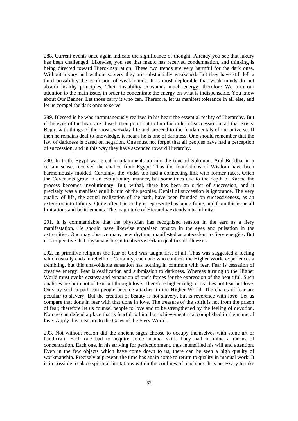288. Current events once again indicate the significance of thought. Already you see that luxury has been challenged. Likewise, you see that magic has received condemnation, and thinking is being directed toward Hiero-inspiration. These two trends are very harmful for the dark ones. Without luxury and without sorcery they are substantially weakened. But they have still left a third possibility-the confusion of weak minds. It is most deplorable that weak minds do not absorb healthy principles. Their instability consumes much energy; therefore We turn our attention to the main issue, in order to concentrate the energy on what is indispensable. You know about Our Banner. Let those carry it who can. Therefore, let us manifest tolerance in all else, and let us compel the dark ones to serve.

289. Blessed is he who instantaneously realizes in his heart the essential reality of Hierarchy. But if the eyes of the heart are closed, then point out to him the order of succession in all that exists. Begin with things of the most everyday life and proceed to the fundamentals of the universe. If then he remains deaf to knowledge, it means he is one of darkness. One should remember that the law of darkness is based on negation. One must not forget that all peoples have had a perception of succession, and in this way they have ascended toward Hierarchy.

290. In truth, Egypt was great in attainments up into the time of Solomon. And Buddha, in a certain sense, received the chalice from Egypt. Thus the foundations of Wisdom have been harmoniously molded. Certainly, the Vedas too had a connecting link with former races. Often the Covenants grow in an evolutionary manner, but sometimes due to the depth of Karma the process becomes involutionary. But, withal, there has been an order of succession, and it precisely was a manifest equilibrium of the peoples. Denial of succession is ignorance. The very quality of life, the actual realization of the path, have been founded on successiveness, as an extension into Infinity. Quite often Hierarchy is represented as being finite, and from this issue all limitations and belittlements. The magnitude of Hierarchy extends into Infinity.

291. It is commendable that the physician has recognized tension in the ears as a fiery manifestation. He should have likewise appraised tension in the eyes and pulsation in the extremities. One may observe many new rhythms manifested as antecedent to fiery energies. But it is imperative that physicians begin to observe certain qualities of illnesses.

292. In primitive religions the fear of God was taught first of all. Thus was suggested a feeling which usually ends in rebellion. Certainly, each one who contacts the Higher World experiences a trembling, but this unavoidable sensation has nothing in common with fear. Fear is cessation of creative energy. Fear is ossification and submission to darkness. Whereas turning to the Higher World must evoke ecstasy and expansion of one's forces for the expression of the beautiful. Such qualities are born not of fear but through love. Therefore higher religion teaches not fear but love. Only by such a path can people become attached to the Higher World. The chains of fear are peculiar to slavery. But the creation of beauty is not slavery, but is reverence with love. Let us compare that done in fear with that done in love. The treasure of the spirit is not from the prison of fear; therefore let us counsel people to love and to be strengthened by the feeling of devotion. No one can defend a place that is fearful to him, but achievement is accomplished in the name of love. Apply this measure to the Gates of the Fiery World.

293. Not without reason did the ancient sages choose to occupy themselves with some art or handicraft. Each one had to acquire some manual skill. They had in mind a means of concentration. Each one, in his striving for perfectionment, thus intensified his will and attention. Even in the few objects which have come down to us, there can be seen a high quality of workmanship. Precisely at present, the time has again come to return to quality in manual work. It is impossible to place spiritual limitations within the confines of machines. It is necessary to take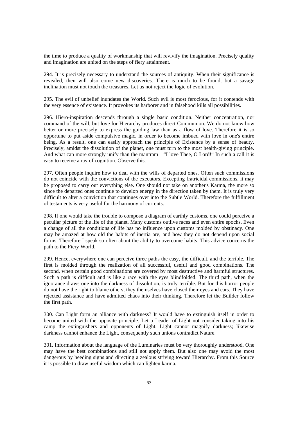the time to produce a quality of workmanship that will revivify the imagination. Precisely quality and imagination are united on the steps of fiery attainment.

294. It is precisely necessary to understand the sources of antiquity. When their significance is revealed, then will also come new discoveries. There is much to be found, but a savage inclination must not touch the treasures. Let us not reject the logic of evolution.

295. The evil of unbelief inundates the World. Such evil is most ferocious, for it contends with the very essence of existence. It provokes its harborer and in falsehood kills all possibilities.

296. Hiero-inspiration descends through a single basic condition. Neither concentration, nor command of the will, but love for Hierarchy produces direct Communion. We do not know how better or more precisely to express the guiding law than as a flow of love. Therefore it is so opportune to put aside compulsive magic, in order to become imbued with love in one's entire being. As a result, one can easily approach the principle of Existence by a sense of beauty. Precisely, amidst the dissolution of the planet, one must turn to the most health-giving principle. And what can more strongly unify than the mantram—"I love Thee, O Lord!" In such a call it is easy to receive a ray of cognition. Observe this.

297. Often people inquire how to deal with the wills of departed ones. Often such commissions do not coincide with the convictions of the executors. Excepting fratricidal commissions, it may be proposed to carry out everything else. One should not take on another's Karma, the more so since the departed ones continue to develop energy in the direction taken by them. It is truly very difficult to alter a conviction that continues over into the Subtle World. Therefore the fulfillment of testaments is very useful for the harmony of currents.

298. If one would take the trouble to compose a diagram of earthly customs, one could perceive a peculiar picture of the life of the planet. Many customs outlive races and even entire epochs. Even a change of all the conditions of life has no influence upon customs molded by obstinacy. One may be amazed at how old the habits of inertia are, and how they do not depend upon social forms. Therefore I speak so often about the ability to overcome habits. This advice concerns the path to the Fiery World.

299. Hence, everywhere one can perceive three paths the easy, the difficult, and the terrible. The first is molded through the realization of all successful, useful and good combinations. The second, when certain good combinations are covered by most destructive and harmful structures. Such a path is difficult and is like a race with the eyes blindfolded. The third path, when the ignorance draws one into the darkness of dissolution, is truly terrible. But for this horror people do not have the right to blame others; they themselves have closed their eyes and ears. They have rejected assistance and have admitted chaos into their thinking. Therefore let the Builder follow the first path.

300. Can Light form an alliance with darkness? It would have to extinguish itself in order to become united with the opposite principle. Let a Leader of Light not consider taking into his camp the extinguishers and opponents of Light. Light cannot magnify darkness; likewise darkness cannot enhance the Light, consequently such unions contradict Nature.

301. Information about the language of the Luminaries must be very thoroughly understood. One may have the best combinations and still not apply them. But also one may avoid the most dangerous by heeding signs and directing a zealous striving toward Hierarchy. From this Source it is possible to draw useful wisdom which can lighten karma.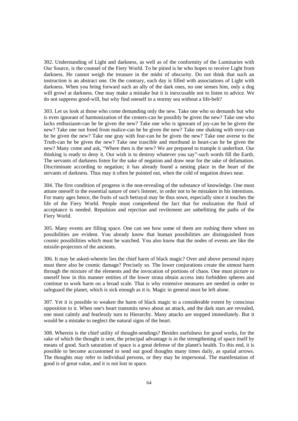302. Understanding of Light and darkness, as well as of the conformity of the Luminaries with Our Source, is the counsel of the Fiery World. To be pitied is he who hopes to receive Light from darkness. He cannot weigh the treasure in the midst of obscurity. Do not think that such an instruction is an abstract one. On the contrary, each day is filled with associations of Light with darkness. When you bring forward such an ally of the dark ones, no one senses him, only a dog will growl at darkness. One may make a mistake but it is inexcusable not to listen to advice. We do not suppress good-will, but why find oneself in a stormy sea without a life-belt?

303. Let us look at those who come demanding only the new. Take one who so demands but who is even ignorant of harmonization of the centers-can he possibly be given the new? Take one who lacks enthusiasm-can he be given the new? Take one who is ignorant of joy-can he be given the new? Take one not freed from malice-can he be given the new? Take one shaking with envy-can he be given the new? Take one gray with fear-can he be given the new? Take one averse to the Truth-can he be given the new? Take one irascible and moribund in heart-can he be given the new? Many come and ask, "Where then is the new? We are prepared to trample it underfoot. Our thinking is ready to deny it. Our wish is to destroy whatever you say"-such words fill the Earth. The servants of darkness listen for the sake of negation and draw near for the sake of defamation. Discriminate according to negation; it has already found a nesting place in the heart of the servants of darkness. Thus may it often be pointed out, when the cold of negation draws near.

304. The first condition of progress is the non-revealing of the substance of knowledge. One must attune oneself to the essential nature of one's listener, in order not to be mistaken in his intentions. For many ages hence, the fruits of such betrayal may be thus sown, especially since it touches the life of the Fiery World. People must comprehend the fact that for realization the fluid of acceptance is needed. Repulsion and rejection and revilement are unbefitting the paths of the Fiery World.

305. Many events are filling space. One can see how some of them are rushing there where no possibilities are evident. You already know that human possibilities are distinguished from cosmic possibilities which must be watched. You also know that the nodes of events are like the missile-projectors of the ancients.

306. It may be asked-wherein lies the chief harm of black magic? Over and above personal injury must there also be cosmic damage? Precisely so. The lower conjurations create the utmost harm through the mixture of the elements and the invocation of portions of chaos. One must picture to oneself how in this manner entities of the lower strata obtain access into forbidden spheres and continue to work harm on a broad scale. That is why extensive measures are needed in order to safeguard the planet, which is sick enough as it is. Magic in general must be left alone.

307. Yet it is possible to weaken the harm of black magic to a considerable extent by conscious opposition to it. When one's heart transmits news about an attack, and the dark stars are revealed, one must calmly and fearlessly turn to Hierarchy. Many attacks are stopped immediately. But it would be a mistake to neglect the natural signs of the heart.

308. Wherein is the chief utility of thought-sendings? Besides usefulness for good works, for the sake of which the thought is sent, the principal advantage is in the strengthening of space itself by means of good. Such saturation of space is a great defense of the planet's health. To this end, it is possible to become accustomed to send out good thoughts many times daily, as spatial arrows. The thoughts may refer to individual persons, or they may be impersonal. The manifestation of good is of great value, and it is not lost in space.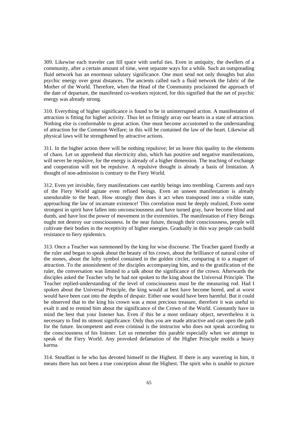309. Likewise each traveler can fill space with useful ties. Even in antiquity, the dwellers of a community, after a certain amount of time, went separate ways for a while. Such an outspreading fluid network has an enormous salutary significance. One must send not only thoughts but also psychic energy over great distances. The ancients called such a fluid network the fabric of the Mother of the World. Therefore, when the Head of the Community proclaimed the approach of the date of departure, the manifested co-workers rejoiced, for this signified that the net of psychic energy was already strong.

310. Everything of higher significance is found to be in uninterrupted action. A manifestation of attraction is fitting for higher activity. Thus let us fittingly array our hearts in a state of attraction. Nothing else is conformable to great action. One must become accustomed to the understanding of attraction for the Common Welfare; in this will be contained the law of the heart. Likewise all physical laws will be strengthened by attractive actions.

311. In the higher action there will be nothing repulsive; let us leave this quality to the elements of chaos. Let us apprehend that electricity also, which has positive and negative manifestations, will never be repulsive, for the energy is already of a higher dimension. The teaching of exchange and cooperation will not be repulsive. A repulsive thought is already a basis of limitation. A thought of non-admission is contrary to the Fiery World.

312. Even yet invisible, fiery manifestations cast earthly beings into trembling. Currents and rays of the Fiery World agitate even refined beings. Even an unseen manifestation is already unendurable to the heart. How strongly then does it act when transposed into a visible state, approaching the law of incarnate existence! This correlation must be deeply realized, Even some strongest in spirit have fallen into unconsciousness and have turned gray, have become blind and dumb, and have lost the power of movement in the extremities. The manifestation of Fiery Beings ought not destroy our consciousness. In the near future, through their consciousness, people will cultivate their bodies in the receptivity of higher energies. Gradually in this way people can build resistance to fiery epidemics.

313. Once a Teacher was summoned by the king for wise discourse. The Teacher gazed fixedly at the ruler and began to speak about the beauty of his crown, about the brilliance of natural color of the stones, about the lofty symbol contained in the golden circlet, comparing it to a magnet of attraction. To the astonishment of the disciples accompanying him, and to the gratification of the ruler, the conversation was limited to a talk about the significance of the crown. Afterwards the disciples asked the Teacher why he had not spoken to the king about the Universal Principle. The Teacher replied-understanding of the level of consciousness must be the measuring rod. Had I spoken about the Universal Principle, the king would at best have become bored, and at worst would have been cast into the depths of despair. Either one would have been harmful. But it could be observed that to the king his crown was a most precious treasure, therefore it was useful to exalt it and to remind him about the significance of the Crown of the World. Constantly have in mind the best that your listener has. Even if this be a most ordinary object, nevertheless it is necessary to find its utmost significance. Only thus you are made attractive and can open the path for the future. Incompetent and even criminal is the instructor who does not speak according to the consciousness of his listener. Let us remember this parable especially when we attempt to speak of the Fiery World. Any provoked defamation of the Higher Principle molds a heavy karma.

314. Steadfast is he who has devoted himself to the Highest. If there is any wavering in him, it means there has not been a true conception about the Highest. The spirit who is unable to picture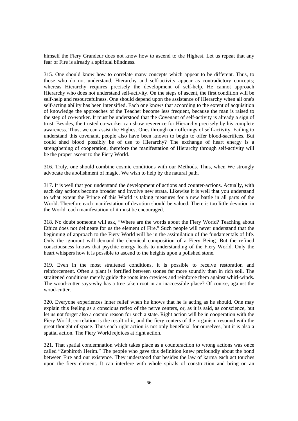himself the Fiery Grandeur does not know how to ascend to the Highest. Let us repeat that any fear of Fire is already a spiritual blindness.

315. One should know how to correlate many concepts which appear to be different. Thus, to those who do not understand, Hierarchy and self-activity appear as contradictory concepts; whereas Hierarchy requires precisely the development of self-help. He cannot approach Hierarchy who does not understand self-activity. On the steps of ascent, the first condition will be self-help and resourcefulness. One should depend upon the assistance of Hierarchy when all one's self-acting ability has been intensified. Each one knows that according to the extent of acquisition of knowledge the approaches of the Teacher become less frequent, because the man is raised to the step of co-worker. It must be understood that the Covenant of self-activity is already a sign of trust. Besides, the trusted co-worker can show reverence for Hierarchy precisely by his complete awareness. Thus, we can assist the Highest Ones through our offerings of self-activity. Failing to understand this covenant, people also have been known to begin to offer blood-sacrifices. But could shed blood possibly be of use to Hierarchy? The exchange of heart energy is a strengthening of cooperation, therefore the manifestation of Hierarchy through self-activity will be the proper ascent to the Fiery World.

316. Truly, one should combine cosmic conditions with our Methods. Thus, when We strongly advocate the abolishment of magic, We wish to help by the natural path.

317. It is well that you understand the development of actions and counter-actions. Actually, with each day actions become broader and involve new strata. Likewise it is well that you understand to what extent the Prince of this World is taking measures for a new battle in all parts of the World. Therefore each manifestation of devotion should be valued. There is too little devotion in the World, each manifestation of it must be encouraged.

318. No doubt someone will ask, "Where are the words about the Fiery World? Teaching about Ethics does not delineate for us the element of Fire." Such people will never understand that the beginning of approach to the Fiery World will be in the assimilation of the fundamentals of life. Only the ignorant will demand the chemical composition of a Fiery Being. But the refined consciousness knows that psychic energy leads to understanding of the Fiery World. Only the heart whispers how it is possible to ascend to the heights upon a polished stone.

319. Even in the most straitened conditions, it is possible to receive restoration and reinforcement. Often a plant is fortified between stones far more soundly than in rich soil. The straitened conditions merely guide the roots into crevices and reinforce them against whirl-winds. The wood-cutter says-why has a tree taken root in an inaccessible place? Of course, against the wood-cutter.

320. Everyone experiences inner relief when he knows that he is acting as he should. One may explain this feeling as a conscious reflex of the nerve centers, or, as it is said, as conscience, but let us not forget also a cosmic reason for such a state. Right action will be in cooperation with the Fiery World; correlation is the result of it, and the fiery centers of the organism resound with the great thought of space. Thus each right action is not only beneficial for ourselves, but it is also a spatial action. The Fiery World rejoices at right action.

321. That spatial condemnation which takes place as a counteraction to wrong actions was once called "Zephiroth Herim." The people who gave this definition knew profoundly about the bond between Fire and our existence. They understood that besides the law of karma each act touches upon the fiery element. It can interfere with whole spirals of construction and bring on an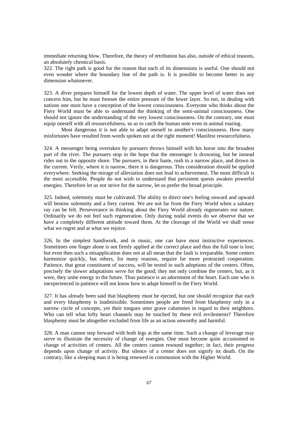immediate returning blow. Therefore, the theory of retribution has also, outside of ethical reasons, an absolutely chemical basis.

322. The right path is good for the reason that each of its dimensions is useful. One should not even wonder where the boundary line of the path is. It is possible to become better in any dimension whatsoever.

323. A diver prepares himself for the lowest depth of water. The upper level of water does not concern him, but he must foresee the entire pressure of the lower layer. So too, in dealing with nations one must have a conception of the lowest consciousness. Everyone who thinks about the Fiery World must be able to understand the thinking of the semi-animal consciousness. One should not ignore the understanding of the very lowest consciousness. On the contrary, one must equip oneself with all resourcefulness, so as to catch the human note even in animal roaring.

 Most dangerous it is not able to adapt oneself to another's consciousness. How many misfortunes have resulted from words spoken not at the right moment! Manifest resourcefulness.

324. A messenger being overtaken by pursuers throws himself with his horse into the broadest part of the river. The pursuers stop in the hope that the messenger is drowning, but he instead rides out to the opposite shore. The pursuers, in their haste, rush to a narrow place, and drown in the current. Verily, where it is narrow, there it is dangerous. This consideration should be applied everywhere. Seeking the mirage of alleviation does not lead to achievement. The most difficult is the most accessible. People do not wish to understand that persistent quests awaken powerful energies. Therefore let us not strive for the narrow, let us prefer the broad principle.

325. Indeed, solemnity must be cultivated. The ability to direct one's feeling onward and upward will bestow solemnity and a fiery current. We are not far from the Fiery World when a salutary ray can be felt. Perseverance in thinking about the Fiery World already regenerates our nature. Ordinarily we do not feel such regeneration. Only during nodal events do we observe that we have a completely different attitude toward them. At the cleavage of the World we shall sense what we regret and at what we rejoice.

326. In the simplest handiwork, and in music, one can have most instructive experiences. Sometimes one finger alone is not firmly applied at the correct place and thus the full tone is lost; but even then such a misapplication does not at all mean that the fault is irreparable. Some centers harmonize quickly, but others, for many reasons, require far more protracted cooperation. Patience, that great constituent of success, will be tested in such adoptions of the centers. Often, precisely the slower adaptations serve for the good; they not only combine the centers, but, as it were, they unite energy to the future. Thus patience is an adornment of the heart. Each one who is inexperienced in patience will not know how to adapt himself to the Fiery World.

327. It has already been said that blasphemy must be ejected, but one should recognize that each and every blasphemy is inadmissible. Sometimes people are freed from blasphemy only in a narrow circle of concepts, yet their tongues utter grave calumnies in regard to their neighbors. Who can tell what lofty heart channels may be touched by these evil revilements? Therefore blasphemy must be altogether excluded from life as an action unworthy and harmful.

328. A man cannot step forward with both legs at the same time. Such a change of leverage may serve to illustrate the necessity of change of energies. One must become quite accustomed to change of activities of centers. All the centers cannot resound together; in fact, their progress depends upon change of activity. But silence of a center does not signify its death. On the contrary, like a sleeping man it is being renewed in communion with the Higher World.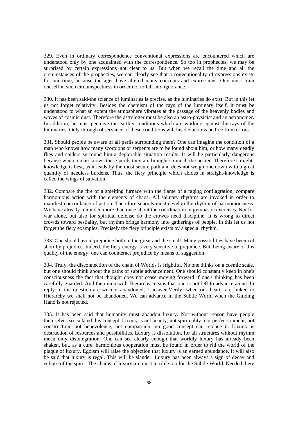329. Even in ordinary correspondence conventional expressions are encountered which are understood only by one acquainted with the correspondence. So too in prophecies, we may be surprised by certain expressions not clear to us. But when we recall the time and all the circumstances of the prophecies, we can clearly see that a conventionality of expressions exists for our time, because the ages have altered many concepts and expressions. One must train oneself in such circumspectness in order not to fall into ignorance.

330. It has been said-the science of luminaries is precise, as the luminaries do exist. But in this let us not forget relativity. Besides the chemism of the rays of the luminary itself, it must be understood to what an extent the atmosphere vibrates at the passage of the heavenly bodies and waves of cosmic dust. Therefore the astrologer must be also an astro-physicist and an astronomer. In addition, he must perceive the earthly conditions which are working against the rays of the luminaries. Only through observance of these conditions will his deductions be free from errors.

331. Should people be aware of all perils surrounding them? One can imagine the condition of a man who knows how many scorpions or serpents are to be found about him, or how many deadly flies and spiders surround him-a deplorable situation results. It will be particularly dangerous because when a man knows these perils they are brought so much the nearer. Therefore straightknowledge is best, as it leads by the most secure path and does not weigh one down with a great quantity of needless burdens. Thus, the fiery principle which abides in straight-knowledge is called the wings of salvation.

332. Compare the fire of a smelting furnace with the flame of a raging conflagration; compare harmonious action with the elements of chaos. All salutary rhythms are invoked in order to manifest concordance of action. Therefore schools must develop the rhythm of harmoniousness. We have already reminded more than once about the coordination in gymnastic exercises. Not for war alone, but also for spiritual defense do the crowds need discipline. It is wrong to direct crowds toward bestiality, but rhythm brings harmony into gatherings of people. In this let us not forget the fiery examples. Precisely the fiery principle exists by a special rhythm.

333. One should avoid prejudice both in the great and the small. Many possibilities have been cut short by prejudice. Indeed, the fiery energy is very sensitive to prejudice. But, being aware of this quality of the energy, one can counteract prejudice by means of suggestion.

334. Truly, the disconnection of the chain of Worlds is frightful. No one thinks on a cosmic scale, but one should think about the paths of subtle advancement. One should constantly keep in one's consciousness the fact that thought does not cease moving forward if one's thinking has been carefully guarded. And the union with Hierarchy means that one is not left to advance alone. In reply to the question-are we not abandoned, I answer-Verily, when our hearts are linked to Hierarchy we shall not be abandoned. We can advance in the Subtle World when the Guiding Hand is not rejected.

335. It has been said that humanity must abandon luxury. Not without reason have people themselves so isolated this concept. Luxury is not beauty, not spirituality, not perfectionment, not construction, not benevolence, not compassion; no good concept can replace it. Luxury is destruction of resources and possibilities. Luxury is dissolution, for all structures without rhythm mean only disintegration. One can see clearly enough that worldly luxury has already been shaken, but, as a cure, harmonious cooperation must be found in order to rid the world of the plague of luxury. Egoism will raise the objection that luxury is an earned abundance. It will also be said that luxury is regal. This will be slander. Luxury has been always a sign of decay and eclipse of the spirit. The chains of luxury are most terrible too for the Subtle World. Needed there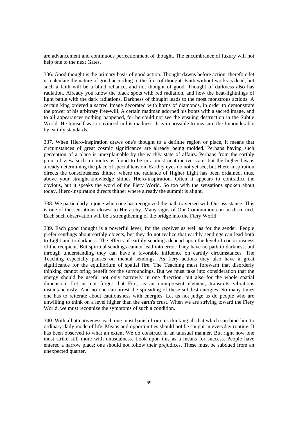are advancement and continuous perfectionment of thought. The encumbrance of luxury will not help one to the next Gates.

336. Good thought is the primary basis of good action. Thought dawns before action, therefore let us calculate the nature of good according to the fires of thought. Faith without works is dead, but such a faith will be a blind reliance, and not thought of good. Thought of darkness also has radiation. Already you know the black spots with red radiation, and how the heat-lightnings of light battle with the dark radiations. Darkness of thought leads to the most monstrous actions. A certain king ordered a sacred Image decorated with horns of diamonds, in order to demonstrate the power of his arbitrary free-will. A certain madman adorned his boots with a sacred image, and to all appearances nothing happened, for he could not see the ensuing destruction in the Subtle World. He himself was convinced in his madness. It is impossible to measure the Imponderable by earthly standards.

337. When Hiero-inspiration draws one's thought to a definite region or place, it means that circumstances of great cosmic significance are already being molded. Perhaps having such perception of a place is unexplainable by the earthly state of affairs. Perhaps from the earthly point of view such a country is found to be in a most unattractive state, but the higher law is already determining the place of special tension. Earthly eyes do not yet see, but Hiero-inspiration directs the consciousness thither, where the radiance of Higher Light has been ordained, thus, above your straight-knowledge shines Hiero-inspiration. Often it appears to contradict the obvious, but it speaks the word of the Fiery World. So too with the sensations spoken about today. Hiero-inspiration directs thither where already the summit is alight.

338. We particularly rejoice when one has recognized the path traversed with Our assistance. This is one of the sensations closest to Hierarchy. Many signs of Our Communion can be discerned. Each such observation will be a strengthening of the bridge into the Fiery World.

339. Each good thought is a powerful lever, for the receiver as well as for the sender. People prefer sendings about earthly objects, but they do not realize that earthly sendings can lead both to Light and to darkness. The effects of earthly sendings depend upon the level of consciousness of the recipient. But spiritual sendings cannot lead into error. They have no path to darkness, but through understanding they can have a favorable influence on earthly circumstances. The Teaching especially pauses on mental sendings. As fiery actions they also have a great significance for the equilibrium of spatial fire. The Teaching must forewarn that disorderly thinking cannot bring benefit for the surroundings. But we must take into consideration that the energy should be useful not only narrowly in one direction, but also for the whole spatial dimension. Let us not forget that Fire, as an omnipresent element, transmits vibrations instantaneously. And no one can arrest the spreading of these subtlest energies. So many times one has to reiterate about cautiousness with energies. Let us not judge as do people who are unwilling to think on a level higher than the earth's crust. When we are striving toward the Fiery World, we must recognize the symptoms of such a condition.

340. With all attentiveness each one must banish from his thinking all that which can bind him to ordinary daily mode of life. Means and opportunities should not be sought in everyday routine. It has been observed to what an extent We do construct in an unusual manner. But right now one must strike still more with unusualness. Look upon this as a means for success. People have entered a narrow place; one should not follow their prejudices. These must be subdued from an unexpected quarter.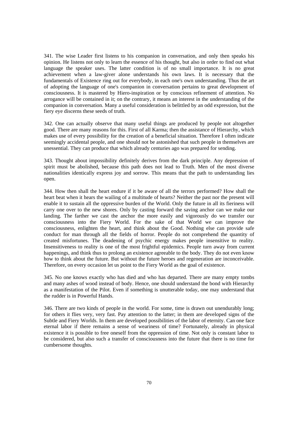341. The wise Leader first listens to his companion in conversation, and only then speaks his opinion. He listens not only to learn the essence of his thought, but also in order to find out what language the speaker uses. The latter condition is of no small importance. It is no great achievement when a law-giver alone understands his own laws. It is necessary that the fundamentals of Existence ring out for everybody, in each one's own understanding. Thus the art of adopting the language of one's companion in conversation pertains to great development of consciousness. It is mastered by Hiero-inspiration or by conscious refinement of attention. No arrogance will be contained in it; on the contrary, it means an interest in the understanding of the companion in conversation. Many a useful consideration is belittled by an odd expression, but the fiery eye discerns these seeds of truth.

342. One can actually observe that many useful things are produced by people not altogether good. There are many reasons for this. First of all Karma; then the assistance of Hierarchy, which makes use of every possibility for the creation of a beneficial situation. Therefore I often indicate seemingly accidental people, and one should not be astonished that such people in themselves are unessential. They can produce that which already centuries ago was prepared for sending.

343. Thought about impossibility definitely derives from the dark principle. Any depression of spirit must be abolished, because this path does not lead to Truth. Men of the most diverse nationalities identically express joy and sorrow. This means that the path to understanding lies open.

344. How then shall the heart endure if it be aware of all the terrors performed? How shall the heart beat when it hears the wailing of a multitude of hearts? Neither the past nor the present will enable it to sustain all the oppressive burden of the World. Only the future in all its fieriness will carry one over to the new shores. Only by casting forward the saving anchor can we make our landing. The farther we cast the anchor the more easily and vigorously do we transfer our consciousness into the Fiery World. For the sake of that World we can improve the consciousness, enlighten the heart, and think about the Good. Nothing else can provide safe conduct for man through all the fields of horror. People do not comprehend the quantity of created misfortunes. The deadening of psychic energy makes people insensitive to reality. Insensitiveness to reality is one of the most frightful epidemics. People turn away from current happenings, and think thus to prolong an existence agreeable to the body. They do not even know how to think about the future. But without the future heroes and regeneration are inconceivable. Therefore, on every occasion let us point to the Fiery World as the goal of existence.

345. No one knows exactly who has died and who has departed. There are many empty tombs and many ashes of wood instead of body. Hence, one should understand the bond with Hierarchy as a manifestation of the Pilot. Even if something is unutterable today, one may understand that the rudder is in Powerful Hands.

346. There are two kinds of people in the world. For some, time is drawn out unendurably long; for others it flies very, very fast. Pay attention to the latter; in them are developed signs of the Subtle and Fiery Worlds. In them are developed possibilities of the labor of eternity. Can one face eternal labor if there remains a sense of weariness of time? Fortunately, already in physical existence it is possible to free oneself from the oppression of time. Not only is constant labor to be considered, but also such a transfer of consciousness into the future that there is no time for cumbersome thoughts.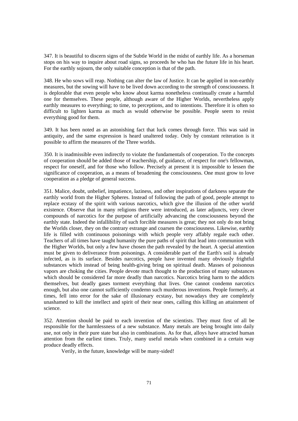347. It is beautiful to discern signs of the Subtle World in the midst of earthly life. As a horseman stops on his way to inquire about road signs, so proceeds he who has the future life in his heart. For the earthly sojourn, the only suitable conception is that of the path.

348. He who sows will reap. Nothing can alter the law of Justice. It can be applied in non-earthly measures, but the sowing will have to be lived down according to the strength of consciousness. It is deplorable that even people who know about karma nonetheless continually create a harmful one for themselves. These people, although aware of the Higher Worlds, nevertheless apply earthly measures to everything; to time, to perceptions, and to intentions. Therefore it is often so difficult to lighten karma as much as would otherwise be possible. People seem to resist everything good for them.

349. It has been noted as an astonishing fact that luck comes through force. This was said in antiquity, and the same expression is heard unaltered today. Only by constant reiteration is it possible to affirm the measures of the Three worlds.

350. It is inadmissible even indirectly to violate the fundamentals of cooperation. To the concepts of cooperation should be added those of teachership, of guidance, of respect for one's fellowman, respect for oneself, and for those who follow. Precisely at present it is impossible to lessen the significance of cooperation, as a means of broadening the consciousness. One must grow to love cooperation as a pledge of general success.

351. Malice, doubt, unbelief, impatience, laziness, and other inspirations of darkness separate the earthly world from the Higher Spheres. Instead of following the path of good, people attempt to replace ecstasy of the spirit with various narcotics, which give the illusion of the other world existence. Observe that in many religions there were introduced, as later adjuncts, very clever compounds of narcotics for the purpose of artificially advancing the consciousness beyond the earthly state. Indeed the infallibility of such forcible measures is great; they not only do not bring the Worlds closer, they on the contrary estrange and coarsen the consciousness. Likewise, earthly life is filled with continuous poisonings with which people very affably regale each other. Teachers of all times have taught humanity the pure paths of spirit that lead into communion with the Higher Worlds, but only a few have chosen the path revealed by the heart. A special attention must be given to deliverance from poisonings. A considerable part of the Earth's soil is already infected, as is its surface. Besides narcotics, people have invented many obviously frightful substances which instead of being health-giving bring on spiritual death. Masses of poisonous vapors are choking the cities. People devote much thought to the production of many substances which should be considered far more deadly than narcotics. Narcotics bring harm to the addicts themselves, but deadly gases torment everything that lives. One cannot condemn narcotics enough, but also one cannot sufficiently condemn such murderous inventions. People formerly, at times, fell into error for the sake of illusionary ecstasy, but nowadays they are completely unashamed to kill the intellect and spirit of their near ones, calling this killing an attainment of science.

352. Attention should be paid to each invention of the scientists. They must first of all be responsible for the harmlessness of a new substance. Many metals are being brought into daily use, not only in their pure state but also in combinations. As for that, alloys have attracted human attention from the earliest times. Truly, many useful metals when combined in a certain way produce deadly effects.

Verily, in the future, knowledge will be many-sided!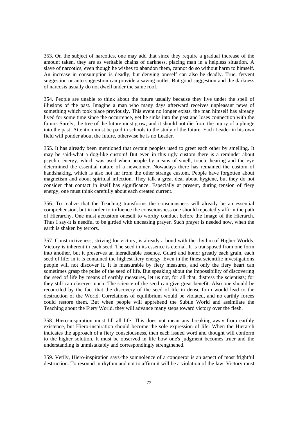353. On the subject of narcotics, one may add that since they require a gradual increase of the amount taken, they are as veritable chains of darkness, placing man in a helpless situation. A slave of narcotics, even though he wishes to abandon them, cannot do so without harm to himself. An increase in consumption is deadly, but denying oneself can also be deadly. True, fervent suggestion or auto suggestion can provide a saving outlet. But good suggestion and the darkness of narcosis usually do not dwell under the same roof.

354. People are unable to think about the future usually because they live under the spell of illusions of the past. Imagine a man who many days afterward receives unpleasant news of something which took place previously. This event no longer exists, the man himself has already lived for some time since the occurrence, yet he sinks into the past and loses connection with the future. Surely, the tree of the future must grow, and it should not die from the injury of a plunge into the past. Attention must be paid in schools to the study of the future. Each Leader in his own field will ponder about the future, otherwise he is no Leader.

355. It has already been mentioned that certain peoples used to greet each other by smelling. It may be said-what a dog-like custom! But even in this ugly custom there is a reminder about psychic energy, which was used when people by means of smell, touch, hearing and the eye determined the essential nature of a newcomer. Nowadays there has remained the custom of handshaking, which is also not far from the other strange custom. People have forgotten about magnetism and about spiritual infection. They talk a great deal about hygiene, but they do not consider that contact in itself has significance. Especially at present, during tension of fiery energy, one must think carefully about each created current.

356. To realize that the Teaching transforms the consciousness will already be an essential comprehension, but in order to influence the consciousness one should repeatedly affirm the path of Hierarchy. One must accustom oneself to worthy conduct before the Image of the Hierarch. Thus I say-it is needful to be girded with unceasing prayer. Such prayer is needed now, when the earth is shaken by terrors.

357. Constructiveness, striving for victory, is already a bond with the rhythm of Higher Worlds. Victory is inherent in each seed. The seed in its essence is eternal. It is transposed from one form into another, but it preserves an ineradicable essence. Guard and honor greatly each grain, each seed of life; in it is contained the highest fiery energy. Even in the finest scientific investigations people will not discover it. It is measurable by fiery measures, and only the fiery heart can sometimes grasp the pulse of the seed of life. But speaking about the impossibility of discovering the seed of life by means of earthly measures, let us not, for all that, distress the scientists; for they still can observe much. The science of the seed can give great benefit. Also one should be reconciled by the fact that the discovery of the seed of life in dense form would lead to the destruction of the World. Correlations of equilibrium would be violated, and no earthly forces could restore them. But when people will apprehend the Subtle World and assimilate the Teaching about the Fiery World, they will advance many steps toward victory over the flesh.

358. Hiero-inspiration must fill all life. This does not mean any breaking away from earthly existence, but Hiero-inspiration should become the sole expression of life. When the Hierarch indicates the approach of a fiery consciousness, then each issued word and thought will conform to the higher solution. It must be observed in life how one's judgment becomes truer and the understanding is unmistakably and correspondingly strengthened.

359. Verily, Hiero-inspiration says-the somnolence of a conqueror is an aspect of most frightful destruction. To resound in rhythm and not to affirm it will be a violation of the law. Victory must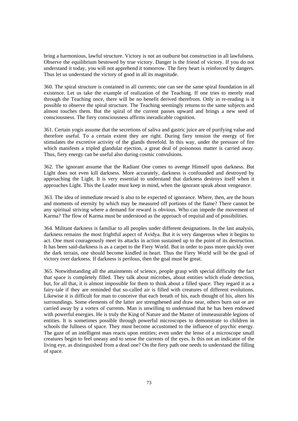bring a harmonious, lawful structure. Victory is not an outburst but construction in all lawfulness. Observe the equilibrium bestowed by true victory. Danger is the friend of victory. If you do not understand it today, you will not apprehend it tomorrow. The fiery heart is reinforced by dangers. Thus let us understand the victory of good in all its magnitude.

360. The spiral structure is contained in all currents; one can see the same spiral foundation in all existence. Let us take the example of realization of the Teaching. If one tries to merely read through the Teaching once, there will be no benefit derived therefrom. Only in re-reading is it possible to observe the spiral structure. The Teaching seemingly returns to the same subjects and almost touches them. But the spiral of the current passes upward and brings a new seed of consciousness. The fiery consciousness affirms ineradicable cognition.

361. Certain yogis assume that the secretions of saliva and gastric juice are of purifying value and therefore useful. To a certain extent they are right. During fiery tension the energy of fire stimulates the excretive activity of the glands threefold. In this way, under the pressure of fire which manifests a tripled glandular ejection, a great deal of poisonous matter is carried away. Thus, fiery energy can be useful also during cosmic convulsions.

362. The ignorant assume that the Radiant One comes to avenge Himself upon darkness. But Light does not even kill darkness. More accurately, darkness is confounded and destroyed by approaching the Light. It is very essential to understand that darkness destroys itself when it approaches Light. This the Leader must keep in mind, when the ignorant speak about vengeance.

363. The idea of immediate reward is also to be expected of ignorance. Where, then, are the hours and moments of eternity by which may be measured off portions of the flame? There cannot be any spiritual striving where a demand for reward is obvious. Who can impede the movement of Karma? The flow of Karma must be understood as the approach of requital and of possibilities.

364. Militant darkness is familiar to all peoples under different designations. In the last analysis, darkness remains the most frightful aspect of Avidya. But it is very dangerous when it begins to act. One must courageously meet its attacks in action sustained up to the point of its destruction. It has been said-darkness is as a carpet to the Fiery World. But in order to pass more quickly over the dark terrain, one should become kindled in heart. Thus the Fiery World will be the goal of victory over darkness. If darkness is perilous, then the goal must be great.

365. Notwithstanding all the attainments of science, people grasp with special difficulty the fact that space is completely filled. They talk about microbes, about entities which elude detection, but, for all that, it is almost impossible for them to think about a filled space. They regard it as a fairy-tale if they are reminded that so-called air is filled with creatures of different evolutions. Likewise it is difficult for man to conceive that each breath of his, each thought of his, alters his surroundings. Some elements of the latter are strengthened and draw near, others burn out or are carried away by a vortex of currents. Man is unwilling to understand that he has been endowed with powerful energies. He is truly the King of Nature and the Master of immeasurable legions of entities. It is sometimes possible through powerful microscopes to demonstrate to children in schools the fullness of space. They must become accustomed to the influence of psychic energy. The gaze of an intelligent man reacts upon entities; even under the lense of a microscope small creatures begin to feel uneasy and to sense the currents of the eyes. Is this not an indicator of the living eye, as distinguished from a dead one? On the fiery path one needs to understand the filling of space.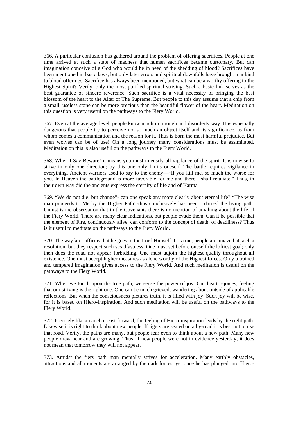366. A particular confusion has gathered around the problem of offering sacrifices. People at one time arrived at such a state of madness that human sacrifices became customary. But can imagination conceive of a God who would be in need of the shedding of blood? Sacrifices have been mentioned in basic laws, but only later errors and spiritual downfalls have brought mankind to blood offerings. Sacrifice has always been mentioned, but what can be a worthy offering to the Highest Spirit? Verily, only the most purified spiritual striving. Such a basic link serves as the best guarantee of sincere reverence. Such sacrifice is a vital necessity of bringing the best blossom of the heart to the Altar of The Supreme. But people to this day assume that a chip from a small, useless stone can be more precious than the beautiful flower of the heart. Meditation on this question is very useful on the pathways to the Fiery World.

367. Even at the average level, people know much in a rough and disorderly way. It is especially dangerous that people try to perceive not so much an object itself and its significance, as from whom comes a communication and the reason for it. Thus is born the most harmful prejudice. But even wolves can be of use! On a long journey many considerations must be assimilated. Meditation on this is also useful on the pathways to the Fiery World.

368. When I Say-Beware!-it means you must intensify all vigilance of the spirit. It is unwise to strive in only one direction; by this one only limits oneself. The battle requires vigilance in everything. Ancient warriors used to say to the enemy—"If you kill me, so much the worse for you. In Heaven the battleground is more favorable for me and there I shall retaliate." Thus, in their own way did the ancients express the eternity of life and of Karma.

369. "We do not die, but change"- can one speak any more clearly about eternal life? "The wise man proceeds to Me by the Higher Path"-thus conclusively has been ordained the living path. Unjust is the observation that in the Covenants there is no mention of anything about the life of the Fiery World. There are many clear indications, but people evade them. Can it be possible that the element of Fire, continuously alive, can conform to the concept of death, of deadliness? Thus is it useful to meditate on the pathways to the Fiery World.

370. The wayfarer affirms that he goes to the Lord Himself. It is true, people are amazed at such a resolution, but they respect such steadfastness. One must set before oneself the loftiest goal; only then does the road not appear forbidding. One must adjoin the highest quality throughout all existence. One must accept higher measures as alone worthy of the Highest forces. Only a trained and tempered imagination gives access to the Fiery World. And such meditation is useful on the pathways to the Fiery World.

371. When we touch upon the true path, we sense the power of joy. Our heart rejoices, feeling that our striving is the right one. One can be much grieved, wandering about outside of applicable reflections. But when the consciousness pictures truth, it is filled with joy. Such joy will be wise, for it is based on Hiero-inspiration. And such meditation will be useful on the pathways to the Fiery World.

372. Precisely like an anchor cast forward, the feeling of Hiero-inspiration leads by the right path. Likewise it is right to think about new people. If tigers are seated on a by-road it is best not to use that road. Verily, the paths are many, but people fear even to think about a new path. Many new people draw near and are growing. Thus, if new people were not in evidence yesterday, it does not mean that tomorrow they will not appear.

373. Amidst the fiery path man mentally strives for acceleration. Many earthly obstacles, attractions and allurements are arranged by the dark forces, yet once he has plunged into Hiero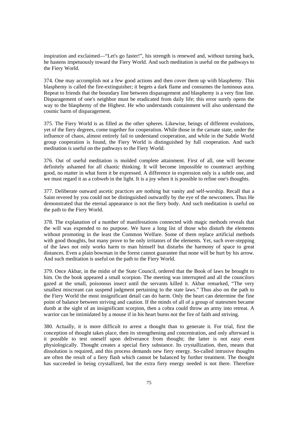inspiration and exclaimed—"Let's go faster!", his strength is renewed and, without turning back, he hastens impetuously toward the Fiery World. And such meditation is useful on the pathways to the Fiery World.

374. One may accomplish not a few good actions and then cover them up with blasphemy. This blasphemy is called the fire-extinguisher; it begets a dark flame and consumes the luminous aura. Repeat to friends that the boundary line between disparagement and blasphemy is a very fine line. Disparagement of one's neighbor must be eradicated from daily life; this error surely opens the way to the blasphemy of the Highest. He who understands containment will also understand the cosmic harm of disparagement.

375. The Fiery World is as filled as the other spheres. Likewise, beings of different evolutions, yet of the fiery degrees, come together for cooperation. While those in the carnate state, under the influence of chaos, almost entirely fail to understand cooperation, and while in the Subtle World group cooperation is found, the Fiery World is distinguished by full cooperation. And such meditation is useful on the pathways to the Fiery World.

376. Out of useful meditation is molded complete attainment. First of all, one will become definitely ashamed for all chaotic thinking. It will become impossible to counteract anything good, no matter in what form it be expressed. A difference in expression only is a subtle one, and we must regard it as a cobweb in the light. It is a joy when it is possible to refine one's thoughts.

377. Deliberate outward ascetic practices are nothing but vanity and self-worship. Recall that a Saint revered by you could not be distinguished outwardly by the eye of the newcomers. Thus He demonstrated that the eternal appearance is not the fiery body. And such meditation is useful on the path to the Fiery World.

378. The explanation of a number of manifestations connected with magic methods reveals that the will was expended to no purpose. We have a long list of those who disturb the elements without promoting in the least the Common Welfare. Some of them replace artificial methods with good thoughts, but many prove to be only irritators of the elements. Yet, such over-stepping of the laws not only works harm to man himself but disturbs the harmony of space to great distances. Even a plain bowman in the forest cannot guarantee that none will be hurt by his arrow. And such meditation is useful on the path to the Fiery World.

379. Once Akbar, in the midst of the State Council, ordered that the Book of laws be brought to him. On the book appeared a small scorpion. The meeting was interrupted and all the councilors gazed at the small, poisonous insect until the servants killed it. Akbar remarked, "The very smallest miscreant can suspend judgment pertaining to the state laws." Thus also on the path to the Fiery World the most insignificant detail can do harm. Only the heart can determine the fine point of balance between striving and caution. If the minds of all of a group of statesmen became dumb at the sight of an insignificant scorpion, then a cobra could throw an army into retreat. A warrior can be intimidated by a mouse if in his heart burns not the fire of faith and striving.

380. Actually, it is more difficult to arrest a thought than to generate it. For trial, first the conception of thought takes place, then its strengthening and concentration, and only afterward is it possible to test oneself upon deliverance from thought; the latter is not easy even physiologically. Thought creates a special fiery substance. Its crystallization, then, means that dissolution is required, and this process demands new fiery energy. So-called intrusive thoughts are often the result of a fiery flash which cannot be balanced by further treatment. The thought has succeeded in being crystallized, but the extra fiery energy needed is not there. Therefore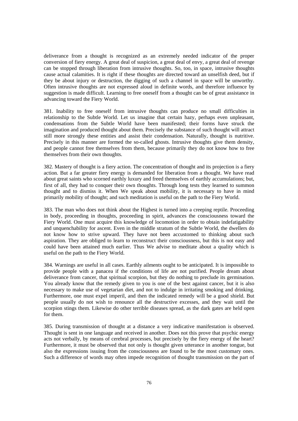deliverance from a thought is recognized as an extremely needed indicator of the proper conversion of fiery energy. A great deal of suspicion, a great deal of envy, a great deal of revenge can be stopped through liberation from intrusive thoughts. So, too, in space, intrusive thoughts cause actual calamities. It is right if these thoughts are directed toward an unselfish deed, but if they be about injury or destruction, the digging of such a channel in space will be unworthy. Often intrusive thoughts are not expressed aloud in definite words, and therefore influence by suggestion is made difficult. Learning to free oneself from a thought can be of great assistance in advancing toward the Fiery World.

381. Inability to free oneself from intrusive thoughts can produce no small difficulties in relationship to the Subtle World. Let us imagine that certain hazy, perhaps even unpleasant, condensations from the Subtle World have been manifested; their forms have struck the imagination and produced thought about them. Precisely the substance of such thought will attract still more strongly these entities and assist their condensation. Naturally, thought is nutritive. Precisely in this manner are formed the so-called ghosts. Intrusive thoughts give them density, and people cannot free themselves from them, because primarily they do not know how to free themselves from their own thoughts.

382. Mastery of thought is a fiery action. The concentration of thought and its projection is a fiery action. But a far greater fiery energy is demanded for liberation from a thought. We have read about great saints who scorned earthly luxury and freed themselves of earthly accumulations; but, first of all, they had to conquer their own thoughts. Through long tests they learned to summon thought and to dismiss it. When We speak about mobility, it is necessary to have in mind primarily mobility of thought; and such meditation is useful on the path to the Fiery World.

383. The man who does not think about the Highest is turned into a creeping reptile. Proceeding in body, proceeding in thoughts, proceeding in spirit, advances the consciousness toward the Fiery World. One must acquire this knowledge of locomotion in order to obtain indefatigability and unquenchability for ascent. Even in the middle stratum of the Subtle World, the dwellers do not know how to strive upward. They have not been accustomed to thinking about such aspiration. They are obliged to learn to reconstruct their consciousness, but this is not easy and could have been attained much earlier. Thus We advise to meditate about a quality which is useful on the path to the Fiery World.

384. Warnings are useful in all cases. Earthly ailments ought to be anticipated. It is impossible to provide people with a panacea if the conditions of life are not purified. People dream about deliverance from cancer, that spiritual scorpion, but they do nothing to preclude its germination. You already know that the remedy given to you is one of the best against cancer, but it is also necessary to make use of vegetarian diet, and not to indulge in irritating smoking and drinking. Furthermore, one must expel imperil, and then the indicated remedy will be a good shield. But people usually do not wish to renounce all the destructive excesses, and they wait until the scorpion stings them. Likewise do other terrible diseases spread, as the dark gates are held open for them.

385. During transmission of thought at a distance a very indicative manifestation is observed. Thought is sent in one language and received in another. Does not this prove that psychic energy acts not verbally, by means of cerebral processes, but precisely by the fiery energy of the heart? Furthermore, it must be observed that not only is thought given utterance in another tongue, but also the expressions issuing from the consciousness are found to be the most customary ones. Such a difference of words may often impede recognition of thought transmission on the part of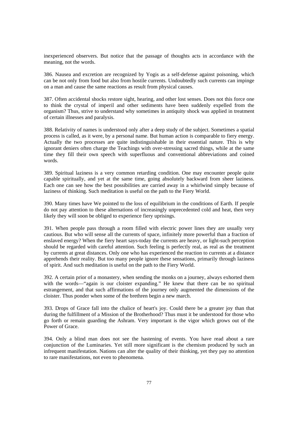inexperienced observers. But notice that the passage of thoughts acts in accordance with the meaning, not the words.

386. Nausea and excretion are recognized by Yogis as a self-defense against poisoning, which can be not only from food but also from hostile currents. Undoubtedly such currents can impinge on a man and cause the same reactions as result from physical causes.

387. Often accidental shocks restore sight, hearing, and other lost senses. Does not this force one to think the crystal of imperil and other sediments have been suddenly expelled from the organism? Thus, strive to understand why sometimes in antiquity shock was applied in treatment of certain illnesses and paralysis.

388. Relativity of names is understood only after a deep study of the subject. Sometimes a spatial process is called, as it were, by a personal name. But human action is comparable to fiery energy. Actually the two processes are quite indistinguishable in their essential nature. This is why ignorant deniers often charge the Teachings with over-stressing sacred things, while at the same time they fill their own speech with superfluous and conventional abbreviations and coined words.

389. Spiritual laziness is a very common retarding condition. One may encounter people quite capable spiritually, and yet at the same time, going absolutely backward from sheer laziness. Each one can see how the best possibilities are carried away in a whirlwind simply because of laziness of thinking. Such meditation is useful on the path to the Fiery World.

390. Many times have We pointed to the loss of equilibrium in the conditions of Earth. If people do not pay attention to these alternations of increasingly unprecedented cold and heat, then very likely they will soon be obliged to experience fiery uprisings.

391. When people pass through a room filled with electric power lines they are usually very cautious. But who will sense all the currents of space, infinitely more powerful than a fraction of enslaved energy? When the fiery heart says-today the currents are heavy, or light-such perception should be regarded with careful attention. Such feeling is perfectly real, as real as the treatment by currents at great distances. Only one who has experienced the reaction to currents at a distance apprehends their reality. But too many people ignore these sensations, primarily through laziness of spirit. And such meditation is useful on the path to the Fiery World.

392. A certain prior of a monastery, when sending the monks on a journey, always exhorted them with the words—"again is our cloister expanding." He knew that there can be no spiritual estrangement, and that such affirmations of the journey only augmented the dimensions of the cloister. Thus ponder when some of the brethren begin a new march.

393. Drops of Grace fall into the chalice of heart's joy. Could there be a greater joy than that during the fulfillment of a Mission of the Brotherhood? Thus must it be understood for those who go forth or remain guarding the Ashram. Very important is the vigor which grows out of the Power of Grace.

394. Only a blind man does not see the hastening of events. You have read about a rare conjunction of the Luminaries. Yet still more significant is the chemism produced by such an infrequent manifestation. Nations can alter the quality of their thinking, yet they pay no attention to rare manifestations, not even to phenomena.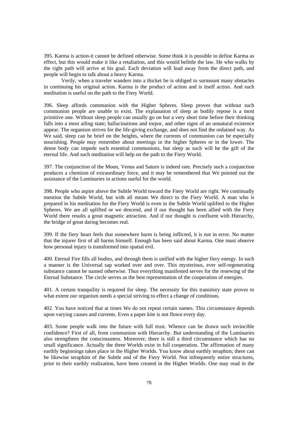395. Karma is action-it cannot be defined otherwise. Some think it is possible to define Karma as effect, but this would make it like a retaliation, and this would belittle the law. He who walks by the right path will arrive at his goal. Each deviation will lead away from the direct path, and people will begin to talk about a heavy Karma.

 Verily, when a traveler wanders into a thicket he is obliged to surmount many obstacles in continuing his original action. Karma is the product of action and is itself action. And such meditation is useful on the path to the Fiery World.

396. Sleep affords communion with the Higher Spheres. Sleep proves that without such communion people are unable to exist. The explanation of sleep as bodily repose is a most primitive one. Without sleep people can usually go on but a very short time before their thinking falls into a most ailing state; hallucinations and torpor, and other signs of an unnatural existence appear. The organism strives for the life-giving exchange, and does not find the ordained way. As We said, sleep can be brief on the heights, where the currents of communion can be especially nourishing. People may remember about meetings in the higher Spheres or in the lower. The dense body can impede such essential communions, but sleep as such will be the gift of the eternal life. And such meditation will help on the path to the Fiery World.

397. The conjunction of the Moon, Venus and Saturn is indeed rare. Precisely such a conjunction produces a chemism of extraordinary force, and it may be remembered that We pointed out the assistance of the Luminaries in actions useful for the world.

398. People who aspire above the Subtle World toward the Fiery World are right. We continually mention the Subtle World, but with all means We direct to the Fiery World. A man who is prepared in his meditation for the Fiery World is even in the Subtle World uplifted to the Higher Spheres. We are all uplifted or we descend, and if our thought has been allied with the Fiery World there results a great magnetic attraction. And if our thought is confluent with Hierarchy, the bridge of great daring becomes real.

399. If the fiery heart feels that somewhere harm is being inflicted, it is not in error. No matter that the injurer first of all harms himself. Enough has been said about Karma. One must observe how personal injury is transformed into spatial evil.

400. Eternal Fire fills all bodies, and through them is unified with the higher fiery energy. In such a manner is the Universal sap worked over and over. This mysterious, ever self-regenerating substance cannot be named otherwise. Thus everything manifested serves for the renewing of the Eternal Substance. The circle serves as the best representation of the cooperation of energies.

401. A certain tranquility is required for sleep. The necessity for this transitory state proves to what extent our organism needs a special striving to effect a change of conditions.

402. You have noticed that at times We do not repeat certain names. This circumstance depends upon varying causes and currents. Even a paper kite is not flown every day.

403. Some people walk into the future with full trust. Whence can be drawn such invincible confidence? First of all, from communion with Hierarchy. But understanding of the Luminaries also strengthens the consciousness. Moreover, there is still a third circumstance which has no small significance. Actually the three Worlds exist in full cooperation. The affirmation of many earthly beginnings takes place in the Higher Worlds. You know about earthly teraphim; there can be likewise teraphim of the Subtle and of the Fiery World. Not infrequently entire structures, prior to their earthly realization, have been created in the Higher Worlds. One may read in the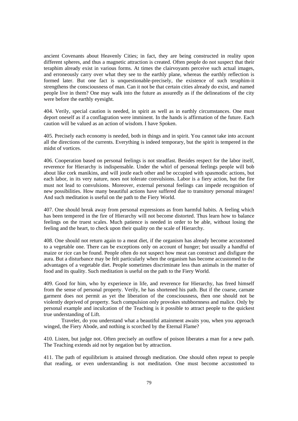ancient Covenants about Heavenly Cities; in fact, they are being constructed in reality upon different spheres, and thus a magnetic attraction is created. Often people do not suspect that their teraphim already exist in various forms. At times the clairvoyants perceive such actual images, and erroneously carry over what they see to the earthly plane, whereas the earthly reflection is formed later. But one fact is unquestionable-precisely, the existence of such teraphim-it strengthens the consciousness of man. Can it not be that certain cities already do exist, and named people live in them? One may walk into the future as assuredly as if the delineations of the city were before the earthly eyesight.

404. Verily, special caution is needed, in spirit as well as in earthly circumstances. One must deport oneself as if a conflagration were imminent. In the hands is affirmation of the future. Each caution will be valued as an action of wisdom. I have Spoken.

405. Precisely each economy is needed, both in things and in spirit. You cannot take into account all the directions of the currents. Everything is indeed temporary, but the spirit is tempered in the midst of vortices.

406. Cooperation based on personal feelings is not steadfast. Besides respect for the labor itself, reverence for Hierarchy is indispensable. Under the whirl of personal feelings people will bob about like cork manikins, and will jostle each other and be occupied with spasmodic actions, but each labor, in its very nature, noes not tolerate convulsions. Labor is a fiery action, but the fire must not lead to convulsions. Moreover, external personal feelings can impede recognition of new possibilities. How many beautiful actions have suffered due to transitory personal mirages! And such meditation is useful on the path to the Fiery World.

407. One should break away from personal expressions as from harmful habits. A feeling which has been tempered in the fire of Hierarchy will not become distorted. Thus learn how to balance feelings on the truest scales. Much patience is needed in order to be able, without losing the feeling and the heart, to check upon their quality on the scale of Hierarchy.

408. One should not return again to a meat diet, if the organism has already become accustomed to a vegetable one. There can be exceptions only on account of hunger; but usually a handful of maize or rice can be found. People often do not suspect how meat can construct and disfigure the aura. But a disturbance may be felt particularly when the organism has become accustomed to the advantages of a vegetable diet. People sometimes discriminate less than animals in the matter of food and its quality. Such meditation is useful on the path to the Fiery World.

409. Good for him, who by experience in life, and reverence for Hierarchy, has freed himself from the sense of personal property. Verily, he has shortened his path. But if the coarse, carnate garment does not permit as yet the liberation of the consciousness, then one should not be violently deprived of property. Such compulsion only provokes stubbornness and malice. Only by personal example and inculcation of the Teaching is it possible to attract people to the quickest true understanding of Lift.

 Traveler, do you understand what a beautiful attainment awaits you, when you approach winged, the Fiery Abode, and nothing is scorched by the Eternal Flame?

410. Listen, but judge not. Often precisely an outflow of poison liberates a man for a new path. The Teaching extends aid not by negation but by attraction.

411. The path of equilibrium is attained through meditation. One should often repeat to people that reading, or even understanding is not meditation. One must become accustomed to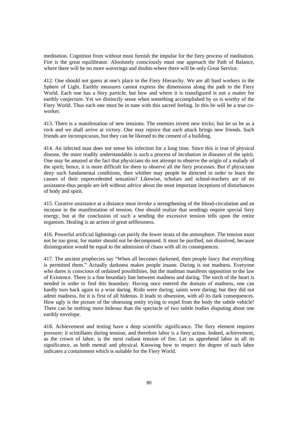meditation. Cognition from without must furnish the impulse for the fiery process of meditation. Fire is the great equilibrator. Absolutely consciously must one approach the Path of Balance, where there will be no more waverings and doubts-where there will be only Great Service.

412. One should not guess at one's place in the Fiery Hierarchy. We are all hard workers in the Sphere of Light. Earthly measures cannot express the dimensions along the path to the Fiery World. Each one has a fiery particle, but how and where it is transfigured is not a matter for earthly conjecture. Yet we distinctly sense when something accomplished by us is worthy of the Fiery World. Thus each one must be in tune with this sacred feeling. In this he will be a true coworker.

413. There is a manifestation of new tensions. The enemies invent new tricks; but let us be as a rock and we shall arrive at victory. One may rejoice that each attack brings new friends. Such friends are inconspicuous, but they can be likened to the cement of a building.

414. An infected man does not sense his infection for a long time. Since this is true of physical disease, the more readily understandable is such a process of incubation in diseases of the spirit. One may be amazed at the fact that physicians do not attempt to observe the origin of a malady of the spirit; hence, it is more difficult for them to observe all the fiery processes. But if physicians deny such fundamental conditions, then whither may people be directed in order to learn the causes of their unprecedented sensation? Likewise, scholars and school-teachers are of no assistance-thus people are left without advice about the most important inceptions of disturbances of body and spirit.

415. Curative assistance at a distance must invoke a strengthening of the blood-circulation and an increase in the manifestation of tension. One should realize that sendings require special fiery energy, but at the conclusion of such a sending the excessive tension tells upon the entire organism. Healing is an action of great selflessness.

416. Powerful artificial lightnings can purify the lower strata of the atmosphere. The tension must not be too great, for matter should not be decomposed. It must be purified, not dissolved, because disintegration would be equal to the admission of chaos with all its consequences.

417. The ancient prophecies say "When all becomes darkened, then people fancy that everything is permitted them." Actually darkness makes people insane. Daring is not madness. Everyone who dares is conscious of ordained possibilities, but the madman manifests opposition to the law of Existence. There is a fine boundary line between madness and daring. The torch of the heart is needed in order to find this boundary. Having once entered the domain of madness, one can hardly turn back again to a wise daring. Rishi were daring; saints were daring; but they did not admit madness, for it is first of all hideous. It leads to obsession, with all its dark consequences. How ugly is the picture of the obsessing entity trying to expel from the body the subtle vehicle! There can be nothing more hideous than the spectacle of two subtle bodies disputing about one earthly envelope.

418. Achievement and testing have a deep scientific significance. The fiery element requires pressure; it scintillates during tension, and therefore labor is a fiery action. Indeed, achievement, as the crown of labor, is the most radiant tension of fire. Let us apprehend labor in all its significance, as both mental and physical. Knowing how to respect the degree of each labor indicates a containment which is suitable for the Fiery World.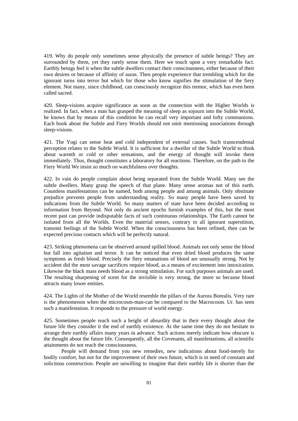419. Why do people only sometimes sense physically the presence of subtle beings? They are surrounded by them, yet they rarely sense them. Here we touch upon a very remarkable fact. Earthly beings feel it when the subtle dwellers contact their consciousness, either because of their own desires or because of affinity of auras. Then people experience that trembling which for the ignorant turns into terror but which for those who know signifies the stimulation of the fiery element. Not many, since childhood, can consciously recognize this tremor, which has even been called sacred.

420. Sleep-visions acquire significance as soon as the connection with the Higher Worlds is realized. In fact, when a man has grasped the meaning of sleep as sojourn into the Subtle World, he knows that by means of this condition he can recall very important and lofty communions. Each book about the Subtle and Fiery Worlds should not omit mentioning associations through sleep-visions.

421. The Yogi can sense heat and cold independent of external causes. Such transcendental perception relates to the Subtle World. It is sufficient for a dweller of the Subtle World to think about warmth or cold or other sensations, and the energy of thought will invoke them immediately. Thus, thought constitutes a laboratory for all reactions. Therefore, on the path to the Fiery World We insist so much on watchfulness over thoughts.

422. In vain do people complain about being separated from the Subtle World. Many see the subtle dwellers. Many grasp the speech of that plane. Many sense aromas not of this earth. Countless manifestations can be named, both among people and among animals. Only obstinate prejudice prevents people from understanding reality. So many people have been saved by indications from the Subtle World. So many matters of state have been decided according to information from Beyond. Not only do ancient epochs furnish examples of this, but the most recent past can provide indisputable facts of such continuous relationships. The Earth cannot be isolated from all the Worlds. Even the material senses, contrary to all ignorant superstition, transmit feelings of the Subtle World. When the consciousness has been refined, then can be expected precious contacts which will be perfectly natural.

423. Striking phenomena can be observed around spilled blood. Animals not only sense the blood but fall into agitation and terror. It can be noticed that even dried blood produces the same symptoms as fresh blood. Precisely the fiery emanations of blood are unusually strong. Not by accident did the most savage sacrifices require blood, as a means of excitement into intoxication. Likewise the black mass needs blood as a strong stimulation. For such purposes animals are used. The resulting sharpening of scent for the invisible is very strong, the more so because blood attracts many lower entities.

424. The Lights of the Mother of the World resemble the pillars of the Aurora Borealis. Very rare is the phenomenon when the microcosm-man-can be compared to the Macrocosm. Ur. has seen such a manifestation. It responds to the pressure of world energy.

425. Sometimes people reach such a height of absurdity that in their every thought about the future life they consider it the end of earthly existence. At the same time they do not hesitate to arrange their earthly affairs many years in advance. Such actions merely indicate how obscure is the thought about the future life. Consequently, all the Covenants, all manifestations, all scientific attainments do not reach the consciousness.

 People will demand from you new remedies, new indications about food-merely for bodily comfort, but not for the improvement of their own future, which is in need of constant and solicitous construction. People are unwilling to imagine that their earthly life is shorter than the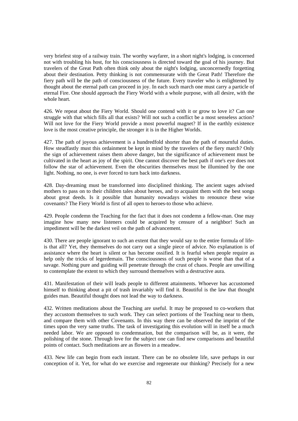very briefest stop of a railway train. The worthy wayfarer, in a short night's lodging, is concerned not with troubling his host, for his consciousness is directed toward the goal of his journey. But travelers of the Great Path often think only about the night's lodging, unconcernedly forgetting about their destination. Petty thinking is not commensurate with the Great Path! Therefore the fiery path will be the path of consciousness of the future. Every traveler who is enlightened by thought about the eternal path can proceed in joy. In each such march one must carry a particle of eternal Fire. One should approach the Fiery World with a whole purpose, with all desire, with the whole heart.

426. We repeat about the Fiery World. Should one contend with it or grow to love it? Can one struggle with that which fills all that exists? Will not such a conflict be a most senseless action? Will not love for the Fiery World provide a most powerful magnet? If in the earthly existence love is the most creative principle, the stronger it is in the Higher Worlds.

427. The path of joyous achievement is a hundredfold shorter than the path of mournful duties. How steadfastly must this ordainment be kept in mind by the travelers of the fiery march? Only the sign of achievement raises them above danger, but the significance of achievement must be cultivated in the heart as joy of the spirit. One cannot discover the best path if one's eye does not follow the star of achievement. Even the obscurities themselves must be illumined by the one light. Nothing, no one, is ever forced to turn back into darkness.

428. Day-dreaming must be transformed into disciplined thinking. The ancient sages advised mothers to pass on to their children tales about heroes, and to acquaint them with the best songs about great deeds. Is it possible that humanity nowadays wishes to renounce these wise covenants? The Fiery World is first of all open to heroes-to those who achieve.

429. People condemn the Teaching for the fact that it does not condemn a fellow-man. One may imagine how many new listeners could be acquired by censure of a neighbor! Such an impediment will be the darkest veil on the path of advancement.

430. There are people ignorant to such an extent that they would say to the entire formula of lifeis that all? Yet, they themselves do not carry out a single piece of advice. No explanation is of assistance where the heart is silent or has become ossified. It is fearful when people require as help only the tricks of legerdemain. The consciousness of such people is worse than that of a savage. Nothing pure and guiding will penetrate through the crust of chaos. People are unwilling to contemplate the extent to which they surround themselves with a destructive aura.

431. Manifestation of their will leads people to different attainments. Whoever has accustomed himself to thinking about a pit of trash invariably will find it. Beautiful is the law that thought guides man. Beautiful thought does not lead the way to darkness.

432. Written meditations about the Teaching are useful. It may be proposed to co-workers that they accustom themselves to such work. They can select portions of the Teaching near to them, and compare them with other Covenants. In this way there can be observed the imprint of the times upon the very same truths. The task of investigating this evolution will in itself be a much needed labor. We are opposed to condemnation, but the comparison will be, as it were, the polishing of the stone. Through love for the subject one can find new comparisons and beautiful points of contact. Such meditations are as flowers in a meadow.

433. New life can begin from each instant. There can be no obsolete life, save perhaps in our conception of it. Yet, for what do we exercise and regenerate our thinking? Precisely for a new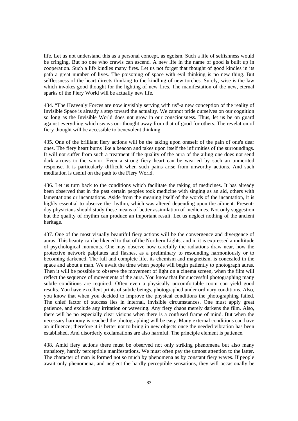life. Let us not understand this as a personal concept, as egoism. Such a life of selfishness would be cringing. But no one who crawls can ascend. A new life in the name of good is built up in cooperation. Such a life kindles many fires. Let us not forget that thought of good kindles in its path a great number of lives. The poisoning of space with evil thinking is no new thing. But selflessness of the heart directs thinking to the kindling of new torches. Surely, wise is the law which invokes good thought for the lighting of new fires. The manifestation of the new, eternal sparks of the Fiery World will be actually new life.

434. "The Heavenly Forces are now invisibly serving with us"-a new conception of the reality of Invisible Space is already a step toward the actuality. We cannot pride ourselves on our cognition so long as the Invisible World does not grow in our consciousness. Thus, let us be on guard against everything which sways our thought away from that of good for others. The revelation of fiery thought will be accessible to benevolent thinking.

435. One of the brilliant fiery actions will be the taking upon oneself of the pain of one's dear ones. The fiery heart burns like a beacon and takes upon itself the infirmities of the surroundings. It will not suffer from such a treatment if the quality of the aura of the ailing one does not send dark arrows to the savior. Even a strong fiery heart can be wearied by such an unmerited response. It is particularly difficult when such pains arise from unworthy actions. And such meditation is useful on the path to the Fiery World.

436. Let us turn back to the conditions which facilitate the taking of medicines. It has already been observed that in the past certain peoples took medicine with singing as an aid, others with lamentations or incantations. Aside from the meaning itself of the words of the incantation, it is highly essential to observe the rhythm, which was altered depending upon the ailment. Presentday physicians should study these means of better assimilation of medicines. Not only suggestion but the quality of rhythm can produce an important result. Let us neglect nothing of the ancient heritage.

437. One of the most visually beautiful fiery actions will be the convergence and divergence of auras. This beauty can be likened to that of the Northern Lights, and in it is expressed a multitude of psychological moments. One may observe how carefully the radiations draw near, how the protective network palpitates and flashes, as a preliminary to resounding harmoniously or to becoming darkened. The full and complete life, its chemism and magnetism, is concealed in the space and about a man. We await the time when people will begin patiently to photograph auras. Then it will be possible to observe the movement of light on a cinema screen, when the film will reflect the sequence of movements of the aura. You know that for successful photographing many subtle conditions are required. Often even a physically uncomfortable room can yield good results. You have excellent prints of subtle beings, photographed under ordinary conditions. Also, you know that when you decided to improve the physical conditions the photographing failed. The chief factor of success lies in internal, invisible circumstances. One must apply great patience, and exclude any irritation or wavering. Any fiery chaos merely darkens the film. Also, there will be no especially clear visions when there is a confused frame of mind. But when the necessary harmony is reached the photographing will be easy. Many external conditions can have an influence; therefore it is better not to bring in new objects once the needed vibration has been established. And disorderly exclamations are also harmful. The principle element is patience.

438. Amid fiery actions there must be observed not only striking phenomena but also many transitory, hardly perceptible manifestations. We must often pay the utmost attention to the latter. The character of man is formed not so much by phenomena as by constant fiery waves. If people await only phenomena, and neglect the hardly perceptible sensations, they will occasionally be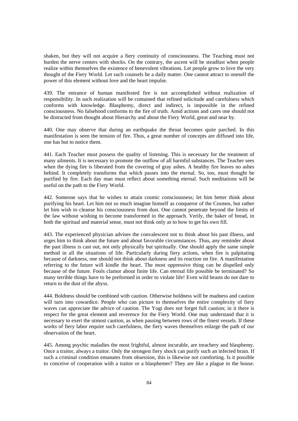shaken, but they will not acquire a fiery continuity of consciousness. The Teaching must not burden the nerve centers with shocks. On the contrary, the ascent will be steadfast when people realize within themselves the existence of benevolent vibrations. Let people grow to love the very thought of the Fiery World. Let such counsels be a daily matter. One cannot attract to oneself the power of this element without love and the heart impulse.

439. The entrance of human manifested fire is not accomplished without realization of responsibility. In such realization will be contained that refined solicitude and carefulness which conforms with knowledge. Blasphemy, direct and indirect, is impossible in the refined consciousness. No falsehood conforms to the fire of truth. Amid actions and cares one should not be distracted from thought about Hierarchy and about the Fiery World, great and near by.

440. One may observe that during an earthquake the throat becomes quite parched. In this manifestation is seen the tension of fire. Thus, a great number of concepts are diffused into life, one has but to notice them.

441. Each Teacher must possess the quality of listening. This is necessary for the treatment of many ailments. It is necessary to promote the outflow of all harmful substances. The Teacher sees when the dying fire is liberated from the covering of gray ashes. A healthy fire leaves no ashes behind. It completely transforms that which passes into the eternal. So, too, must thought be purified by fire. Each day man must reflect about something eternal. Such meditations will be useful on the path to the Fiery World.

442. Someone says that he wishes to attain cosmic consciousness; let him better think about purifying his heart. Let him not so much imagine himself as conqueror of the Cosmos, but rather let him wish to cleanse his consciousness from dust. One cannot penetrate beyond the limits of the law without wishing to become transformed in the approach. Verily, the baker of bread, in both the spiritual and material sense, must not think only as to how to get his own fill.

443. The experienced physician advises the convalescent not to think about his past illness, and urges him to think about the future and about favorable circumstances. Thus, any reminder about the past illness is cast out, not only physically but spiritually. One should apply the same simple method in all the situations of life. Particularly during fiery actions, when fire is palpitating because of darkness, one should not think about darkness and its reaction on fire. A manifestation referring to the future will kindle the heart. The most oppressive thing can be dispelled only because of the future. Fools clamor about finite life. Can eternal life possible be terminated? So many terrible things have to be preformed in order to violate life! Even wild beasts do not dare to return to the dust of the abyss.

444. Boldness should be combined with caution. Otherwise boldness will be madness and caution will turn into cowardice. People who can picture to themselves the entire complexity of fiery waves can appreciate the advice of caution. The Yogi does not forget full caution; in it there is respect for the great element and reverence for the Fiery World. One may understand that it is necessary to exert the utmost caution, as when passing between rows of the finest vessels. If these works of fiery labor require such carefulness, the fiery waves themselves enlarge the path of our observation of the heart.

445. Among psychic maladies the most frightful, almost incurable, are treachery and blasphemy. Once a traitor, always a traitor. Only the strongest fiery shock can purify such an infected brain. If such a criminal condition emanates from obsession, this is likewise not comforting. Is it possible to conceive of cooperation with a traitor or a blasphemer? They are like a plague in the house.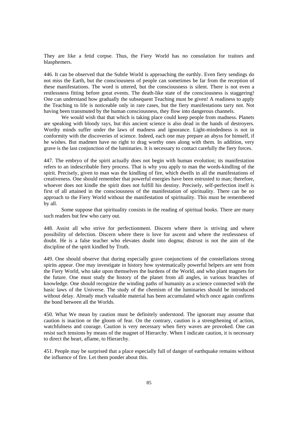They are like a fetid corpse. Thus, the Fiery World has no consolation for traitors and blasphemers.

446. It can be observed that the Subtle World is approaching the earthly. Even fiery sendings do not miss the Earth, but the consciousness of people can sometimes be far from the reception of these manifestations. The word is uttered, but the consciousness is silent. There is not even a restlessness fitting before great events. The death-like state of the consciousness is staggering! One can understand how gradually the subsequent Teaching must be given! A readiness to apply the Teaching to life is noticeable only in rare cases, but the fiery manifestations tarry not. Not having been transmuted by the human consciousness, they flow into dangerous channels.

 We would wish that that which is taking place could keep people from madness. Planets are speaking with bloody rays, but this ancient science is also dead in the hands of destroyers. Worthy minds suffer under the laws of madness and ignorance. Light-mindedness is not in conformity with the discoveries of science. Indeed, each one may prepare an abyss for himself, if he wishes. But madmen have no right to drag worthy ones along with them. In addition, very grave is the last conjunction of the luminaries. It is necessary to contact carefully the fiery forces.

447. The embryo of the spirit actually does not begin with human evolution; its manifestation refers to an indescribable fiery process. That is why you apply to man the words-kindling of the spirit. Precisely, given to man was the kindling of fire, which dwells in all the manifestations of creativeness. One should remember that powerful energies have been entrusted to man; therefore, whoever does not kindle the spirit does not fulfill his destiny. Precisely, self-perfection itself is first of all attained in the consciousness of the manifestation of spirituality. There can be no approach to the Fiery World without the manifestation of spirituality. This must be remembered by all.

 Some suppose that spirituality consists in the reading of spiritual books. There are many such readers but few who carry out.

448. Assist all who strive for perfectionment. Discern where there is striving and where possibility of defection. Discern where there is love for ascent and where the restlessness of doubt. He is a false teacher who elevates doubt into dogma; distrust is not the aim of the discipline of the spirit kindled by Truth.

449. One should observe that during especially grave conjunctions of the constellations strong spirits appear. One may investigate in history how systematically powerful helpers are sent from the Fiery World, who take upon themselves the burdens of the World, and who plant magnets for the future. One must study the history of the planet from all angles, in various branches of knowledge. One should recognize the winding paths of humanity as a science connected with the basic laws of the Universe. The study of the chemism of the luminaries should be introduced without delay. Already much valuable material has been accumulated which once again confirms the bond between all the Worlds.

450. What We mean by caution must be definitely understood. The ignorant may assume that caution is inaction or the gloom of fear. On the contrary, caution is a strengthening of action, watchfulness and courage. Caution is very necessary when fiery waves are provoked. One can resist such tensions by means of the magnet of Hierarchy. When I indicate caution, it is necessary to direct the heart, aflame, to Hierarchy.

451. People may be surprised that a place especially full of danger of earthquake remains without the influence of fire. Let them ponder about this.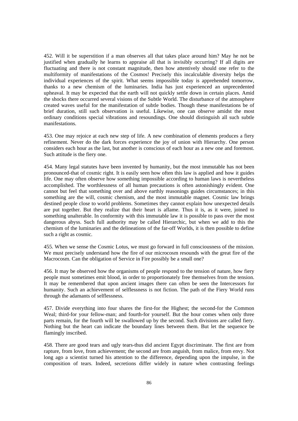452. Will it be superstition if a man observes all that takes place around him? May he not be justified when gradually he learns to appraise all that is invisibly occurring? If all digits are fluctuating and there is not constant magnitude, then how attentively should one refer to the multiformity of manifestations of the Cosmos! Precisely this incalculable diversity helps the individual experiences of the spirit. What seems impossible today is apprehended tomorrow, thanks to a new chemism of the luminaries. India has just experienced an unprecedented upheaval. It may be expected that the earth will not quickly settle down in certain places. Amid the shocks there occurred several visions of the Subtle World. The disturbance of the atmosphere created waves useful for the manifestation of subtle bodies. Though these manifestations be of brief duration, still such observation is useful. Likewise, one can observe amidst the most ordinary conditions special vibrations and resoundings. One should distinguish all such subtle manifestations.

453. One may rejoice at each new step of life. A new combination of elements produces a fiery refinement. Never do the dark forces experience the joy of union with Hierarchy. One person considers each hour as the last, but another is conscious of each hour as a new one and foremost. Such attitude is the fiery one.

454. Many legal statutes have been invented by humanity, but the most immutable has not been pronounced-that of cosmic right. It is easily seen how often this law is applied and how it guides life. One may often observe how something impossible according to human laws is nevertheless accomplished. The worthlessness of all human precautions is often astonishingly evident. One cannot but feel that something over and above earthly reasonings guides circumstances; in this something are the will, cosmic chemism, and the most immutable magnet. Cosmic law brings destined people close to world problems. Sometimes they cannot explain how unexpected details are put together. But they realize that their heart is aflame. Thus it is, as it were, joined to something unalterable. In conformity with this immutable law it is possible to pass over the most dangerous abyss. Such full authority may be called Hierarchic, but when we add to this the chemism of the luminaries and the delineations of the far-off Worlds, it is then possible to define such a right as cosmic.

455. When we sense the Cosmic Lotus, we must go forward in full consciousness of the mission. We must precisely understand how the fire of our microcosm resounds with the great fire of the Macrocosm. Can the obligation of Service in Fire possibly be a small one?

456. It may be observed how the organisms of people respond to the tension of nature, how fiery people must sometimes emit blood, in order to proportionately free themselves from the tension. It may be remembered that upon ancient images there can often be seen the Intercessors for humanity. Such an achievement of selflessness is not fiction. The path of the Fiery World runs through the adamants of selflessness.

457. Divide everything into four shares the first-for the Highest; the second-for the Common Weal; third-for your fellow-man; and fourth-for yourself. But the hour comes when only three parts remain, for the fourth will be swallowed up by the second. Such divisions are called fiery. Nothing but the heart can indicate the boundary lines between them. But let the sequence be flamingly inscribed.

458. There are good tears and ugly tears-thus did ancient Egypt discriminate. The first are from rapture, from love, from achievement; the second are from anguish, from malice, from envy. Not long ago a scientist turned his attention to the difference, depending upon the impulse, in the composition of tears. Indeed, secretions differ widely in nature when contrasting feelings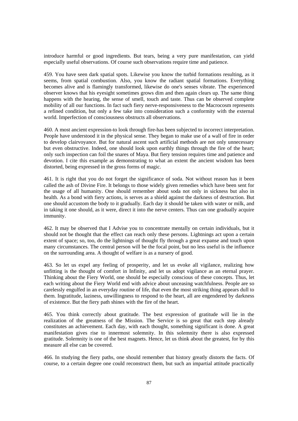introduce harmful or good ingredients. But tears, being a very pure manifestation, can yield especially useful observations. Of course such observations require time and patience.

459. You have seen dark spatial spots. Likewise you know the turbid formations resulting, as it seems, from spatial combustion. Also, you know the radiant spatial formations. Everything becomes alive and is flamingly transformed, likewise do one's senses vibrate. The experienced observer knows that his eyesight sometimes grows dim and then again clears up. The same thing happens with the hearing, the sense of smell, touch and taste. Thus can be observed complete mobility of all our functions. In fact such fiery nerve-responsiveness to the Macrocosm represents a refined condition, but only a few take into consideration such a conformity with the external world. Imperfection of consciousness obstructs all observations.

460. A most ancient expression-to look through fire-has been subjected to incorrect interpretation. People have understood it in the physical sense. They began to make use of a wall of fire in order to develop clairvoyance. But for natural ascent such artificial methods are not only unnecessary but even obstructive. Indeed, one should look upon earthly things through the fire of the heart; only such inspection can foil the snares of Maya. But fiery tension requires time and patience and devotion. I cite this example as demonstrating to what an extent the ancient wisdom has been distorted, being expressed in the gross forms of magic.

461. It is right that you do not forget the significance of soda. Not without reason has it been called the ash of Divine Fire. It belongs to those widely given remedies which have been sent for the usage of all humanity. One should remember about soda not only in sickness but also in health. As a bond with fiery actions, is serves as a shield against the darkness of destruction. But one should accustom the body to it gradually. Each day it should be taken with water or milk, and in taking it one should, as it were, direct it into the nerve centers. Thus can one gradually acquire immunity.

462. It may be observed that I Advise you to concentrate mentally on certain individuals, but it should not be thought that the effect can reach only these persons. Lightnings act upon a certain extent of space; so, too, do the lightnings of thought fly through a great expanse and touch upon many circumstances. The central person will be the focal point, but no less useful is the influence on the surrounding area. A thought of welfare is as a nursery of good.

463. So let us expel any feeling of prosperity, and let us evoke all vigilance, realizing how unfitting is the thought of comfort in Infinity, and let us adopt vigilance as an eternal prayer. Thinking about the Fiery World, one should be especially conscious of these concepts. Thus, let each writing about the Fiery World end with advice about unceasing watchfulness. People are so carelessly engulfed in an everyday routine of life, that even the most striking thing appears dull to them. Ingratitude, laziness, unwillingness to respond to the heart, all are engendered by darkness of existence. But the fiery path shines with the fire of the heart.

465. You think correctly about gratitude. The best expression of gratitude will lie in the realization of the greatness of the Mission. The Service is so great that each step already constitutes an achievement. Each day, with each thought, something significant is done. A great manifestation gives rise to innermost solemnity. In this solemnity there is also expressed gratitude. Solemnity is one of the best magnets. Hence, let us think about the greatest, for by this measure all else can be covered.

466. In studying the fiery paths, one should remember that history greatly distorts the facts. Of course, to a certain degree one could reconstruct them, but such an impartial attitude practically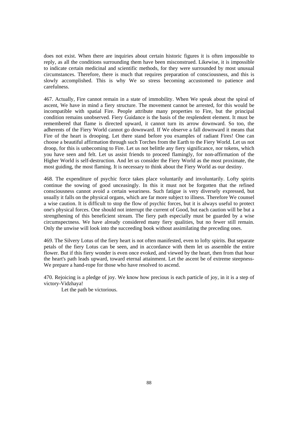does not exist. When there are inquiries about certain historic figures it is often impossible to reply, as all the conditions surrounding them have been misconstrued. Likewise, it is impossible to indicate certain medicinal and scientific methods, for they were surrounded by most unusual circumstances. Therefore, there is much that requires preparation of consciousness, and this is slowly accomplished. This is why We so stress becoming accustomed to patience and carefulness.

467. Actually, Fire cannot remain in a state of immobility. When We speak about the spiral of ascent, We have in mind a fiery structure. The movement cannot be arrested, for this would be incompatible with spatial Fire. People attribute many properties to Fire, but the principal condition remains unobserved. Fiery Guidance is the basis of the resplendent element. It must be remembered that flame is directed upward, it cannot turn its arrow downward. So too, the adherents of the Fiery World cannot go downward. If We observe a fall downward it means that Fire of the heart is drooping. Let there stand before you examples of radiant Fires! One can choose a beautiful affirmation through such Torches from the Earth to the Fiery World. Let us not droop, for this is unbecoming to Fire. Let us not belittle any fiery significance, nor tokens, which you have seen and felt. Let us assist friends to proceed flamingly, for non-affirmation of the Higher World is self-destruction. And let us consider the Fiery World as the most proximate, the most guiding, the most flaming. It is necessary to think about the Fiery World as our destiny.

468. The expenditure of psychic force takes place voluntarily and involuntarily. Lofty spirits continue the sowing of good unceasingly. In this it must not be forgotten that the refined consciousness cannot avoid a certain weariness. Such fatigue is very diversely expressed, but usually it falls on the physical organs, which are far more subject to illness. Therefore We counsel a wise caution. It is difficult to stop the flow of psychic forces, but it is always useful to protect one's physical forces. One should not interrupt the current of Good, but each caution will be but a strengthening of this beneficient stream. The fiery path especially must be guarded by a wise circumspectness. We have already considered many fiery qualities, but no fewer still remain. Only the unwise will look into the succeeding book without assimilating the preceding ones.

469. The Silvery Lotus of the fiery heart is not often manifested, even to lofty spirits. But separate petals of the fiery Lotus can be seen, and in accordance with them let us assemble the entire flower. But if this fiery wonder is even once evoked, and viewed by the heart, then from that hour the heart's path leads upward, toward eternal attainment. Let the ascent be of extreme steepness-We prepare a hand-rope for those who have resolved to ascend.

470. Rejoicing is a pledge of joy. We know how precious is each particle of joy, in it is a step of victory-Vidzhaya!

Let the path be victorious.